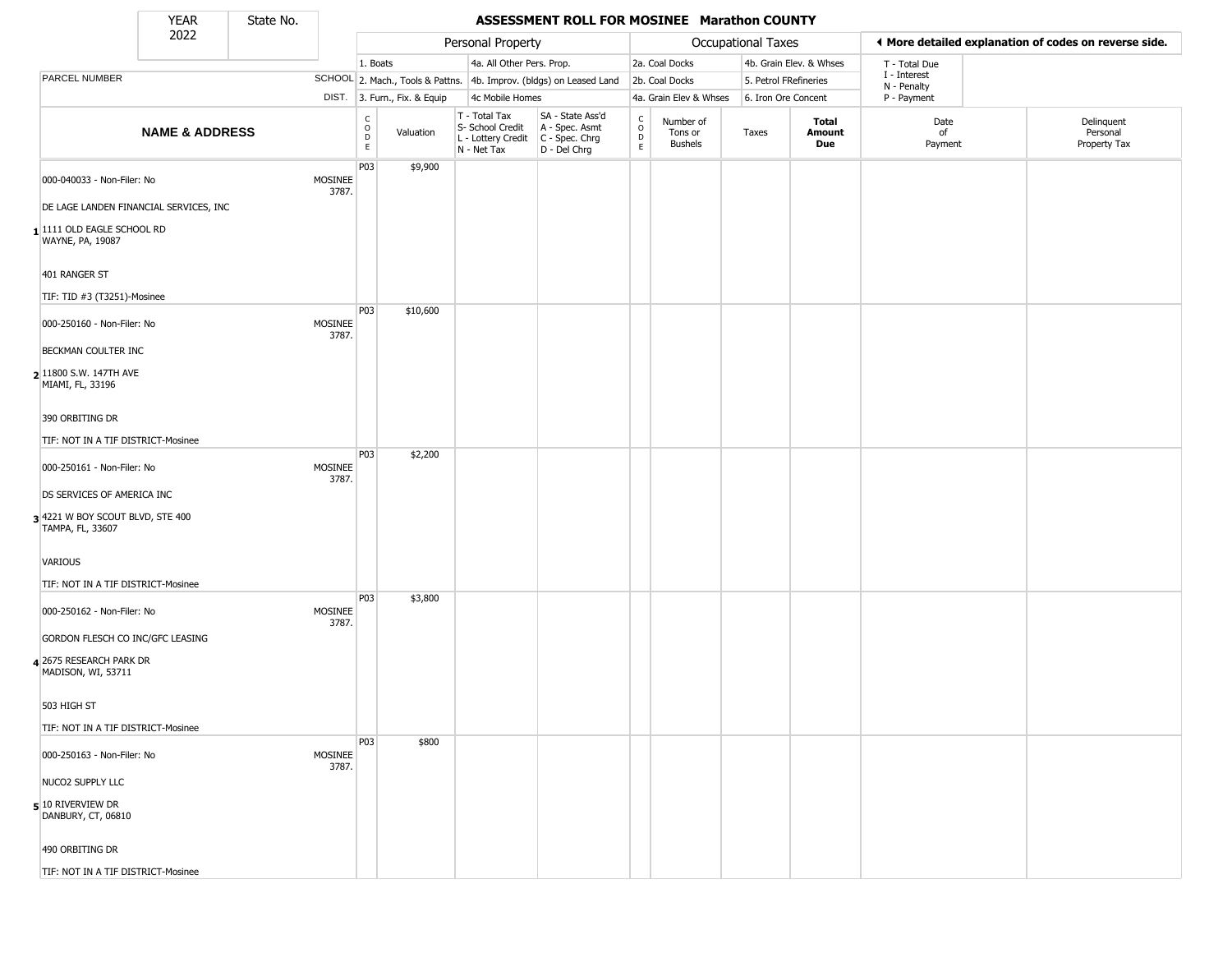State No.

Г

### YEAR **ASSESSMENT ROLL FOR MOSINEE Marathon COUNTY**

|                                                     | .<br>2022                 | -------- |                  |                                                          |                              | Personal Property                                                      |                                                                      |                                                |                                        | Occupational Taxes    |                         | ◀ More detailed explanation of codes on reverse side. |                                        |
|-----------------------------------------------------|---------------------------|----------|------------------|----------------------------------------------------------|------------------------------|------------------------------------------------------------------------|----------------------------------------------------------------------|------------------------------------------------|----------------------------------------|-----------------------|-------------------------|-------------------------------------------------------|----------------------------------------|
|                                                     |                           |          |                  | 1. Boats                                                 |                              | 4a. All Other Pers. Prop.                                              |                                                                      |                                                | 2a. Coal Docks                         |                       | 4b. Grain Elev. & Whses | T - Total Due                                         |                                        |
| PARCEL NUMBER                                       |                           |          |                  |                                                          |                              |                                                                        | SCHOOL 2. Mach., Tools & Pattns. 4b. Improv. (bldgs) on Leased Land  |                                                | 2b. Coal Docks                         | 5. Petrol FRefineries |                         | I - Interest<br>N - Penalty                           |                                        |
|                                                     |                           |          |                  |                                                          | DIST. 3. Furn., Fix. & Equip | 4c Mobile Homes                                                        |                                                                      |                                                | 4a. Grain Elev & Whses                 | 6. Iron Ore Concent   |                         | P - Payment                                           |                                        |
|                                                     | <b>NAME &amp; ADDRESS</b> |          |                  | $\begin{matrix} 0 \\ 0 \\ 0 \end{matrix}$<br>$\mathsf E$ | Valuation                    | T - Total Tax<br>S- School Credit<br>L - Lottery Credit<br>N - Net Tax | SA - State Ass'd<br>A - Spec. Asmt<br>C - Spec. Chrg<br>D - Del Chrg | $\begin{matrix} 0 \\ 0 \\ D \end{matrix}$<br>E | Number of<br>Tons or<br><b>Bushels</b> | Taxes                 | Total<br>Amount<br>Due  | Date<br>οf<br>Payment                                 | Delinquent<br>Personal<br>Property Tax |
| 000-040033 - Non-Filer: No                          |                           |          | MOSINEE<br>3787. | P03                                                      | \$9,900                      |                                                                        |                                                                      |                                                |                                        |                       |                         |                                                       |                                        |
| DE LAGE LANDEN FINANCIAL SERVICES, INC              |                           |          |                  |                                                          |                              |                                                                        |                                                                      |                                                |                                        |                       |                         |                                                       |                                        |
| 11111 OLD EAGLE SCHOOL RD<br>WAYNE, PA, 19087       |                           |          |                  |                                                          |                              |                                                                        |                                                                      |                                                |                                        |                       |                         |                                                       |                                        |
| 401 RANGER ST                                       |                           |          |                  |                                                          |                              |                                                                        |                                                                      |                                                |                                        |                       |                         |                                                       |                                        |
| TIF: TID #3 (T3251)-Mosinee                         |                           |          |                  | P03                                                      |                              |                                                                        |                                                                      |                                                |                                        |                       |                         |                                                       |                                        |
| 000-250160 - Non-Filer: No                          |                           |          | MOSINEE<br>3787. |                                                          | \$10,600                     |                                                                        |                                                                      |                                                |                                        |                       |                         |                                                       |                                        |
| <b>BECKMAN COULTER INC</b>                          |                           |          |                  |                                                          |                              |                                                                        |                                                                      |                                                |                                        |                       |                         |                                                       |                                        |
| 2 11800 S.W. 147TH AVE<br>MIAMI, FL, 33196          |                           |          |                  |                                                          |                              |                                                                        |                                                                      |                                                |                                        |                       |                         |                                                       |                                        |
| 390 ORBITING DR                                     |                           |          |                  |                                                          |                              |                                                                        |                                                                      |                                                |                                        |                       |                         |                                                       |                                        |
| TIF: NOT IN A TIF DISTRICT-Mosinee                  |                           |          |                  | P03                                                      | \$2,200                      |                                                                        |                                                                      |                                                |                                        |                       |                         |                                                       |                                        |
| 000-250161 - Non-Filer: No                          |                           |          | MOSINEE<br>3787. |                                                          |                              |                                                                        |                                                                      |                                                |                                        |                       |                         |                                                       |                                        |
| DS SERVICES OF AMERICA INC                          |                           |          |                  |                                                          |                              |                                                                        |                                                                      |                                                |                                        |                       |                         |                                                       |                                        |
| 34221 W BOY SCOUT BLVD, STE 400<br>TAMPA, FL, 33607 |                           |          |                  |                                                          |                              |                                                                        |                                                                      |                                                |                                        |                       |                         |                                                       |                                        |
| VARIOUS                                             |                           |          |                  |                                                          |                              |                                                                        |                                                                      |                                                |                                        |                       |                         |                                                       |                                        |
| TIF: NOT IN A TIF DISTRICT-Mosinee                  |                           |          |                  |                                                          |                              |                                                                        |                                                                      |                                                |                                        |                       |                         |                                                       |                                        |
| 000-250162 - Non-Filer: No                          |                           |          | MOSINEE<br>3787. | P03                                                      | \$3,800                      |                                                                        |                                                                      |                                                |                                        |                       |                         |                                                       |                                        |
| GORDON FLESCH CO INC/GFC LEASING                    |                           |          |                  |                                                          |                              |                                                                        |                                                                      |                                                |                                        |                       |                         |                                                       |                                        |
| 4 2675 RESEARCH PARK DR<br>MADISON, WI, 53711       |                           |          |                  |                                                          |                              |                                                                        |                                                                      |                                                |                                        |                       |                         |                                                       |                                        |
| 503 HIGH ST                                         |                           |          |                  |                                                          |                              |                                                                        |                                                                      |                                                |                                        |                       |                         |                                                       |                                        |
| TIF: NOT IN A TIF DISTRICT-Mosinee                  |                           |          |                  | P03                                                      | \$800                        |                                                                        |                                                                      |                                                |                                        |                       |                         |                                                       |                                        |
| 000-250163 - Non-Filer: No                          |                           |          | MOSINEE<br>3787. |                                                          |                              |                                                                        |                                                                      |                                                |                                        |                       |                         |                                                       |                                        |
| NUCO2 SUPPLY LLC                                    |                           |          |                  |                                                          |                              |                                                                        |                                                                      |                                                |                                        |                       |                         |                                                       |                                        |
| $5$ 10 RIVERVIEW DR<br>DANBURY, CT, 06810           |                           |          |                  |                                                          |                              |                                                                        |                                                                      |                                                |                                        |                       |                         |                                                       |                                        |
| 490 ORBITING DR                                     |                           |          |                  |                                                          |                              |                                                                        |                                                                      |                                                |                                        |                       |                         |                                                       |                                        |
| TIF: NOT IN A TIF DISTRICT-Mosinee                  |                           |          |                  |                                                          |                              |                                                                        |                                                                      |                                                |                                        |                       |                         |                                                       |                                        |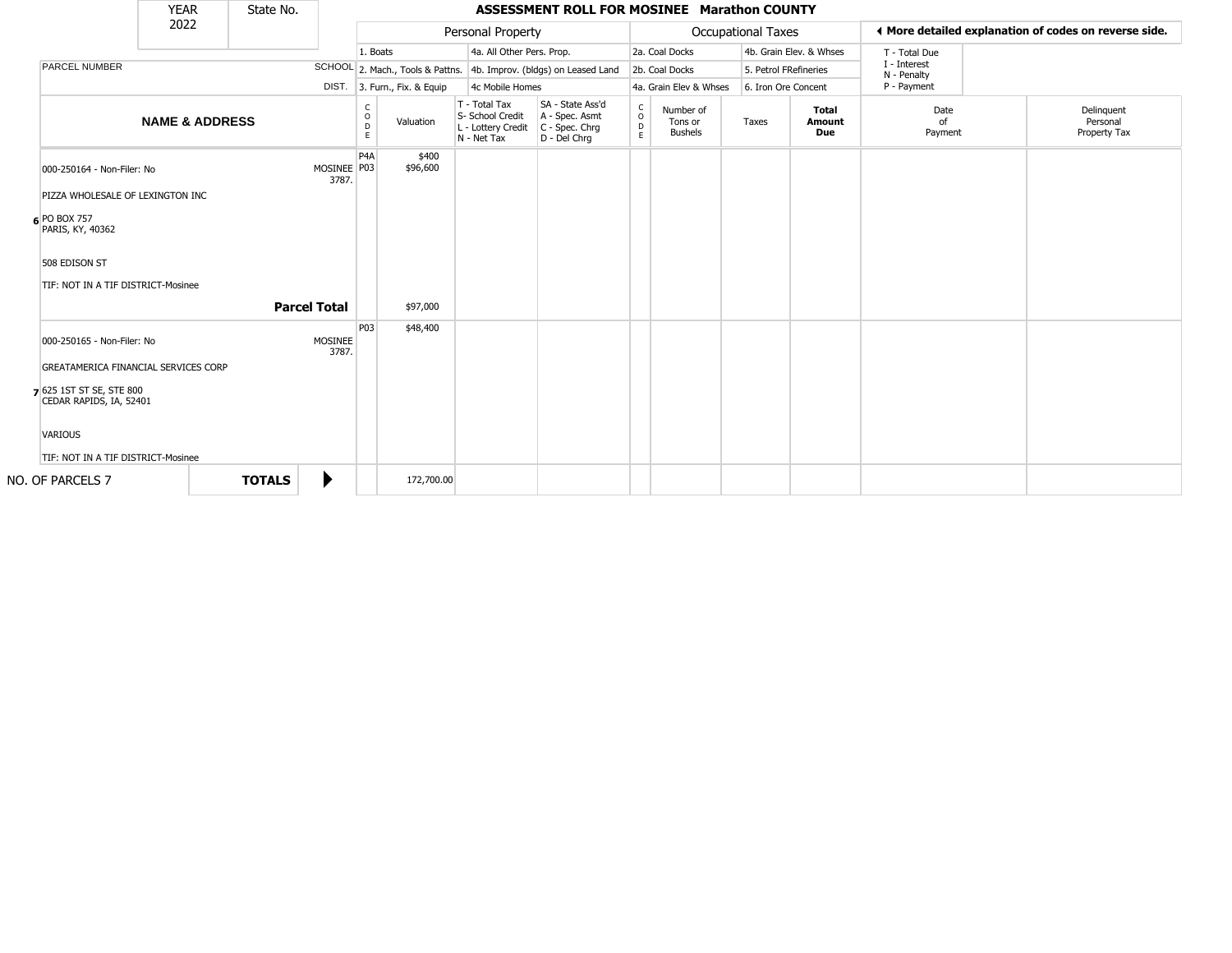|                                                                                                                                                                                   | <b>YEAR</b>               | State No.           |                         |                         |                              |                                                                        | ASSESSMENT ROLL FOR MOSINEE Marathon COUNTY                          |                                         |                                        |       |                               |                             |                                                       |
|-----------------------------------------------------------------------------------------------------------------------------------------------------------------------------------|---------------------------|---------------------|-------------------------|-------------------------|------------------------------|------------------------------------------------------------------------|----------------------------------------------------------------------|-----------------------------------------|----------------------------------------|-------|-------------------------------|-----------------------------|-------------------------------------------------------|
|                                                                                                                                                                                   | 2022                      |                     |                         |                         |                              | Personal Property                                                      |                                                                      |                                         | <b>Occupational Taxes</b>              |       |                               |                             | ♦ More detailed explanation of codes on reverse side. |
|                                                                                                                                                                                   |                           |                     |                         | 1. Boats                |                              | 4a. All Other Pers. Prop.                                              |                                                                      |                                         | 2a. Coal Docks                         |       | 4b. Grain Elev. & Whses       | T - Total Due               |                                                       |
| <b>PARCEL NUMBER</b>                                                                                                                                                              |                           |                     |                         |                         |                              |                                                                        | SCHOOL 2. Mach., Tools & Pattns. 4b. Improv. (bldgs) on Leased Land  |                                         | 2b. Coal Docks                         |       | 5. Petrol FRefineries         | I - Interest<br>N - Penalty |                                                       |
|                                                                                                                                                                                   |                           |                     |                         |                         | DIST. 3. Furn., Fix. & Equip | 4c Mobile Homes                                                        |                                                                      |                                         | 4a. Grain Elev & Whses                 |       | 6. Iron Ore Concent           | P - Payment                 |                                                       |
|                                                                                                                                                                                   | <b>NAME &amp; ADDRESS</b> |                     |                         | C<br>$\circ$<br>D<br>E. | Valuation                    | T - Total Tax<br>S- School Credit<br>L - Lottery Credit<br>N - Net Tax | SA - State Ass'd<br>A - Spec. Asmt<br>C - Spec. Chrg<br>D - Del Chrg | $_{\rm o}^{\rm c}$<br>$\mathsf{D}$<br>E | Number of<br>Tons or<br><b>Bushels</b> | Taxes | <b>Total</b><br>Amount<br>Due | Date<br>of<br>Payment       | Delinquent<br>Personal<br>Property Tax                |
| 000-250164 - Non-Filer: No                                                                                                                                                        |                           |                     | MOSINEE P03<br>3787.    | P <sub>4</sub> A        | \$400<br>\$96,600            |                                                                        |                                                                      |                                         |                                        |       |                               |                             |                                                       |
| PIZZA WHOLESALE OF LEXINGTON INC<br>6 PO BOX 757<br>PARIS, KY, 40362                                                                                                              |                           |                     |                         |                         |                              |                                                                        |                                                                      |                                         |                                        |       |                               |                             |                                                       |
| 508 EDISON ST<br>TIF: NOT IN A TIF DISTRICT-Mosinee                                                                                                                               |                           | <b>Parcel Total</b> |                         |                         | \$97,000                     |                                                                        |                                                                      |                                         |                                        |       |                               |                             |                                                       |
|                                                                                                                                                                                   |                           |                     |                         | P <sub>03</sub>         | \$48,400                     |                                                                        |                                                                      |                                         |                                        |       |                               |                             |                                                       |
| 000-250165 - Non-Filer: No<br>GREATAMERICA FINANCIAL SERVICES CORP<br>7 625 1ST ST SE, STE 800<br>CEDAR RAPIDS, IA, 52401<br><b>VARIOUS</b><br>TIF: NOT IN A TIF DISTRICT-Mosinee |                           |                     | <b>MOSINEE</b><br>3787. |                         |                              |                                                                        |                                                                      |                                         |                                        |       |                               |                             |                                                       |
| NO. OF PARCELS 7                                                                                                                                                                  |                           | <b>TOTALS</b>       | ▶                       |                         | 172,700.00                   |                                                                        |                                                                      |                                         |                                        |       |                               |                             |                                                       |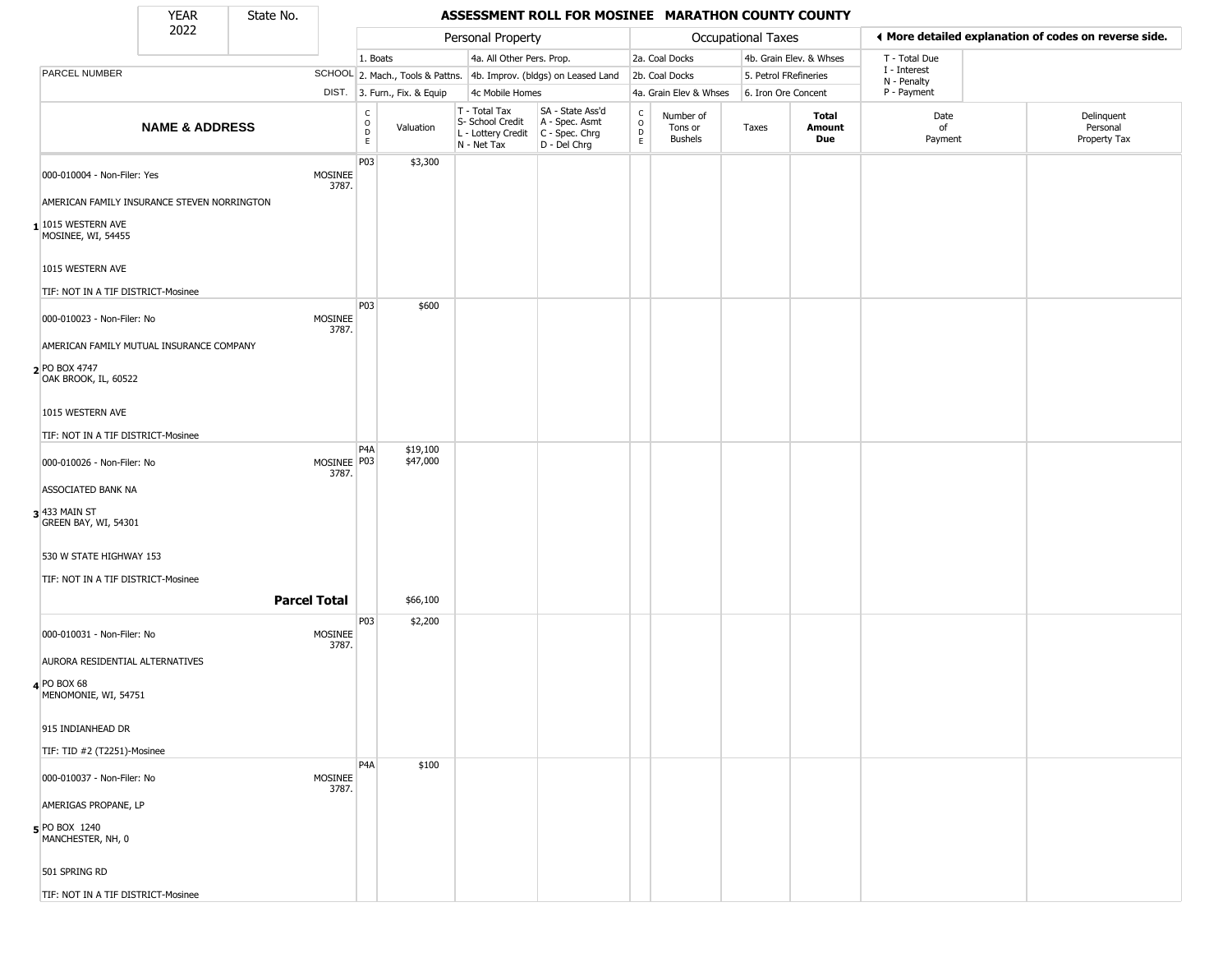### YEAR State No. **ASSESSMENT ROLL FOR MOSINEE MARATHON COUNTY COUNTY**

|                                                        | <b>YEAR</b>               | State No.           |                         |                                                  |                              |                                                                        | ASSESSMENT ROLL FOR MOSINEE MARATHON COUNTY COUNTY                   |                                          |                                 |                     |                         |                             |                                                       |
|--------------------------------------------------------|---------------------------|---------------------|-------------------------|--------------------------------------------------|------------------------------|------------------------------------------------------------------------|----------------------------------------------------------------------|------------------------------------------|---------------------------------|---------------------|-------------------------|-----------------------------|-------------------------------------------------------|
|                                                        | 2022                      |                     |                         |                                                  |                              | Personal Property                                                      |                                                                      |                                          |                                 | Occupational Taxes  |                         |                             | ◀ More detailed explanation of codes on reverse side. |
|                                                        |                           |                     |                         | 1. Boats                                         |                              | 4a. All Other Pers. Prop.                                              |                                                                      |                                          | 2a. Coal Docks                  |                     | 4b. Grain Elev. & Whses | T - Total Due               |                                                       |
| PARCEL NUMBER                                          |                           |                     |                         |                                                  |                              |                                                                        | SCHOOL 2. Mach., Tools & Pattns. 4b. Improv. (bldgs) on Leased Land  |                                          | 2b. Coal Docks                  |                     | 5. Petrol FRefineries   | I - Interest<br>N - Penalty |                                                       |
|                                                        |                           |                     |                         |                                                  | DIST. 3. Furn., Fix. & Equip | 4c Mobile Homes                                                        |                                                                      |                                          | 4a. Grain Elev & Whses          | 6. Iron Ore Concent |                         | P - Payment                 |                                                       |
|                                                        | <b>NAME &amp; ADDRESS</b> |                     |                         | c<br>$\circ$<br>$\mathop{\mathsf{D}}_\mathsf{E}$ | Valuation                    | T - Total Tax<br>S- School Credit<br>L - Lottery Credit<br>N - Net Tax | SA - State Ass'd<br>A - Spec. Asmt<br>C - Spec. Chrg<br>D - Del Chrg | $\mathsf{C}$<br>$\circ$<br>$\frac{D}{E}$ | Number of<br>Tons or<br>Bushels | Taxes               | Total<br>Amount<br>Due  | Date<br>of<br>Payment       | Delinquent<br>Personal<br>Property Tax                |
| 000-010004 - Non-Filer: Yes                            |                           |                     | MOSINEE<br>3787.        | P03                                              | \$3,300                      |                                                                        |                                                                      |                                          |                                 |                     |                         |                             |                                                       |
| AMERICAN FAMILY INSURANCE STEVEN NORRINGTON            |                           |                     |                         |                                                  |                              |                                                                        |                                                                      |                                          |                                 |                     |                         |                             |                                                       |
| $1$ 1015 WESTERN AVE<br>MOSINEE, WI, 54455             |                           |                     |                         |                                                  |                              |                                                                        |                                                                      |                                          |                                 |                     |                         |                             |                                                       |
| 1015 WESTERN AVE<br>TIF: NOT IN A TIF DISTRICT-Mosinee |                           |                     |                         |                                                  |                              |                                                                        |                                                                      |                                          |                                 |                     |                         |                             |                                                       |
| 000-010023 - Non-Filer: No                             |                           |                     | MOSINEE<br>3787.        | P <sub>03</sub>                                  | \$600                        |                                                                        |                                                                      |                                          |                                 |                     |                         |                             |                                                       |
| AMERICAN FAMILY MUTUAL INSURANCE COMPANY               |                           |                     |                         |                                                  |                              |                                                                        |                                                                      |                                          |                                 |                     |                         |                             |                                                       |
| 2 PO BOX 4747<br>OAK BROOK, IL, 60522                  |                           |                     |                         |                                                  |                              |                                                                        |                                                                      |                                          |                                 |                     |                         |                             |                                                       |
| 1015 WESTERN AVE                                       |                           |                     |                         |                                                  |                              |                                                                        |                                                                      |                                          |                                 |                     |                         |                             |                                                       |
| TIF: NOT IN A TIF DISTRICT-Mosinee                     |                           |                     |                         | P4A                                              | \$19,100                     |                                                                        |                                                                      |                                          |                                 |                     |                         |                             |                                                       |
| 000-010026 - Non-Filer: No                             |                           |                     | MOSINEE   P03<br>3787.  |                                                  | \$47,000                     |                                                                        |                                                                      |                                          |                                 |                     |                         |                             |                                                       |
| ASSOCIATED BANK NA                                     |                           |                     |                         |                                                  |                              |                                                                        |                                                                      |                                          |                                 |                     |                         |                             |                                                       |
| $3$ 433 MAIN ST<br>GREEN BAY, WI, 54301                |                           |                     |                         |                                                  |                              |                                                                        |                                                                      |                                          |                                 |                     |                         |                             |                                                       |
| 530 W STATE HIGHWAY 153                                |                           |                     |                         |                                                  |                              |                                                                        |                                                                      |                                          |                                 |                     |                         |                             |                                                       |
| TIF: NOT IN A TIF DISTRICT-Mosinee                     |                           |                     |                         |                                                  |                              |                                                                        |                                                                      |                                          |                                 |                     |                         |                             |                                                       |
|                                                        |                           | <b>Parcel Total</b> |                         |                                                  | \$66,100                     |                                                                        |                                                                      |                                          |                                 |                     |                         |                             |                                                       |
| 000-010031 - Non-Filer: No                             |                           |                     | <b>MOSINEE</b><br>3787. | P03                                              | \$2,200                      |                                                                        |                                                                      |                                          |                                 |                     |                         |                             |                                                       |
| AURORA RESIDENTIAL ALTERNATIVES                        |                           |                     |                         |                                                  |                              |                                                                        |                                                                      |                                          |                                 |                     |                         |                             |                                                       |
| 4 PO BOX 68<br>MENOMONIE, WI, 54751                    |                           |                     |                         |                                                  |                              |                                                                        |                                                                      |                                          |                                 |                     |                         |                             |                                                       |
| 915 INDIANHEAD DR                                      |                           |                     |                         |                                                  |                              |                                                                        |                                                                      |                                          |                                 |                     |                         |                             |                                                       |
| TIF: TID #2 (T2251)-Mosinee                            |                           |                     |                         | P4A                                              |                              |                                                                        |                                                                      |                                          |                                 |                     |                         |                             |                                                       |
| 000-010037 - Non-Filer: No                             |                           |                     | MOSINEE<br>3787.        |                                                  | \$100                        |                                                                        |                                                                      |                                          |                                 |                     |                         |                             |                                                       |
| AMERIGAS PROPANE, LP                                   |                           |                     |                         |                                                  |                              |                                                                        |                                                                      |                                          |                                 |                     |                         |                             |                                                       |
| $5$ PO BOX 1240<br>MANCHESTER, NH, 0                   |                           |                     |                         |                                                  |                              |                                                                        |                                                                      |                                          |                                 |                     |                         |                             |                                                       |
| 501 SPRING RD                                          |                           |                     |                         |                                                  |                              |                                                                        |                                                                      |                                          |                                 |                     |                         |                             |                                                       |
| TIF: NOT IN A TIF DISTRICT-Mosinee                     |                           |                     |                         |                                                  |                              |                                                                        |                                                                      |                                          |                                 |                     |                         |                             |                                                       |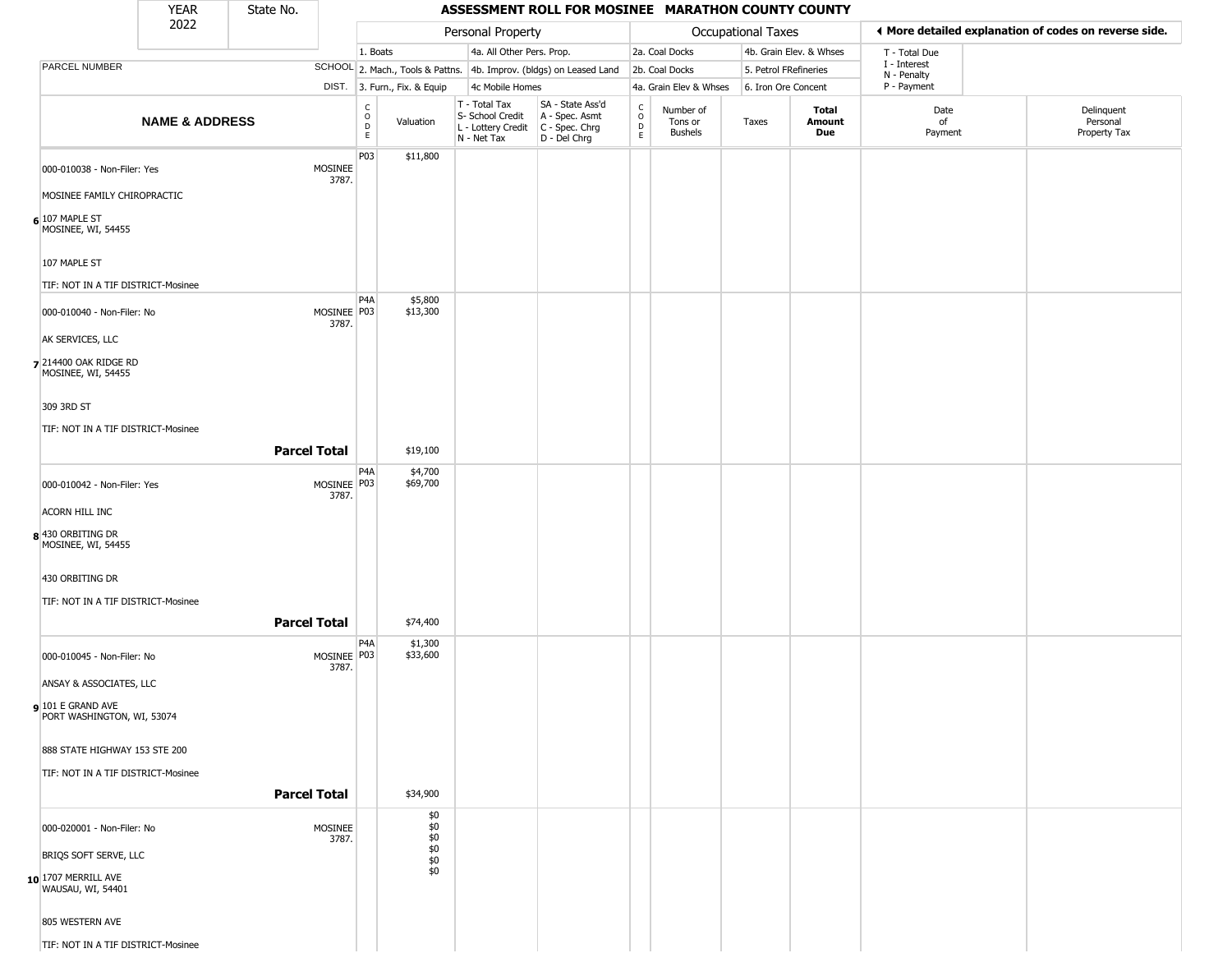#### YEAR **ASSESSMENT ROLL FOR MOSINEE MARATHON COUNTY COUNTY** 2022 DIST. 3. Furn., Fix. & Equip PARCEL NUMBER **NAME & ADDRESS** State No. C O D E Valuation T - Total Tax S- School Credit A - Spec. Asmt L - Lottery Credit C - Spec. Chrg N - Net Tax SA - State Ass'd D - Del Chrg C O D E Number of Tons or Bushels Taxes **Total Amount Due** Date of Payment Delinquent Personal Property Tax Personal Property **Department Controller Service Controller** Occupational Taxes 1. Boats **4a. All Other Pers. Prop.** 2a. Coal Docks 4b. Grain Elev. & Whses SCHOOL 2. Mach., Tools & Pattns. 4b. Improv. (bldgs) on Leased Land 2b. Coal Docks 5. Petrol FRefineries 4c Mobile Homes 4a. Grain Elev & Whses 6. Iron Ore Concent T - Total Due I - Interest N - Penalty P - Payment 3**More detailed explanation of codes on reverse side. 6** 107 MAPLE ST 000-010038 - Non-Filer: Yes MOSINEE 3787. MOSINEE FAMILY CHIROPRACTIC MOSINEE, WI, 54455 107 MAPLE ST TIF: NOT IN A TIF DISTRICT-Mosinee P03 \$11,800 **7** 214400 OAK RIDGE RD 000-010040 - Non-Filer: No 3787. AK SERVICES, LLC MOSINEE, WI, 54455 309 3RD ST TIF: NOT IN A TIF DISTRICT-Mosinee P4A MOSINEE P03 \$5,800 \$13,300 **Parcel Total | \$19,100 8** 430 ORBITING DR  $000-010042$  - Non-Filer: Yes 3787. ACORN HILL INC MOSINEE, WI, 54455 430 ORBITING DR TIF: NOT IN A TIF DISTRICT-Mosinee P4A MOSINEE P03 \$4,700 \$69,700 **Parcel Total** \$74,400 **9** 101 E GRAND AVE 000-010045 - Non-Filer: No 3787. ANSAY & ASSOCIATES, LLC PORT WASHINGTON, WI, 53074 888 STATE HIGHWAY 153 STE 200 TIF: NOT IN A TIF DISTRICT-Mosinee  $PA<sub>A</sub>$ MOSINEE P03 \$1,300 \$33,600 **Parcel Total** | \$34,900 **10** 1707 MERRILL AVE 000-020001 - Non-Filer: No MOSINEE 3787. BRIQS SOFT SERVE, LLC WAUSAU, WI, 54401 805 WESTERN AVE \$0  $\overline{50}$ \$0 \$0 \$0 \$0

TIF: NOT IN A TIF DISTRICT-Mosinee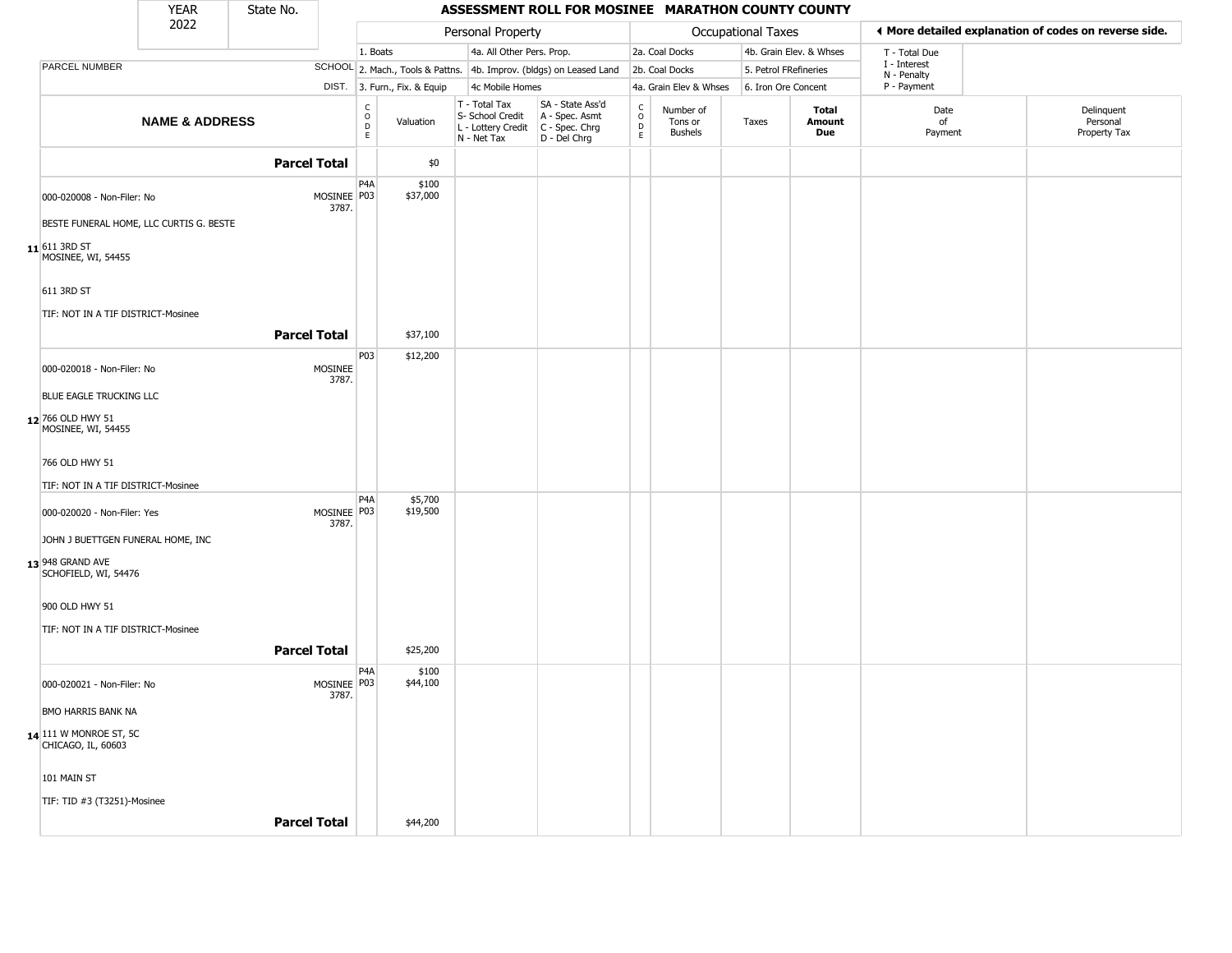|                                              | <b>YEAR</b>               | State No.           |                      |                                                |                              |                                                                                         | ASSESSMENT ROLL FOR MOSINEE MARATHON COUNTY COUNTY                  |                                                          |                                        |                           |                         |                             |                                                       |
|----------------------------------------------|---------------------------|---------------------|----------------------|------------------------------------------------|------------------------------|-----------------------------------------------------------------------------------------|---------------------------------------------------------------------|----------------------------------------------------------|----------------------------------------|---------------------------|-------------------------|-----------------------------|-------------------------------------------------------|
|                                              | 2022                      |                     |                      |                                                |                              | Personal Property                                                                       |                                                                     |                                                          |                                        | <b>Occupational Taxes</b> |                         |                             | ♦ More detailed explanation of codes on reverse side. |
|                                              |                           |                     |                      | 1. Boats                                       |                              | 4a. All Other Pers. Prop.                                                               |                                                                     |                                                          | 2a. Coal Docks                         |                           | 4b. Grain Elev. & Whses | T - Total Due               |                                                       |
| PARCEL NUMBER                                |                           |                     |                      |                                                |                              |                                                                                         | SCHOOL 2. Mach., Tools & Pattns. 4b. Improv. (bldgs) on Leased Land |                                                          | 2b. Coal Docks                         |                           | 5. Petrol FRefineries   | I - Interest<br>N - Penalty |                                                       |
|                                              |                           |                     |                      |                                                | DIST. 3. Furn., Fix. & Equip | 4c Mobile Homes                                                                         |                                                                     |                                                          | 4a. Grain Elev & Whses                 |                           | 6. Iron Ore Concent     | P - Payment                 |                                                       |
|                                              | <b>NAME &amp; ADDRESS</b> |                     |                      | $\begin{matrix} 0 \\ 0 \\ D \end{matrix}$<br>E | Valuation                    | T - Total Tax<br>S- School Credit<br>L - Lottery Credit   C - Spec. Chrg<br>N - Net Tax | SA - State Ass'd<br>A - Spec. Asmt<br>D - Del Chrg                  | $\begin{matrix} 0 \\ 0 \\ 0 \end{matrix}$<br>$\mathsf E$ | Number of<br>Tons or<br><b>Bushels</b> | Taxes                     | Total<br>Amount<br>Due  | Date<br>of<br>Payment       | Delinquent<br>Personal<br>Property Tax                |
|                                              |                           | <b>Parcel Total</b> |                      |                                                | \$0                          |                                                                                         |                                                                     |                                                          |                                        |                           |                         |                             |                                                       |
| 000-020008 - Non-Filer: No                   |                           |                     | MOSINEE P03<br>3787. | P <sub>4</sub> A                               | \$100<br>\$37,000            |                                                                                         |                                                                     |                                                          |                                        |                           |                         |                             |                                                       |
| BESTE FUNERAL HOME, LLC CURTIS G. BESTE      |                           |                     |                      |                                                |                              |                                                                                         |                                                                     |                                                          |                                        |                           |                         |                             |                                                       |
| $11$ 611 3RD ST<br>MOSINEE, WI, 54455        |                           |                     |                      |                                                |                              |                                                                                         |                                                                     |                                                          |                                        |                           |                         |                             |                                                       |
| 611 3RD ST                                   |                           |                     |                      |                                                |                              |                                                                                         |                                                                     |                                                          |                                        |                           |                         |                             |                                                       |
| TIF: NOT IN A TIF DISTRICT-Mosinee           |                           |                     |                      |                                                |                              |                                                                                         |                                                                     |                                                          |                                        |                           |                         |                             |                                                       |
|                                              |                           | <b>Parcel Total</b> |                      |                                                | \$37,100                     |                                                                                         |                                                                     |                                                          |                                        |                           |                         |                             |                                                       |
| 000-020018 - Non-Filer: No                   |                           |                     | MOSINEE<br>3787.     | P03                                            | \$12,200                     |                                                                                         |                                                                     |                                                          |                                        |                           |                         |                             |                                                       |
| BLUE EAGLE TRUCKING LLC                      |                           |                     |                      |                                                |                              |                                                                                         |                                                                     |                                                          |                                        |                           |                         |                             |                                                       |
| 12 766 OLD HWY 51<br>MOSINEE, WI, 54455      |                           |                     |                      |                                                |                              |                                                                                         |                                                                     |                                                          |                                        |                           |                         |                             |                                                       |
| 766 OLD HWY 51                               |                           |                     |                      |                                                |                              |                                                                                         |                                                                     |                                                          |                                        |                           |                         |                             |                                                       |
| TIF: NOT IN A TIF DISTRICT-Mosinee           |                           |                     |                      |                                                |                              |                                                                                         |                                                                     |                                                          |                                        |                           |                         |                             |                                                       |
| 000-020020 - Non-Filer: Yes                  |                           |                     | MOSINEE P03<br>3787. | P <sub>4</sub> A                               | \$5,700<br>\$19,500          |                                                                                         |                                                                     |                                                          |                                        |                           |                         |                             |                                                       |
| JOHN J BUETTGEN FUNERAL HOME, INC            |                           |                     |                      |                                                |                              |                                                                                         |                                                                     |                                                          |                                        |                           |                         |                             |                                                       |
| 13 948 GRAND AVE<br>SCHOFIELD, WI, 54476     |                           |                     |                      |                                                |                              |                                                                                         |                                                                     |                                                          |                                        |                           |                         |                             |                                                       |
| 900 OLD HWY 51                               |                           |                     |                      |                                                |                              |                                                                                         |                                                                     |                                                          |                                        |                           |                         |                             |                                                       |
| TIF: NOT IN A TIF DISTRICT-Mosinee           |                           |                     |                      |                                                |                              |                                                                                         |                                                                     |                                                          |                                        |                           |                         |                             |                                                       |
|                                              |                           | <b>Parcel Total</b> |                      |                                                | \$25,200                     |                                                                                         |                                                                     |                                                          |                                        |                           |                         |                             |                                                       |
|                                              |                           |                     |                      | P <sub>4</sub> A                               | \$100                        |                                                                                         |                                                                     |                                                          |                                        |                           |                         |                             |                                                       |
| 000-020021 - Non-Filer: No                   |                           |                     | MOSINEE P03<br>3787. |                                                | \$44,100                     |                                                                                         |                                                                     |                                                          |                                        |                           |                         |                             |                                                       |
| BMO HARRIS BANK NA                           |                           |                     |                      |                                                |                              |                                                                                         |                                                                     |                                                          |                                        |                           |                         |                             |                                                       |
| 14 111 W MONROE ST, 5C<br>CHICAGO, IL, 60603 |                           |                     |                      |                                                |                              |                                                                                         |                                                                     |                                                          |                                        |                           |                         |                             |                                                       |
| 101 MAIN ST                                  |                           |                     |                      |                                                |                              |                                                                                         |                                                                     |                                                          |                                        |                           |                         |                             |                                                       |
| TIF: TID #3 (T3251)-Mosinee                  |                           |                     |                      |                                                |                              |                                                                                         |                                                                     |                                                          |                                        |                           |                         |                             |                                                       |
|                                              |                           | <b>Parcel Total</b> |                      |                                                | \$44,200                     |                                                                                         |                                                                     |                                                          |                                        |                           |                         |                             |                                                       |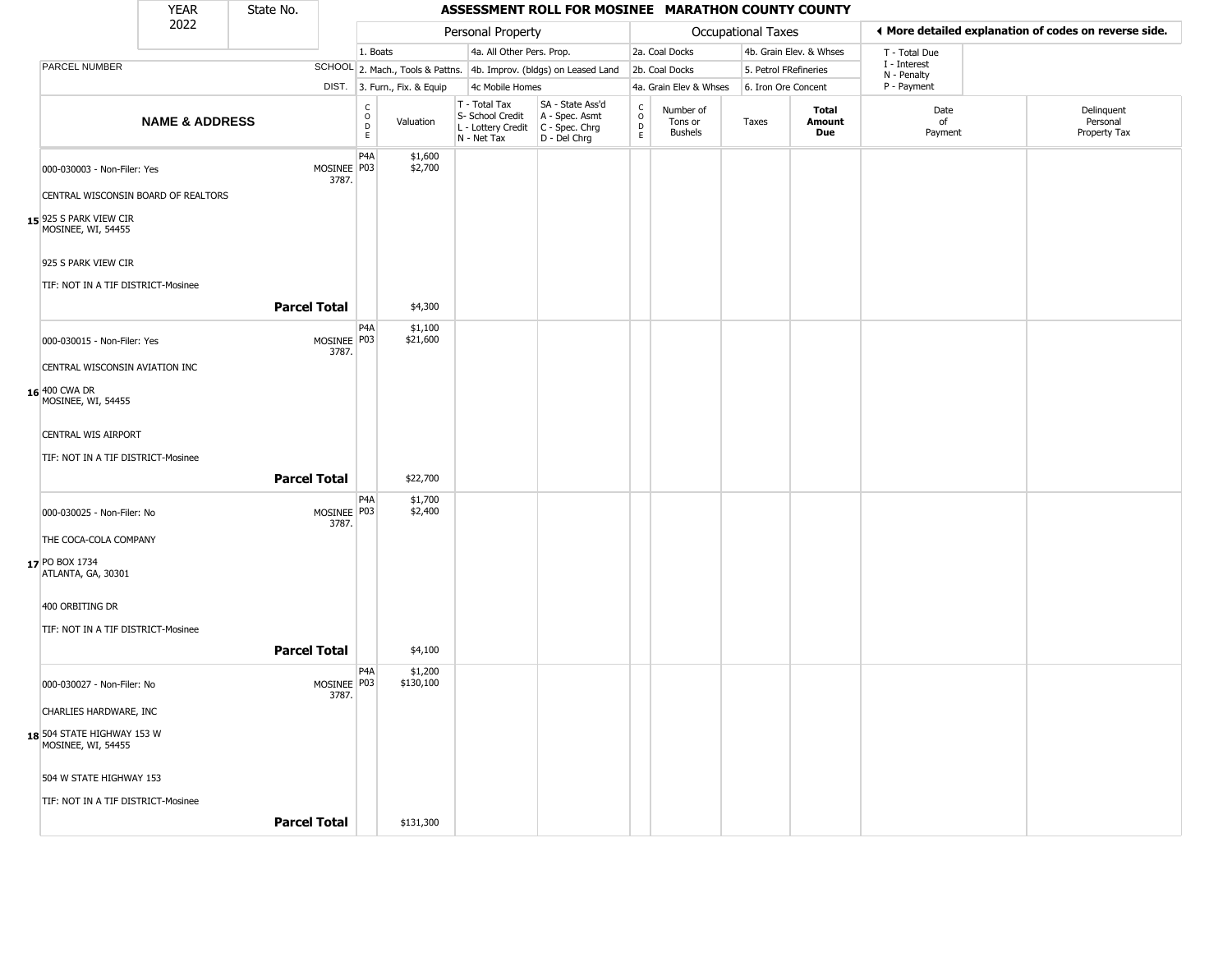|                                                     | <b>YEAR</b>                         | State No.           |                      |                                    |                              |                                                                                         | ASSESSMENT ROLL FOR MOSINEE MARATHON COUNTY COUNTY                  |                                   |                                 |                           |                         |                             |                                                       |
|-----------------------------------------------------|-------------------------------------|---------------------|----------------------|------------------------------------|------------------------------|-----------------------------------------------------------------------------------------|---------------------------------------------------------------------|-----------------------------------|---------------------------------|---------------------------|-------------------------|-----------------------------|-------------------------------------------------------|
|                                                     | 2022                                |                     |                      |                                    |                              | Personal Property                                                                       |                                                                     |                                   |                                 | <b>Occupational Taxes</b> |                         |                             | ◀ More detailed explanation of codes on reverse side. |
|                                                     |                                     |                     |                      | 1. Boats                           |                              | 4a. All Other Pers. Prop.                                                               |                                                                     |                                   | 2a. Coal Docks                  |                           | 4b. Grain Elev. & Whses | T - Total Due               |                                                       |
| PARCEL NUMBER                                       |                                     |                     |                      |                                    |                              |                                                                                         | SCHOOL 2. Mach., Tools & Pattns. 4b. Improv. (bldgs) on Leased Land |                                   | 2b. Coal Docks                  | 5. Petrol FRefineries     |                         | I - Interest<br>N - Penalty |                                                       |
|                                                     |                                     |                     |                      |                                    | DIST. 3. Furn., Fix. & Equip | 4c Mobile Homes                                                                         |                                                                     |                                   | 4a. Grain Elev & Whses          | 6. Iron Ore Concent       |                         | P - Payment                 |                                                       |
|                                                     | <b>NAME &amp; ADDRESS</b>           |                     |                      | $\int_{0}^{c}$<br>$\mathsf D$<br>E | Valuation                    | T - Total Tax<br>S- School Credit<br>L - Lottery Credit   C - Spec. Chrg<br>N - Net Tax | SA - State Ass'd<br>A - Spec. Asmt<br>D - Del Chrg                  | $\frac{c}{0}$<br>$\mathsf D$<br>E | Number of<br>Tons or<br>Bushels | Taxes                     | Total<br>Amount<br>Due  | Date<br>of<br>Payment       | Delinquent<br>Personal<br>Property Tax                |
|                                                     | 000-030003 - Non-Filer: Yes         |                     | MOSINEE P03<br>3787. | P4A                                | \$1,600<br>\$2,700           |                                                                                         |                                                                     |                                   |                                 |                           |                         |                             |                                                       |
|                                                     | CENTRAL WISCONSIN BOARD OF REALTORS |                     |                      |                                    |                              |                                                                                         |                                                                     |                                   |                                 |                           |                         |                             |                                                       |
| <b>15</b> 925 S PARK VIEW CIR<br>MOSINEE, WI, 54455 |                                     |                     |                      |                                    |                              |                                                                                         |                                                                     |                                   |                                 |                           |                         |                             |                                                       |
| 925 S PARK VIEW CIR                                 |                                     |                     |                      |                                    |                              |                                                                                         |                                                                     |                                   |                                 |                           |                         |                             |                                                       |
|                                                     | TIF: NOT IN A TIF DISTRICT-Mosinee  | <b>Parcel Total</b> |                      |                                    | \$4,300                      |                                                                                         |                                                                     |                                   |                                 |                           |                         |                             |                                                       |
|                                                     |                                     |                     |                      | P4A                                | \$1,100                      |                                                                                         |                                                                     |                                   |                                 |                           |                         |                             |                                                       |
|                                                     | 000-030015 - Non-Filer: Yes         |                     | MOSINEE P03<br>3787. |                                    | \$21,600                     |                                                                                         |                                                                     |                                   |                                 |                           |                         |                             |                                                       |
|                                                     | CENTRAL WISCONSIN AVIATION INC      |                     |                      |                                    |                              |                                                                                         |                                                                     |                                   |                                 |                           |                         |                             |                                                       |
| 16 400 CWA DR<br>MOSINEE, WI, 54455                 |                                     |                     |                      |                                    |                              |                                                                                         |                                                                     |                                   |                                 |                           |                         |                             |                                                       |
| <b>CENTRAL WIS AIRPORT</b>                          |                                     |                     |                      |                                    |                              |                                                                                         |                                                                     |                                   |                                 |                           |                         |                             |                                                       |
|                                                     | TIF: NOT IN A TIF DISTRICT-Mosinee  |                     |                      |                                    |                              |                                                                                         |                                                                     |                                   |                                 |                           |                         |                             |                                                       |
|                                                     |                                     | <b>Parcel Total</b> |                      |                                    | \$22,700                     |                                                                                         |                                                                     |                                   |                                 |                           |                         |                             |                                                       |
| 000-030025 - Non-Filer: No                          |                                     |                     | MOSINEE P03<br>3787. | P4A                                | \$1,700<br>\$2,400           |                                                                                         |                                                                     |                                   |                                 |                           |                         |                             |                                                       |
| THE COCA-COLA COMPANY                               |                                     |                     |                      |                                    |                              |                                                                                         |                                                                     |                                   |                                 |                           |                         |                             |                                                       |
| 17 PO BOX 1734<br>ATLANTA, GA, 30301                |                                     |                     |                      |                                    |                              |                                                                                         |                                                                     |                                   |                                 |                           |                         |                             |                                                       |
| 400 ORBITING DR                                     |                                     |                     |                      |                                    |                              |                                                                                         |                                                                     |                                   |                                 |                           |                         |                             |                                                       |
|                                                     | TIF: NOT IN A TIF DISTRICT-Mosinee  |                     |                      |                                    |                              |                                                                                         |                                                                     |                                   |                                 |                           |                         |                             |                                                       |
|                                                     |                                     | <b>Parcel Total</b> |                      |                                    | \$4,100                      |                                                                                         |                                                                     |                                   |                                 |                           |                         |                             |                                                       |
| 000-030027 - Non-Filer: No                          |                                     |                     | MOSINEE P03<br>3787. | P4A                                | \$1,200<br>\$130,100         |                                                                                         |                                                                     |                                   |                                 |                           |                         |                             |                                                       |
|                                                     | CHARLIES HARDWARE, INC              |                     |                      |                                    |                              |                                                                                         |                                                                     |                                   |                                 |                           |                         |                             |                                                       |
| 18 504 STATE HIGHWAY 153 W<br>MOSINEE, WI, 54455    |                                     |                     |                      |                                    |                              |                                                                                         |                                                                     |                                   |                                 |                           |                         |                             |                                                       |
|                                                     | 504 W STATE HIGHWAY 153             |                     |                      |                                    |                              |                                                                                         |                                                                     |                                   |                                 |                           |                         |                             |                                                       |
|                                                     | TIF: NOT IN A TIF DISTRICT-Mosinee  |                     |                      |                                    |                              |                                                                                         |                                                                     |                                   |                                 |                           |                         |                             |                                                       |
|                                                     |                                     | <b>Parcel Total</b> |                      |                                    | \$131,300                    |                                                                                         |                                                                     |                                   |                                 |                           |                         |                             |                                                       |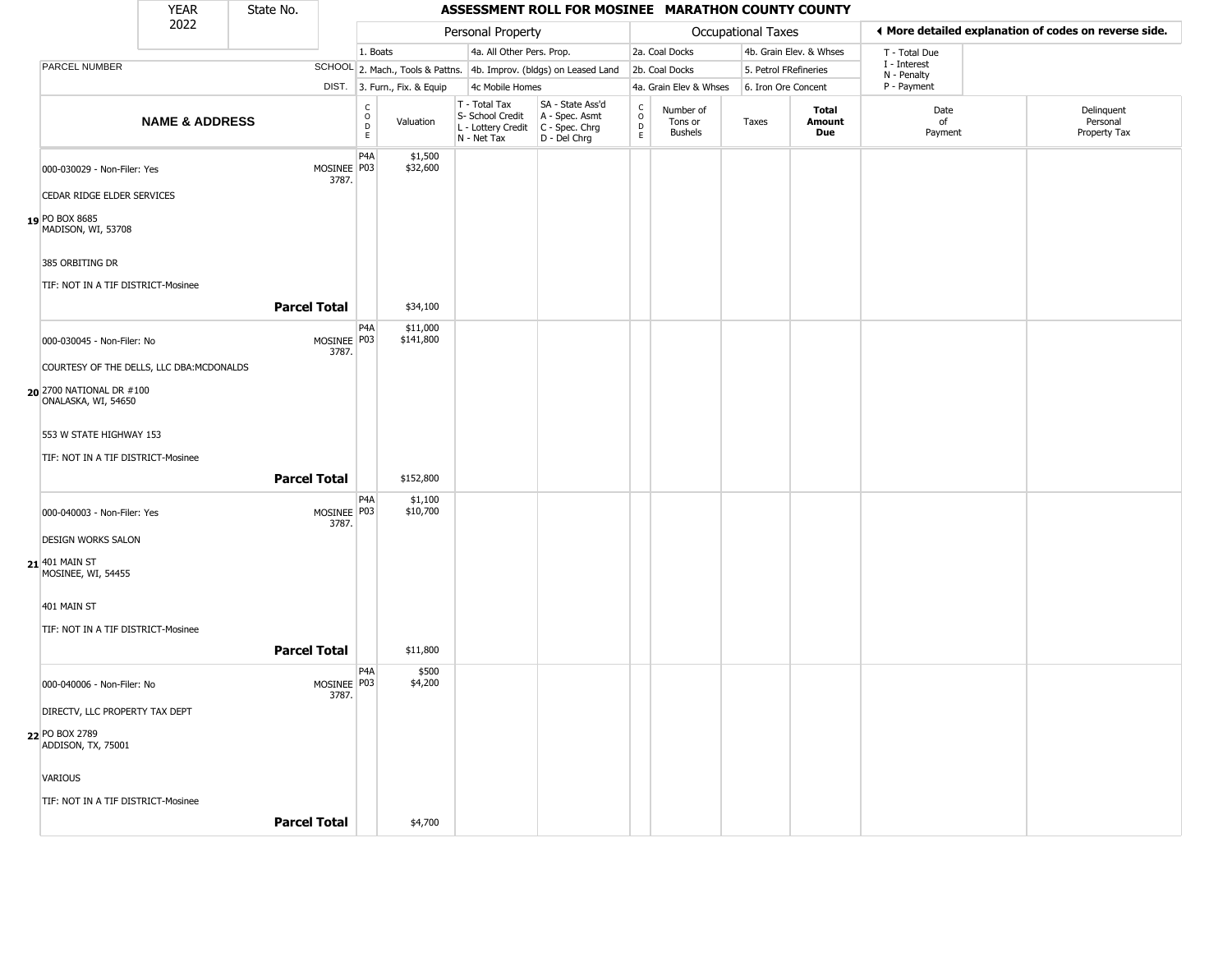|                                                 | <b>YEAR</b>                               | State No.           |                      |                                             |                              |                                                                                         | ASSESSMENT ROLL FOR MOSINEE MARATHON COUNTY COUNTY                  |                  |                                        |                       |                         |                             |                                                       |
|-------------------------------------------------|-------------------------------------------|---------------------|----------------------|---------------------------------------------|------------------------------|-----------------------------------------------------------------------------------------|---------------------------------------------------------------------|------------------|----------------------------------------|-----------------------|-------------------------|-----------------------------|-------------------------------------------------------|
|                                                 | 2022                                      |                     |                      |                                             |                              | Personal Property                                                                       |                                                                     |                  |                                        | Occupational Taxes    |                         |                             | ♦ More detailed explanation of codes on reverse side. |
|                                                 |                                           |                     |                      | 1. Boats                                    |                              | 4a. All Other Pers. Prop.                                                               |                                                                     |                  | 2a. Coal Docks                         |                       | 4b. Grain Elev. & Whses | T - Total Due               |                                                       |
| PARCEL NUMBER                                   |                                           |                     |                      |                                             |                              |                                                                                         | SCHOOL 2. Mach., Tools & Pattns. 4b. Improv. (bldgs) on Leased Land |                  | 2b. Coal Docks                         | 5. Petrol FRefineries |                         | I - Interest<br>N - Penalty |                                                       |
|                                                 |                                           |                     |                      |                                             | DIST. 3. Furn., Fix. & Equip | 4c Mobile Homes                                                                         |                                                                     |                  | 4a. Grain Elev & Whses                 | 6. Iron Ore Concent   |                         | P - Payment                 |                                                       |
|                                                 | <b>NAME &amp; ADDRESS</b>                 |                     |                      | $\frac{c}{0}$<br>$\mathsf D$<br>$\mathsf E$ | Valuation                    | T - Total Tax<br>S- School Credit<br>L - Lottery Credit   C - Spec. Chrg<br>N - Net Tax | SA - State Ass'd<br>A - Spec. Asmt<br>D - Del Chrg                  | C<br>D<br>E<br>E | Number of<br>Tons or<br><b>Bushels</b> | Taxes                 | Total<br>Amount<br>Due  | Date<br>of<br>Payment       | Delinquent<br>Personal<br>Property Tax                |
| 000-030029 - Non-Filer: Yes                     |                                           |                     | MOSINEE P03<br>3787. | P4A                                         | \$1,500<br>\$32,600          |                                                                                         |                                                                     |                  |                                        |                       |                         |                             |                                                       |
| CEDAR RIDGE ELDER SERVICES                      |                                           |                     |                      |                                             |                              |                                                                                         |                                                                     |                  |                                        |                       |                         |                             |                                                       |
| 19 PO BOX 8685<br>MADISON, WI, 53708            |                                           |                     |                      |                                             |                              |                                                                                         |                                                                     |                  |                                        |                       |                         |                             |                                                       |
| 385 ORBITING DR                                 |                                           |                     |                      |                                             |                              |                                                                                         |                                                                     |                  |                                        |                       |                         |                             |                                                       |
| TIF: NOT IN A TIF DISTRICT-Mosinee              |                                           | <b>Parcel Total</b> |                      |                                             | \$34,100                     |                                                                                         |                                                                     |                  |                                        |                       |                         |                             |                                                       |
| 000-030045 - Non-Filer: No                      |                                           |                     | MOSINEE   P03        | P <sub>4</sub> A                            | \$11,000<br>\$141,800        |                                                                                         |                                                                     |                  |                                        |                       |                         |                             |                                                       |
|                                                 | COURTESY OF THE DELLS, LLC DBA: MCDONALDS |                     | 3787.                |                                             |                              |                                                                                         |                                                                     |                  |                                        |                       |                         |                             |                                                       |
| 20 2700 NATIONAL DR #100<br>ONALASKA, WI, 54650 |                                           |                     |                      |                                             |                              |                                                                                         |                                                                     |                  |                                        |                       |                         |                             |                                                       |
| 553 W STATE HIGHWAY 153                         |                                           |                     |                      |                                             |                              |                                                                                         |                                                                     |                  |                                        |                       |                         |                             |                                                       |
| TIF: NOT IN A TIF DISTRICT-Mosinee              |                                           | <b>Parcel Total</b> |                      |                                             | \$152,800                    |                                                                                         |                                                                     |                  |                                        |                       |                         |                             |                                                       |
| 000-040003 - Non-Filer: Yes                     |                                           |                     | MOSINEE P03<br>3787. | P4A                                         | \$1,100<br>\$10,700          |                                                                                         |                                                                     |                  |                                        |                       |                         |                             |                                                       |
| <b>DESIGN WORKS SALON</b>                       |                                           |                     |                      |                                             |                              |                                                                                         |                                                                     |                  |                                        |                       |                         |                             |                                                       |
| 21 401 MAIN ST<br>MOSINEE, WI, 54455            |                                           |                     |                      |                                             |                              |                                                                                         |                                                                     |                  |                                        |                       |                         |                             |                                                       |
| 401 MAIN ST                                     |                                           |                     |                      |                                             |                              |                                                                                         |                                                                     |                  |                                        |                       |                         |                             |                                                       |
| TIF: NOT IN A TIF DISTRICT-Mosinee              |                                           | <b>Parcel Total</b> |                      |                                             | \$11,800                     |                                                                                         |                                                                     |                  |                                        |                       |                         |                             |                                                       |
|                                                 |                                           |                     |                      | P4A                                         | \$500                        |                                                                                         |                                                                     |                  |                                        |                       |                         |                             |                                                       |
| 000-040006 - Non-Filer: No                      |                                           |                     | MOSINEE P03<br>3787. |                                             | \$4,200                      |                                                                                         |                                                                     |                  |                                        |                       |                         |                             |                                                       |
| DIRECTV, LLC PROPERTY TAX DEPT                  |                                           |                     |                      |                                             |                              |                                                                                         |                                                                     |                  |                                        |                       |                         |                             |                                                       |
| 22 PO BOX 2789<br>ADDISON, TX, 75001            |                                           |                     |                      |                                             |                              |                                                                                         |                                                                     |                  |                                        |                       |                         |                             |                                                       |
| <b>VARIOUS</b>                                  |                                           |                     |                      |                                             |                              |                                                                                         |                                                                     |                  |                                        |                       |                         |                             |                                                       |
| TIF: NOT IN A TIF DISTRICT-Mosinee              |                                           |                     |                      |                                             |                              |                                                                                         |                                                                     |                  |                                        |                       |                         |                             |                                                       |
|                                                 |                                           | <b>Parcel Total</b> |                      |                                             | \$4,700                      |                                                                                         |                                                                     |                  |                                        |                       |                         |                             |                                                       |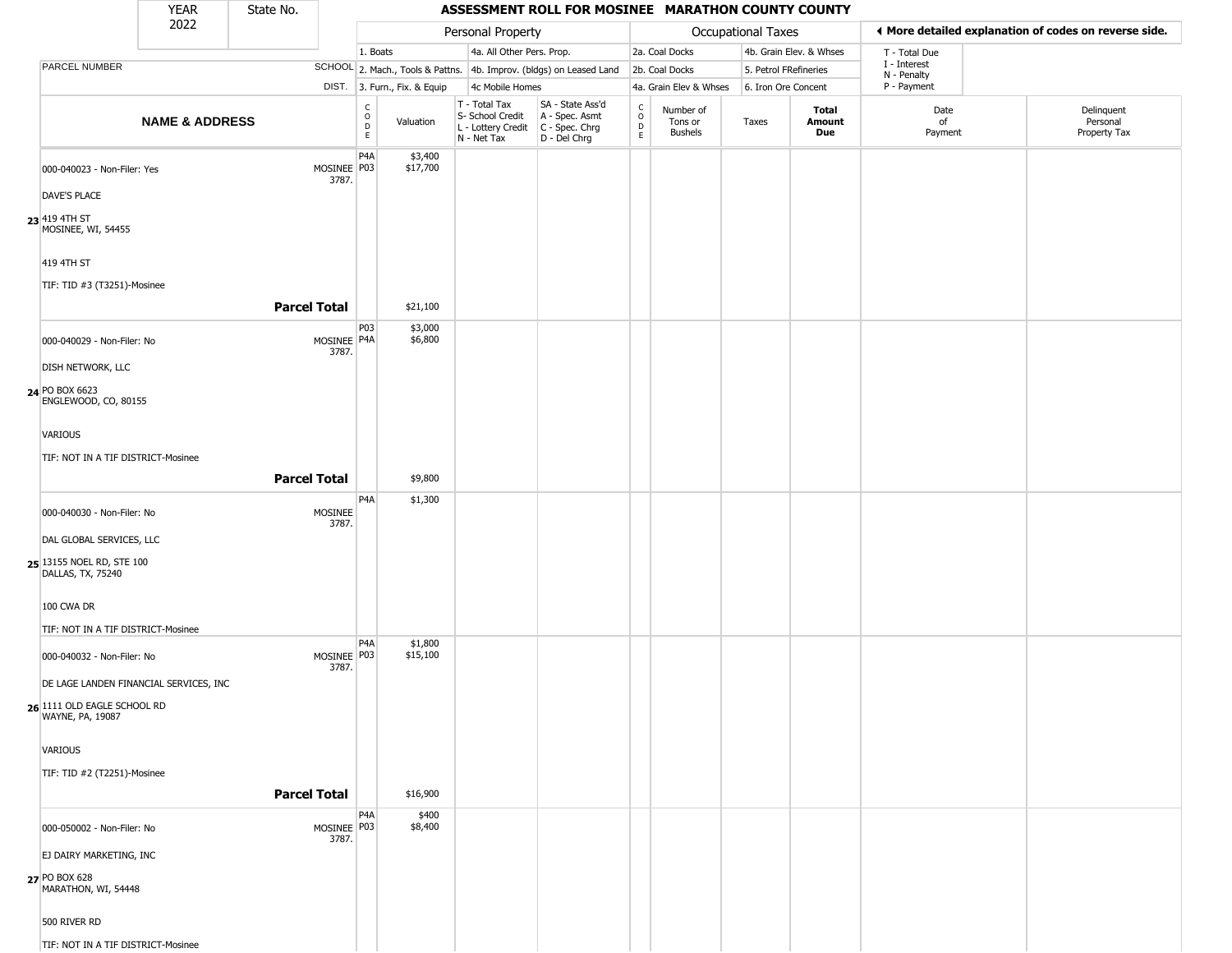|                                                                            | <b>YEAR</b>               | State No.           |                         |                                          |                              |                                                                                       | ASSESSMENT ROLL FOR MOSINEE MARATHON COUNTY COUNTY                  |                        |                                        |                       |                         |                             |                                                       |
|----------------------------------------------------------------------------|---------------------------|---------------------|-------------------------|------------------------------------------|------------------------------|---------------------------------------------------------------------------------------|---------------------------------------------------------------------|------------------------|----------------------------------------|-----------------------|-------------------------|-----------------------------|-------------------------------------------------------|
|                                                                            | 2022                      |                     |                         |                                          |                              | Personal Property                                                                     |                                                                     |                        |                                        | Occupational Taxes    |                         |                             | ♦ More detailed explanation of codes on reverse side. |
|                                                                            |                           |                     |                         | 1. Boats                                 |                              | 4a. All Other Pers. Prop.                                                             |                                                                     |                        | 2a. Coal Docks                         |                       | 4b. Grain Elev. & Whses | T - Total Due               |                                                       |
| PARCEL NUMBER                                                              |                           |                     |                         |                                          |                              |                                                                                       | SCHOOL 2. Mach., Tools & Pattns. 4b. Improv. (bldgs) on Leased Land |                        | 2b. Coal Docks                         | 5. Petrol FRefineries |                         | I - Interest<br>N - Penalty |                                                       |
|                                                                            |                           |                     |                         |                                          | DIST. 3. Furn., Fix. & Equip | 4c Mobile Homes                                                                       |                                                                     |                        | 4a. Grain Elev & Whses                 | 6. Iron Ore Concent   |                         | P - Payment                 |                                                       |
|                                                                            | <b>NAME &amp; ADDRESS</b> |                     |                         | $\rm _o^C$<br>$\mathsf D$<br>$\mathsf E$ | Valuation                    | T - Total Tax<br>S- School Credit<br>L - Lottery Credit C - Spec. Chrg<br>N - Net Tax | SA - State Ass'd<br>A - Spec. Asmt<br>D - Del Chrg                  | C<br>$\circ$<br>D<br>E | Number of<br>Tons or<br><b>Bushels</b> | Taxes                 | Total<br>Amount<br>Due  | Date<br>of<br>Payment       | Delinquent<br>Personal<br>Property Tax                |
| 000-040023 - Non-Filer: Yes                                                |                           |                     | MOSINEE P03<br>3787.    | P <sub>4</sub> A                         | \$3,400<br>\$17,700          |                                                                                       |                                                                     |                        |                                        |                       |                         |                             |                                                       |
| DAVE'S PLACE                                                               |                           |                     |                         |                                          |                              |                                                                                       |                                                                     |                        |                                        |                       |                         |                             |                                                       |
| 23 419 4TH ST<br>MOSINEE, WI, 54455                                        |                           |                     |                         |                                          |                              |                                                                                       |                                                                     |                        |                                        |                       |                         |                             |                                                       |
| 419 4TH ST                                                                 |                           |                     |                         |                                          |                              |                                                                                       |                                                                     |                        |                                        |                       |                         |                             |                                                       |
| TIF: TID #3 (T3251)-Mosinee                                                |                           | <b>Parcel Total</b> |                         |                                          | \$21,100                     |                                                                                       |                                                                     |                        |                                        |                       |                         |                             |                                                       |
| 000-040029 - Non-Filer: No                                                 |                           |                     | MOSINEE P4A             | P03                                      | \$3,000<br>\$6,800           |                                                                                       |                                                                     |                        |                                        |                       |                         |                             |                                                       |
| DISH NETWORK, LLC                                                          |                           |                     | 3787.                   |                                          |                              |                                                                                       |                                                                     |                        |                                        |                       |                         |                             |                                                       |
| 24 PO BOX 6623<br>ENGLEWOOD, CO, 80155                                     |                           |                     |                         |                                          |                              |                                                                                       |                                                                     |                        |                                        |                       |                         |                             |                                                       |
| VARIOUS                                                                    |                           |                     |                         |                                          |                              |                                                                                       |                                                                     |                        |                                        |                       |                         |                             |                                                       |
| TIF: NOT IN A TIF DISTRICT-Mosinee                                         |                           | <b>Parcel Total</b> |                         |                                          | \$9,800                      |                                                                                       |                                                                     |                        |                                        |                       |                         |                             |                                                       |
|                                                                            |                           |                     |                         | P4A                                      | \$1,300                      |                                                                                       |                                                                     |                        |                                        |                       |                         |                             |                                                       |
| 000-040030 - Non-Filer: No                                                 |                           |                     | <b>MOSINEE</b><br>3787. |                                          |                              |                                                                                       |                                                                     |                        |                                        |                       |                         |                             |                                                       |
| DAL GLOBAL SERVICES, LLC<br>25 13155 NOEL RD, STE 100<br>DALLAS, TX, 75240 |                           |                     |                         |                                          |                              |                                                                                       |                                                                     |                        |                                        |                       |                         |                             |                                                       |
| 100 CWA DR                                                                 |                           |                     |                         |                                          |                              |                                                                                       |                                                                     |                        |                                        |                       |                         |                             |                                                       |
| TIF: NOT IN A TIF DISTRICT-Mosinee                                         |                           |                     |                         |                                          |                              |                                                                                       |                                                                     |                        |                                        |                       |                         |                             |                                                       |
| 000-040032 - Non-Filer: No                                                 |                           |                     | MOSINEE P03<br>3787.    | P4A                                      | \$1,800<br>\$15,100          |                                                                                       |                                                                     |                        |                                        |                       |                         |                             |                                                       |
| DE LAGE LANDEN FINANCIAL SERVICES, INC                                     |                           |                     |                         |                                          |                              |                                                                                       |                                                                     |                        |                                        |                       |                         |                             |                                                       |
| 26 1111 OLD EAGLE SCHOOL RD<br>WAYNE, PA, 19087                            |                           |                     |                         |                                          |                              |                                                                                       |                                                                     |                        |                                        |                       |                         |                             |                                                       |
| <b>VARIOUS</b>                                                             |                           |                     |                         |                                          |                              |                                                                                       |                                                                     |                        |                                        |                       |                         |                             |                                                       |
| TIF: TID #2 (T2251)-Mosinee                                                |                           | <b>Parcel Total</b> |                         |                                          | \$16,900                     |                                                                                       |                                                                     |                        |                                        |                       |                         |                             |                                                       |
| 000-050002 - Non-Filer: No                                                 |                           |                     | MOSINEE P03             | P4A                                      | \$400<br>\$8,400             |                                                                                       |                                                                     |                        |                                        |                       |                         |                             |                                                       |
| EJ DAIRY MARKETING, INC                                                    |                           |                     | 3787.                   |                                          |                              |                                                                                       |                                                                     |                        |                                        |                       |                         |                             |                                                       |
| 27 PO BOX 628<br>MARATHON, WI, 54448                                       |                           |                     |                         |                                          |                              |                                                                                       |                                                                     |                        |                                        |                       |                         |                             |                                                       |
| 500 RIVER RD                                                               |                           |                     |                         |                                          |                              |                                                                                       |                                                                     |                        |                                        |                       |                         |                             |                                                       |
| TIF: NOT IN A TIF DISTRICT-Mosinee                                         |                           |                     |                         |                                          |                              |                                                                                       |                                                                     |                        |                                        |                       |                         |                             |                                                       |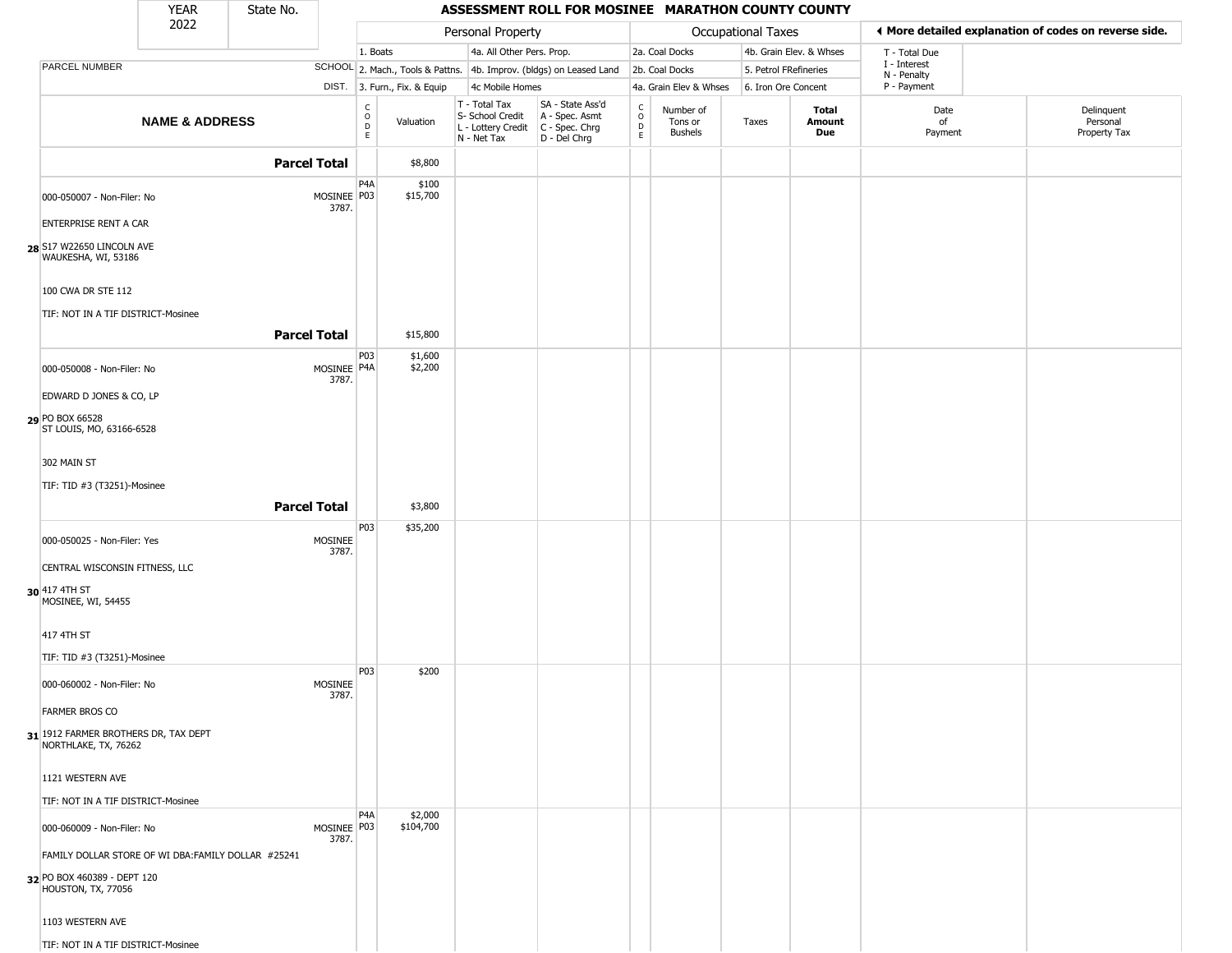|                                                                                                         | YEAR                      | State No.           |                        |                      |                              |                                                                                         | ASSESSMENT ROLL FOR MOSINEE MARATHON COUNTY COUNTY                  |                                                 |                                        |                       |                         |                             |                                                       |
|---------------------------------------------------------------------------------------------------------|---------------------------|---------------------|------------------------|----------------------|------------------------------|-----------------------------------------------------------------------------------------|---------------------------------------------------------------------|-------------------------------------------------|----------------------------------------|-----------------------|-------------------------|-----------------------------|-------------------------------------------------------|
|                                                                                                         | 2022                      |                     |                        |                      |                              | Personal Property                                                                       |                                                                     |                                                 |                                        | Occupational Taxes    |                         |                             | ♦ More detailed explanation of codes on reverse side. |
|                                                                                                         |                           |                     |                        | 1. Boats             |                              | 4a. All Other Pers. Prop.                                                               |                                                                     |                                                 | 2a. Coal Docks                         |                       | 4b. Grain Elev. & Whses | T - Total Due               |                                                       |
| PARCEL NUMBER                                                                                           |                           |                     |                        |                      |                              |                                                                                         | SCHOOL 2. Mach., Tools & Pattns. 4b. Improv. (bldgs) on Leased Land |                                                 | 2b. Coal Docks                         | 5. Petrol FRefineries |                         | I - Interest<br>N - Penalty |                                                       |
|                                                                                                         |                           |                     |                        |                      | DIST. 3. Furn., Fix. & Equip | 4c Mobile Homes                                                                         |                                                                     |                                                 | 4a. Grain Elev & Whses                 | 6. Iron Ore Concent   |                         | P - Payment                 |                                                       |
|                                                                                                         | <b>NAME &amp; ADDRESS</b> |                     |                        | $\rm _o^C$<br>D<br>E | Valuation                    | T - Total Tax<br>S- School Credit<br>L - Lottery Credit   C - Spec. Chrg<br>N - Net Tax | SA - State Ass'd<br>A - Spec. Asmt<br>D - Del Chrg                  | $\begin{array}{c} C \\ O \\ D \\ E \end{array}$ | Number of<br>Tons or<br><b>Bushels</b> | Taxes                 | Total<br>Amount<br>Due  | Date<br>of<br>Payment       | Delinquent<br>Personal<br>Property Tax                |
|                                                                                                         |                           | <b>Parcel Total</b> |                        |                      | \$8,800                      |                                                                                         |                                                                     |                                                 |                                        |                       |                         |                             |                                                       |
| 000-050007 - Non-Filer: No                                                                              |                           |                     | MOSINEE P03<br>3787.   | P <sub>4</sub> A     | \$100<br>\$15,700            |                                                                                         |                                                                     |                                                 |                                        |                       |                         |                             |                                                       |
| <b>ENTERPRISE RENT A CAR</b><br>28 S17 W22650 LINCOLN AVE<br>WAUKESHA, WI, 53186                        |                           |                     |                        |                      |                              |                                                                                         |                                                                     |                                                 |                                        |                       |                         |                             |                                                       |
| 100 CWA DR STE 112                                                                                      |                           |                     |                        |                      |                              |                                                                                         |                                                                     |                                                 |                                        |                       |                         |                             |                                                       |
| TIF: NOT IN A TIF DISTRICT-Mosinee                                                                      |                           | <b>Parcel Total</b> |                        |                      | \$15,800                     |                                                                                         |                                                                     |                                                 |                                        |                       |                         |                             |                                                       |
| 000-050008 - Non-Filer: No                                                                              |                           |                     | MOSINEE P4A<br>3787.   | P03                  | \$1,600<br>\$2,200           |                                                                                         |                                                                     |                                                 |                                        |                       |                         |                             |                                                       |
| EDWARD D JONES & CO, LP                                                                                 |                           |                     |                        |                      |                              |                                                                                         |                                                                     |                                                 |                                        |                       |                         |                             |                                                       |
| 29 PO BOX 66528<br>ST LOUIS, MO, 63166-6528                                                             |                           |                     |                        |                      |                              |                                                                                         |                                                                     |                                                 |                                        |                       |                         |                             |                                                       |
| 302 MAIN ST                                                                                             |                           |                     |                        |                      |                              |                                                                                         |                                                                     |                                                 |                                        |                       |                         |                             |                                                       |
| TIF: TID #3 (T3251)-Mosinee                                                                             |                           | <b>Parcel Total</b> |                        |                      | \$3,800                      |                                                                                         |                                                                     |                                                 |                                        |                       |                         |                             |                                                       |
| 000-050025 - Non-Filer: Yes                                                                             |                           |                     | MOSINEE<br>3787.       | P03                  | \$35,200                     |                                                                                         |                                                                     |                                                 |                                        |                       |                         |                             |                                                       |
| CENTRAL WISCONSIN FITNESS, LLC                                                                          |                           |                     |                        |                      |                              |                                                                                         |                                                                     |                                                 |                                        |                       |                         |                             |                                                       |
| 30 417 4TH ST<br>MOSINEE, WI, 54455                                                                     |                           |                     |                        |                      |                              |                                                                                         |                                                                     |                                                 |                                        |                       |                         |                             |                                                       |
| 417 4TH ST                                                                                              |                           |                     |                        |                      |                              |                                                                                         |                                                                     |                                                 |                                        |                       |                         |                             |                                                       |
| TIF: TID #3 (T3251)-Mosinee                                                                             |                           |                     |                        | P03                  | \$200                        |                                                                                         |                                                                     |                                                 |                                        |                       |                         |                             |                                                       |
| 000-060002 - Non-Filer: No<br><b>FARMER BROS CO</b>                                                     |                           |                     | MOSINEE<br>3787.       |                      |                              |                                                                                         |                                                                     |                                                 |                                        |                       |                         |                             |                                                       |
| $31$ 1912 Farmer brothers DR, tax dept<br>NORTHLAKE, TX, 76262                                          |                           |                     |                        |                      |                              |                                                                                         |                                                                     |                                                 |                                        |                       |                         |                             |                                                       |
| 1121 WESTERN AVE                                                                                        |                           |                     |                        |                      |                              |                                                                                         |                                                                     |                                                 |                                        |                       |                         |                             |                                                       |
| TIF: NOT IN A TIF DISTRICT-Mosinee                                                                      |                           |                     |                        |                      |                              |                                                                                         |                                                                     |                                                 |                                        |                       |                         |                             |                                                       |
| 000-060009 - Non-Filer: No                                                                              |                           |                     | MOSINEE   P03<br>3787. | P <sub>4</sub> A     | \$2,000<br>\$104,700         |                                                                                         |                                                                     |                                                 |                                        |                       |                         |                             |                                                       |
| FAMILY DOLLAR STORE OF WI DBA:FAMILY DOLLAR #25241<br>32 PO BOX 460389 - DEPT 120<br>HOUSTON, TX, 77056 |                           |                     |                        |                      |                              |                                                                                         |                                                                     |                                                 |                                        |                       |                         |                             |                                                       |
| 1103 WESTERN AVE                                                                                        |                           |                     |                        |                      |                              |                                                                                         |                                                                     |                                                 |                                        |                       |                         |                             |                                                       |
| TIF: NOT IN A TIF DISTRICT-Mosinee                                                                      |                           |                     |                        |                      |                              |                                                                                         |                                                                     |                                                 |                                        |                       |                         |                             |                                                       |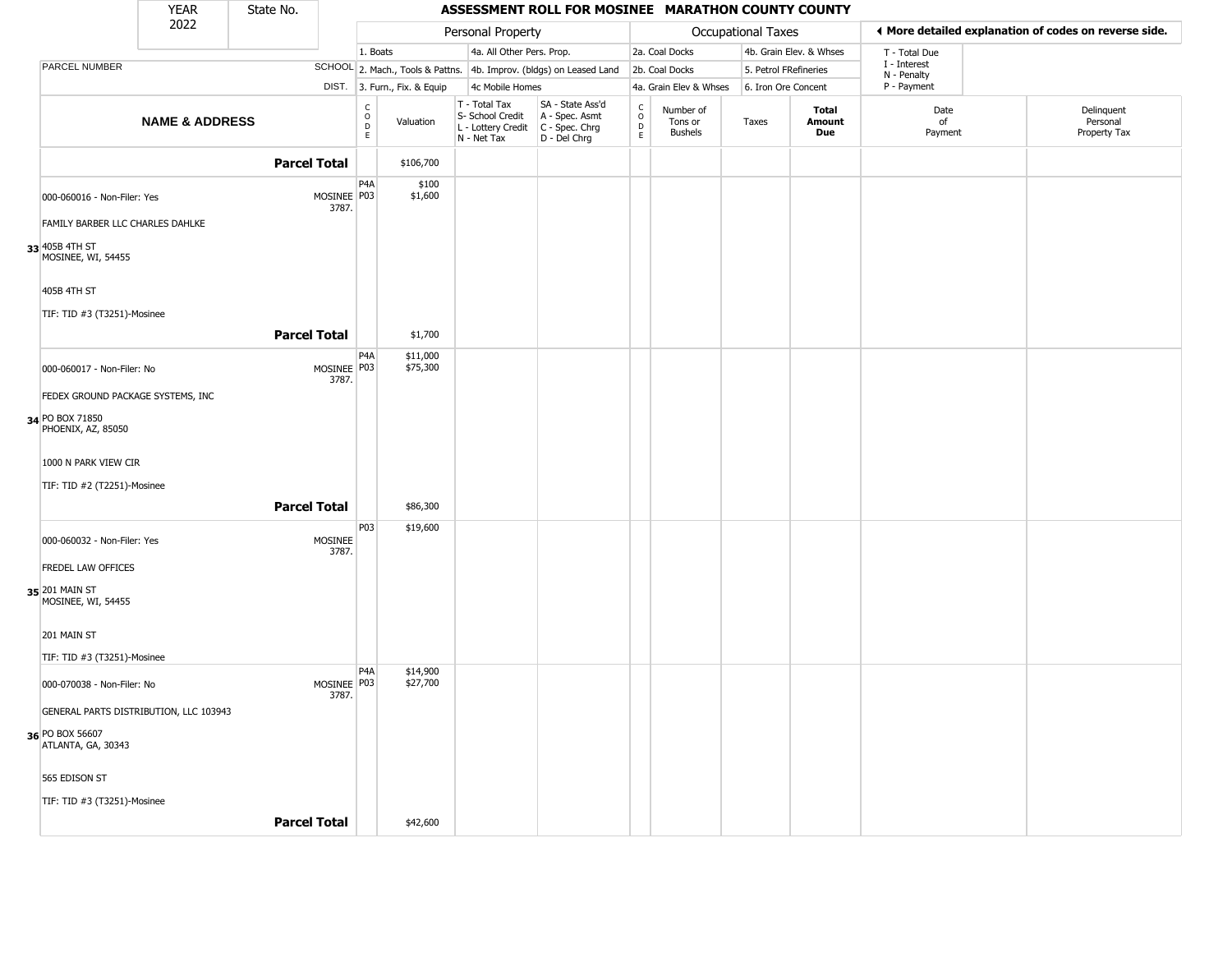|                                                                          | <b>YEAR</b>                            | State No.           |                        |                                   |                              |                                                                        | ASSESSMENT ROLL FOR MOSINEE MARATHON COUNTY COUNTY                     |                  |                                        |                     |                         |                             |                                                       |
|--------------------------------------------------------------------------|----------------------------------------|---------------------|------------------------|-----------------------------------|------------------------------|------------------------------------------------------------------------|------------------------------------------------------------------------|------------------|----------------------------------------|---------------------|-------------------------|-----------------------------|-------------------------------------------------------|
|                                                                          | 2022                                   |                     |                        |                                   |                              | Personal Property                                                      |                                                                        |                  |                                        | Occupational Taxes  |                         |                             | I More detailed explanation of codes on reverse side. |
|                                                                          |                                        |                     |                        | 1. Boats                          |                              | 4a. All Other Pers. Prop.                                              |                                                                        |                  | 2a. Coal Docks                         |                     | 4b. Grain Elev. & Whses | T - Total Due               |                                                       |
| PARCEL NUMBER                                                            |                                        |                     |                        |                                   |                              |                                                                        | SCHOOL 2. Mach., Tools & Pattns. 4b. Improv. (bldgs) on Leased Land    |                  | 2b. Coal Docks                         |                     | 5. Petrol FRefineries   | I - Interest<br>N - Penalty |                                                       |
|                                                                          |                                        |                     |                        |                                   | DIST. 3. Furn., Fix. & Equip | 4c Mobile Homes                                                        |                                                                        |                  | 4a. Grain Elev & Whses                 | 6. Iron Ore Concent |                         | P - Payment                 |                                                       |
|                                                                          | <b>NAME &amp; ADDRESS</b>              |                     |                        | $\frac{C}{O}$<br>$\mathsf D$<br>E | Valuation                    | T - Total Tax<br>S- School Credit<br>L - Lottery Credit<br>N - Net Tax | SA - State Ass'd<br>A - Spec. Asmt<br>$C - Spec. Chrg$<br>D - Del Chrg | C<br>D<br>D<br>E | Number of<br>Tons or<br><b>Bushels</b> | Taxes               | Total<br>Amount<br>Due  | Date<br>of<br>Payment       | Delinquent<br>Personal<br>Property Tax                |
|                                                                          |                                        | <b>Parcel Total</b> |                        |                                   | \$106,700                    |                                                                        |                                                                        |                  |                                        |                     |                         |                             |                                                       |
| 000-060016 - Non-Filer: Yes                                              |                                        |                     | MOSINEE   P03<br>3787. | P4A                               | \$100<br>\$1,600             |                                                                        |                                                                        |                  |                                        |                     |                         |                             |                                                       |
| FAMILY BARBER LLC CHARLES DAHLKE<br>33 405B 4TH ST<br>MOSINEE, WI, 54455 |                                        |                     |                        |                                   |                              |                                                                        |                                                                        |                  |                                        |                     |                         |                             |                                                       |
| 405B 4TH ST<br>TIF: TID #3 (T3251)-Mosinee                               |                                        |                     |                        |                                   |                              |                                                                        |                                                                        |                  |                                        |                     |                         |                             |                                                       |
|                                                                          |                                        | <b>Parcel Total</b> |                        |                                   | \$1,700                      |                                                                        |                                                                        |                  |                                        |                     |                         |                             |                                                       |
| 000-060017 - Non-Filer: No                                               |                                        |                     | MOSINEE   P03<br>3787. | P4A                               | \$11,000<br>\$75,300         |                                                                        |                                                                        |                  |                                        |                     |                         |                             |                                                       |
|                                                                          | FEDEX GROUND PACKAGE SYSTEMS, INC      |                     |                        |                                   |                              |                                                                        |                                                                        |                  |                                        |                     |                         |                             |                                                       |
| 34 PO BOX 71850<br>PHOENIX, AZ, 85050                                    |                                        |                     |                        |                                   |                              |                                                                        |                                                                        |                  |                                        |                     |                         |                             |                                                       |
| 1000 N PARK VIEW CIR<br>TIF: TID #2 (T2251)-Mosinee                      |                                        |                     |                        |                                   |                              |                                                                        |                                                                        |                  |                                        |                     |                         |                             |                                                       |
|                                                                          |                                        | <b>Parcel Total</b> |                        |                                   | \$86,300                     |                                                                        |                                                                        |                  |                                        |                     |                         |                             |                                                       |
| 000-060032 - Non-Filer: Yes                                              |                                        |                     | MOSINEE<br>3787.       | P03                               | \$19,600                     |                                                                        |                                                                        |                  |                                        |                     |                         |                             |                                                       |
| <b>FREDEL LAW OFFICES</b>                                                |                                        |                     |                        |                                   |                              |                                                                        |                                                                        |                  |                                        |                     |                         |                             |                                                       |
| 35 201 MAIN ST<br>MOSINEE, WI, 54455                                     |                                        |                     |                        |                                   |                              |                                                                        |                                                                        |                  |                                        |                     |                         |                             |                                                       |
| 201 MAIN ST                                                              |                                        |                     |                        |                                   |                              |                                                                        |                                                                        |                  |                                        |                     |                         |                             |                                                       |
| TIF: TID #3 (T3251)-Mosinee                                              |                                        |                     |                        |                                   |                              |                                                                        |                                                                        |                  |                                        |                     |                         |                             |                                                       |
| 000-070038 - Non-Filer: No                                               |                                        |                     | MOSINEE P03<br>3787.   | P4A                               | \$14,900<br>\$27,700         |                                                                        |                                                                        |                  |                                        |                     |                         |                             |                                                       |
|                                                                          | GENERAL PARTS DISTRIBUTION, LLC 103943 |                     |                        |                                   |                              |                                                                        |                                                                        |                  |                                        |                     |                         |                             |                                                       |
| 36 PO BOX 56607<br>ATLANTA, GA, 30343                                    |                                        |                     |                        |                                   |                              |                                                                        |                                                                        |                  |                                        |                     |                         |                             |                                                       |
| 565 EDISON ST                                                            |                                        |                     |                        |                                   |                              |                                                                        |                                                                        |                  |                                        |                     |                         |                             |                                                       |
| TIF: TID #3 (T3251)-Mosinee                                              |                                        |                     |                        |                                   |                              |                                                                        |                                                                        |                  |                                        |                     |                         |                             |                                                       |
|                                                                          |                                        | <b>Parcel Total</b> |                        |                                   | \$42,600                     |                                                                        |                                                                        |                  |                                        |                     |                         |                             |                                                       |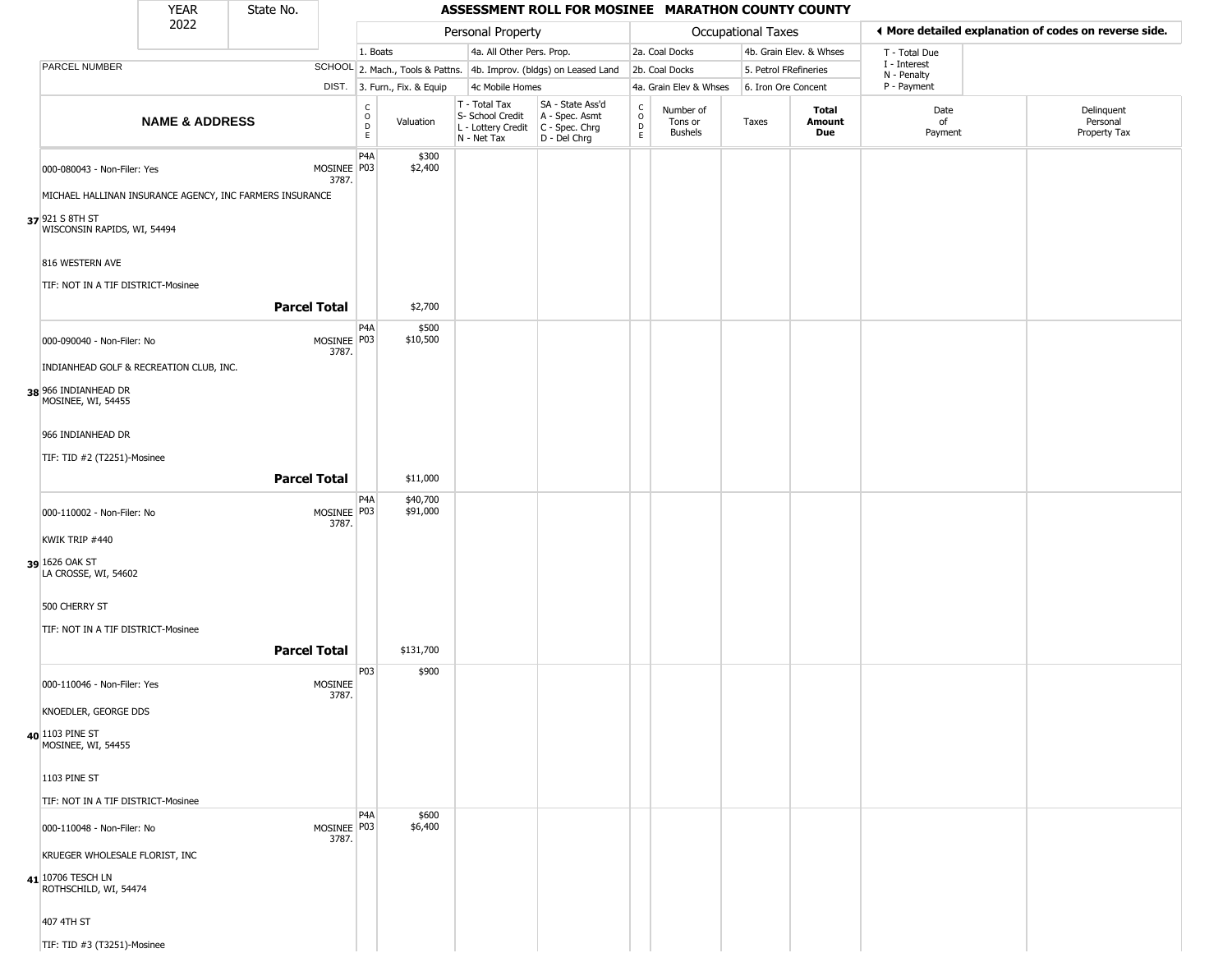#### YEAR **ASSESSMENT ROLL FOR MOSINEE MARATHON COUNTY COUNTY** 2022 DIST. 3. Furn., Fix. & Equip PARCEL NUMBER **NAME & ADDRESS** State No. C O D E Valuation T - Total Tax S- School Credit A - Spec. Asmt L - Lottery Credit C - Spec. Chrg N - Net Tax SA - State Ass'd D - Del Chrg C O D E Number of Tons or Bushels Taxes **Total Amount Due** Date of Payment Delinquent Personal Property Tax Personal Property **Department Controller Service Controller** Occupational Taxes 1. Boats **4a. All Other Pers. Prop.** 2a. Coal Docks 4b. Grain Elev. & Whses SCHOOL 2. Mach., Tools & Pattns. 4b. Improv. (bldgs) on Leased Land 2b. Coal Docks 5. Petrol FRefineries 4c Mobile Homes 4a. Grain Elev & Whses 6. Iron Ore Concent T - Total Due I - Interest N - Penalty P - Payment 3**More detailed explanation of codes on reverse side. 37** 921 S 8TH ST  $000-080043$  - Non-Filer: Yes 3787. MICHAEL HALLINAN INSURANCE AGENCY, INC FARMERS INSURANCE WISCONSIN RAPIDS, WI, 54494 816 WESTERN AVE TIF: NOT IN A TIF DISTRICT-Mosinee P4A MOSINEE | P03 \$300 \$2,400 **Parcel Total** 1 \$2,700 **38** 966 INDIANHEAD DR  $000-090040$  - Non-Filer: No 3787. INDIANHEAD GOLF & RECREATION CLUB, INC. MOSINEE, WI, 54455 966 INDIANHEAD DR TIF: TID #2 (T2251)-Mosinee P4A MOSINEE P03 \$500 \$10,500 **Parcel Total | \$11,000 39** 1626 OAK ST  $000-110002$  - Non-Filer: No 3787. KWIK TRIP #440 LA CROSSE, WI, 54602 500 CHERRY ST TIF: NOT IN A TIF DISTRICT-Mosinee P4A MOSINEE P03 \$40,700 \$91,000 **Parcel Total** \$131,700 **40** 1103 PINE ST 000-110046 - Non-Filer: Yes MOSINEE 3787. KNOEDLER, GEORGE DDS MOSINEE, WI, 54455 1103 PINE ST TIF: NOT IN A TIF DISTRICT-Mosinee P03 \$900 **41** 10706 TESCH LN 000-110048 - Non-Filer: No 3787. KRUEGER WHOLESALE FLORIST, INC ROTHSCHILD, WI, 54474 407 4TH ST TIF: TID #3 (T3251)-Mosinee P4A MOSINEE P03 \$600 \$6,400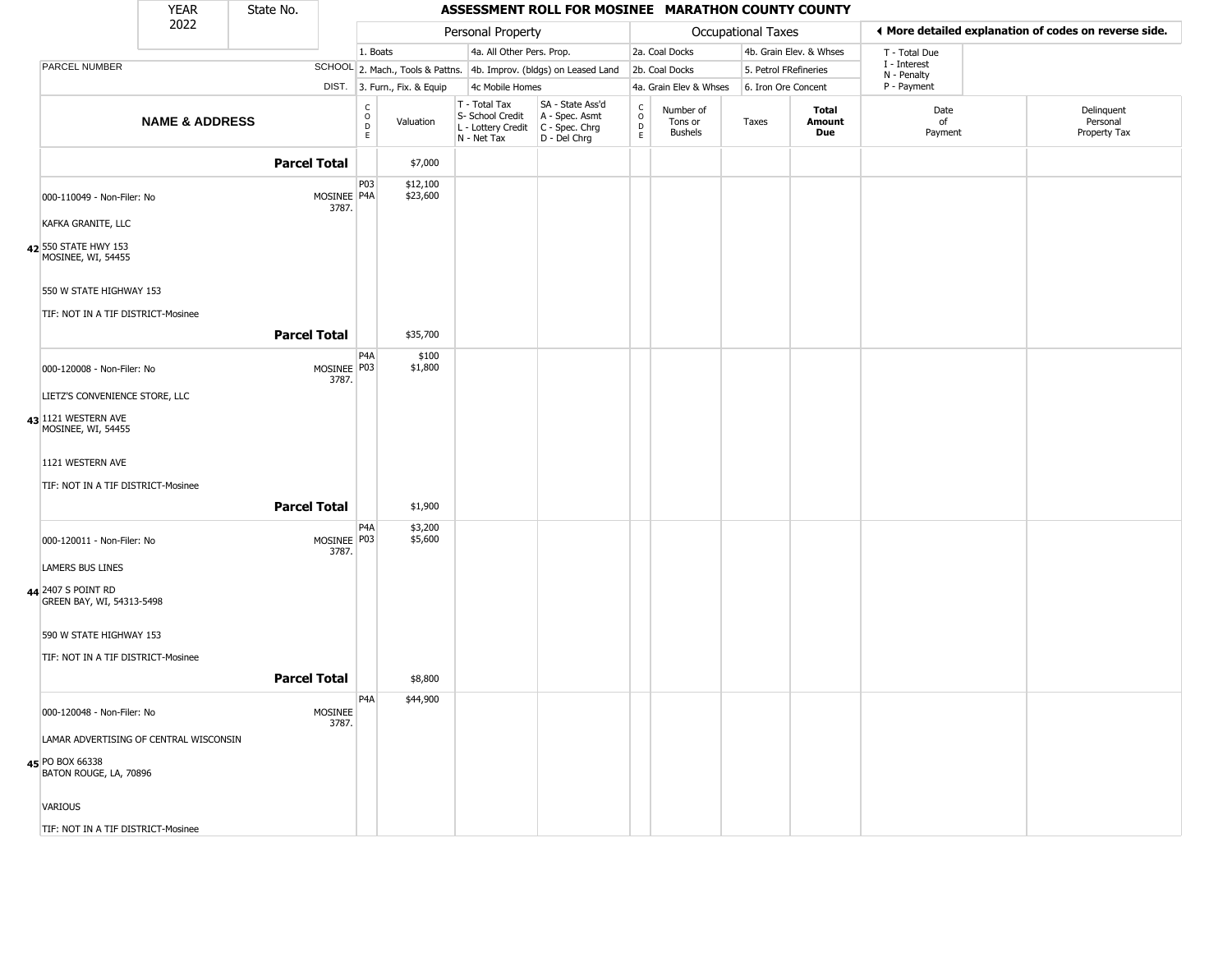|                                                                  | <b>YEAR</b>               | State No.           |                      |                                      |                              |                                                                        | ASSESSMENT ROLL FOR MOSINEE MARATHON COUNTY COUNTY                   |                             |                                        |                           |                         |                             |                                                       |
|------------------------------------------------------------------|---------------------------|---------------------|----------------------|--------------------------------------|------------------------------|------------------------------------------------------------------------|----------------------------------------------------------------------|-----------------------------|----------------------------------------|---------------------------|-------------------------|-----------------------------|-------------------------------------------------------|
|                                                                  | 2022                      |                     |                      |                                      |                              | Personal Property                                                      |                                                                      |                             |                                        | <b>Occupational Taxes</b> |                         |                             | ♦ More detailed explanation of codes on reverse side. |
|                                                                  |                           |                     |                      | 1. Boats                             |                              | 4a. All Other Pers. Prop.                                              |                                                                      |                             | 2a. Coal Docks                         |                           | 4b. Grain Elev. & Whses | T - Total Due               |                                                       |
| PARCEL NUMBER                                                    |                           |                     |                      |                                      |                              |                                                                        | SCHOOL 2. Mach., Tools & Pattns. 4b. Improv. (bldgs) on Leased Land  |                             | 2b. Coal Docks                         |                           | 5. Petrol FRefineries   | I - Interest<br>N - Penalty |                                                       |
|                                                                  |                           |                     |                      |                                      | DIST. 3. Furn., Fix. & Equip | 4c Mobile Homes                                                        |                                                                      |                             | 4a. Grain Elev & Whses                 |                           | 6. Iron Ore Concent     | P - Payment                 |                                                       |
|                                                                  | <b>NAME &amp; ADDRESS</b> |                     |                      | C<br>$\mathsf O$<br>$\mathsf D$<br>E | Valuation                    | T - Total Tax<br>S- School Credit<br>L - Lottery Credit<br>N - Net Tax | SA - State Ass'd<br>A - Spec. Asmt<br>C - Spec. Chrg<br>D - Del Chrg | C<br>$\mathsf{O}$<br>D<br>E | Number of<br>Tons or<br><b>Bushels</b> | Taxes                     | Total<br>Amount<br>Due  | Date<br>of<br>Payment       | Delinquent<br>Personal<br>Property Tax                |
|                                                                  |                           | <b>Parcel Total</b> |                      |                                      | \$7,000                      |                                                                        |                                                                      |                             |                                        |                           |                         |                             |                                                       |
| 000-110049 - Non-Filer: No                                       |                           |                     | MOSINEE P4A<br>3787. | P03                                  | \$12,100<br>\$23,600         |                                                                        |                                                                      |                             |                                        |                           |                         |                             |                                                       |
| KAFKA GRANITE, LLC<br>42 550 STATE HWY 153<br>MOSINEE, WI, 54455 |                           |                     |                      |                                      |                              |                                                                        |                                                                      |                             |                                        |                           |                         |                             |                                                       |
| 550 W STATE HIGHWAY 153<br>TIF: NOT IN A TIF DISTRICT-Mosinee    |                           |                     |                      |                                      |                              |                                                                        |                                                                      |                             |                                        |                           |                         |                             |                                                       |
|                                                                  |                           | <b>Parcel Total</b> |                      |                                      | \$35,700                     |                                                                        |                                                                      |                             |                                        |                           |                         |                             |                                                       |
| 000-120008 - Non-Filer: No                                       |                           |                     | MOSINEE P03<br>3787. | P <sub>4</sub> A                     | \$100<br>\$1,800             |                                                                        |                                                                      |                             |                                        |                           |                         |                             |                                                       |
| LIETZ'S CONVENIENCE STORE, LLC                                   |                           |                     |                      |                                      |                              |                                                                        |                                                                      |                             |                                        |                           |                         |                             |                                                       |
| 43 1121 WESTERN AVE<br>MOSINEE, WI, 54455                        |                           |                     |                      |                                      |                              |                                                                        |                                                                      |                             |                                        |                           |                         |                             |                                                       |
| 1121 WESTERN AVE                                                 |                           |                     |                      |                                      |                              |                                                                        |                                                                      |                             |                                        |                           |                         |                             |                                                       |
| TIF: NOT IN A TIF DISTRICT-Mosinee                               |                           |                     |                      |                                      |                              |                                                                        |                                                                      |                             |                                        |                           |                         |                             |                                                       |
|                                                                  |                           | <b>Parcel Total</b> |                      |                                      | \$1,900                      |                                                                        |                                                                      |                             |                                        |                           |                         |                             |                                                       |
| 000-120011 - Non-Filer: No                                       |                           |                     | MOSINEE P03<br>3787. | P <sub>4</sub> A                     | \$3,200<br>\$5,600           |                                                                        |                                                                      |                             |                                        |                           |                         |                             |                                                       |
| <b>LAMERS BUS LINES</b>                                          |                           |                     |                      |                                      |                              |                                                                        |                                                                      |                             |                                        |                           |                         |                             |                                                       |
| 44 2407 S POINT RD<br>GREEN BAY, WI, 54313-5498                  |                           |                     |                      |                                      |                              |                                                                        |                                                                      |                             |                                        |                           |                         |                             |                                                       |
| 590 W STATE HIGHWAY 153                                          |                           |                     |                      |                                      |                              |                                                                        |                                                                      |                             |                                        |                           |                         |                             |                                                       |
| TIF: NOT IN A TIF DISTRICT-Mosinee                               |                           |                     |                      |                                      |                              |                                                                        |                                                                      |                             |                                        |                           |                         |                             |                                                       |
|                                                                  |                           | <b>Parcel Total</b> |                      |                                      | \$8,800                      |                                                                        |                                                                      |                             |                                        |                           |                         |                             |                                                       |
| 000-120048 - Non-Filer: No                                       |                           |                     | MOSINEE<br>3787.     | P4A                                  | \$44,900                     |                                                                        |                                                                      |                             |                                        |                           |                         |                             |                                                       |
| LAMAR ADVERTISING OF CENTRAL WISCONSIN                           |                           |                     |                      |                                      |                              |                                                                        |                                                                      |                             |                                        |                           |                         |                             |                                                       |
| 45 PO BOX 66338<br>BATON ROUGE, LA, 70896                        |                           |                     |                      |                                      |                              |                                                                        |                                                                      |                             |                                        |                           |                         |                             |                                                       |
| VARIOUS                                                          |                           |                     |                      |                                      |                              |                                                                        |                                                                      |                             |                                        |                           |                         |                             |                                                       |
| TIF: NOT IN A TIF DISTRICT-Mosinee                               |                           |                     |                      |                                      |                              |                                                                        |                                                                      |                             |                                        |                           |                         |                             |                                                       |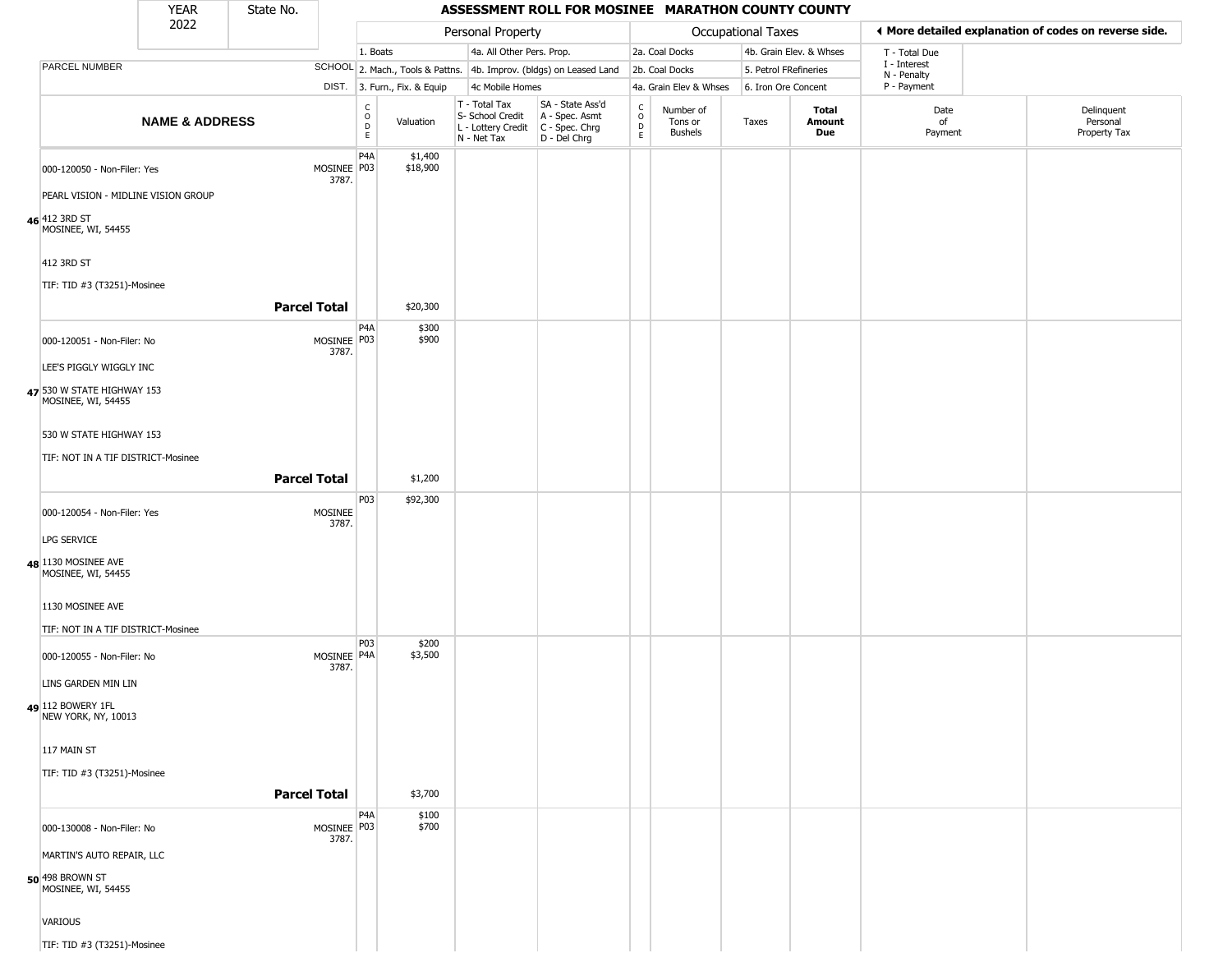|                                                      | <b>YEAR</b>               | State No.           |                        |                                              |                              |                                                                                         | ASSESSMENT ROLL FOR MOSINEE MARATHON COUNTY COUNTY                  |                                            |                                        |                       |                         |                             |                                                       |
|------------------------------------------------------|---------------------------|---------------------|------------------------|----------------------------------------------|------------------------------|-----------------------------------------------------------------------------------------|---------------------------------------------------------------------|--------------------------------------------|----------------------------------------|-----------------------|-------------------------|-----------------------------|-------------------------------------------------------|
|                                                      | 2022                      |                     |                        |                                              |                              | Personal Property                                                                       |                                                                     |                                            |                                        | Occupational Taxes    |                         |                             | ◀ More detailed explanation of codes on reverse side. |
|                                                      |                           |                     |                        | 1. Boats                                     |                              | 4a. All Other Pers. Prop.                                                               |                                                                     |                                            | 2a. Coal Docks                         |                       | 4b. Grain Elev. & Whses | T - Total Due               |                                                       |
| PARCEL NUMBER                                        |                           |                     |                        |                                              |                              |                                                                                         | SCHOOL 2. Mach., Tools & Pattns. 4b. Improv. (bldgs) on Leased Land |                                            | 2b. Coal Docks                         | 5. Petrol FRefineries |                         | I - Interest<br>N - Penalty |                                                       |
|                                                      |                           |                     |                        |                                              | DIST. 3. Furn., Fix. & Equip | 4c Mobile Homes                                                                         |                                                                     |                                            | 4a. Grain Elev & Whses                 | 6. Iron Ore Concent   |                         | P - Payment                 |                                                       |
|                                                      | <b>NAME &amp; ADDRESS</b> |                     |                        | $\begin{array}{c}\nC \\ O \\ D\n\end{array}$ | Valuation                    | T - Total Tax<br>S- School Credit<br>L - Lottery Credit   C - Spec. Chrg<br>N - Net Tax | SA - State Ass'd<br>A - Spec. Asmt<br>D - Del Chrg                  | $\begin{array}{c} C \\ 0 \\ E \end{array}$ | Number of<br>Tons or<br><b>Bushels</b> | Taxes                 | Total<br>Amount<br>Due  | Date<br>of<br>Payment       | Delinquent<br>Personal<br>Property Tax                |
| 000-120050 - Non-Filer: Yes                          |                           |                     | MOSINEE P03<br>3787.   | P4A                                          | \$1,400<br>\$18,900          |                                                                                         |                                                                     |                                            |                                        |                       |                         |                             |                                                       |
| PEARL VISION - MIDLINE VISION GROUP<br>46 412 3RD ST |                           |                     |                        |                                              |                              |                                                                                         |                                                                     |                                            |                                        |                       |                         |                             |                                                       |
| MOSINEE, WI, 54455<br>412 3RD ST                     |                           |                     |                        |                                              |                              |                                                                                         |                                                                     |                                            |                                        |                       |                         |                             |                                                       |
| TIF: TID #3 (T3251)-Mosinee                          |                           |                     |                        |                                              |                              |                                                                                         |                                                                     |                                            |                                        |                       |                         |                             |                                                       |
|                                                      |                           | <b>Parcel Total</b> |                        |                                              | \$20,300                     |                                                                                         |                                                                     |                                            |                                        |                       |                         |                             |                                                       |
| 000-120051 - Non-Filer: No                           |                           |                     | MOSINEE P03<br>3787.   | P4A                                          | \$300<br>\$900               |                                                                                         |                                                                     |                                            |                                        |                       |                         |                             |                                                       |
| LEE'S PIGGLY WIGGLY INC                              |                           |                     |                        |                                              |                              |                                                                                         |                                                                     |                                            |                                        |                       |                         |                             |                                                       |
| 47 530 W STATE HIGHWAY 153<br>MOSINEE, WI, 54455     |                           |                     |                        |                                              |                              |                                                                                         |                                                                     |                                            |                                        |                       |                         |                             |                                                       |
| 530 W STATE HIGHWAY 153                              |                           |                     |                        |                                              |                              |                                                                                         |                                                                     |                                            |                                        |                       |                         |                             |                                                       |
| TIF: NOT IN A TIF DISTRICT-Mosinee                   |                           |                     |                        |                                              |                              |                                                                                         |                                                                     |                                            |                                        |                       |                         |                             |                                                       |
|                                                      |                           | <b>Parcel Total</b> |                        |                                              | \$1,200                      |                                                                                         |                                                                     |                                            |                                        |                       |                         |                             |                                                       |
|                                                      |                           |                     |                        | P03                                          | \$92,300                     |                                                                                         |                                                                     |                                            |                                        |                       |                         |                             |                                                       |
| 000-120054 - Non-Filer: Yes                          |                           |                     | MOSINEE<br>3787.       |                                              |                              |                                                                                         |                                                                     |                                            |                                        |                       |                         |                             |                                                       |
| LPG SERVICE                                          |                           |                     |                        |                                              |                              |                                                                                         |                                                                     |                                            |                                        |                       |                         |                             |                                                       |
| 48 1130 MOSINEE AVE<br>MOSINEE, WI, 54455            |                           |                     |                        |                                              |                              |                                                                                         |                                                                     |                                            |                                        |                       |                         |                             |                                                       |
| 1130 MOSINEE AVE                                     |                           |                     |                        |                                              |                              |                                                                                         |                                                                     |                                            |                                        |                       |                         |                             |                                                       |
| TIF: NOT IN A TIF DISTRICT-Mosinee                   |                           |                     |                        | P03                                          | \$200                        |                                                                                         |                                                                     |                                            |                                        |                       |                         |                             |                                                       |
| 000-120055 - Non-Filer: No<br>LINS GARDEN MIN LIN    |                           |                     | MOSINEE   P4A<br>3787. |                                              | \$3,500                      |                                                                                         |                                                                     |                                            |                                        |                       |                         |                             |                                                       |
| 49 112 BOWERY 1FL<br>NEW YORK, NY, 10013             |                           |                     |                        |                                              |                              |                                                                                         |                                                                     |                                            |                                        |                       |                         |                             |                                                       |
| 117 MAIN ST                                          |                           |                     |                        |                                              |                              |                                                                                         |                                                                     |                                            |                                        |                       |                         |                             |                                                       |
| TIF: TID #3 (T3251)-Mosinee                          |                           |                     |                        |                                              |                              |                                                                                         |                                                                     |                                            |                                        |                       |                         |                             |                                                       |
|                                                      |                           | <b>Parcel Total</b> |                        |                                              | \$3,700                      |                                                                                         |                                                                     |                                            |                                        |                       |                         |                             |                                                       |
| 000-130008 - Non-Filer: No                           |                           |                     | MOSINEE P03<br>3787.   | P4A                                          | \$100<br>\$700               |                                                                                         |                                                                     |                                            |                                        |                       |                         |                             |                                                       |
| MARTIN'S AUTO REPAIR, LLC                            |                           |                     |                        |                                              |                              |                                                                                         |                                                                     |                                            |                                        |                       |                         |                             |                                                       |
| 50 498 BROWN ST<br>MOSINEE, WI, 54455                |                           |                     |                        |                                              |                              |                                                                                         |                                                                     |                                            |                                        |                       |                         |                             |                                                       |
| VARIOUS                                              |                           |                     |                        |                                              |                              |                                                                                         |                                                                     |                                            |                                        |                       |                         |                             |                                                       |
| TIF: TID #3 (T3251)-Mosinee                          |                           |                     |                        |                                              |                              |                                                                                         |                                                                     |                                            |                                        |                       |                         |                             |                                                       |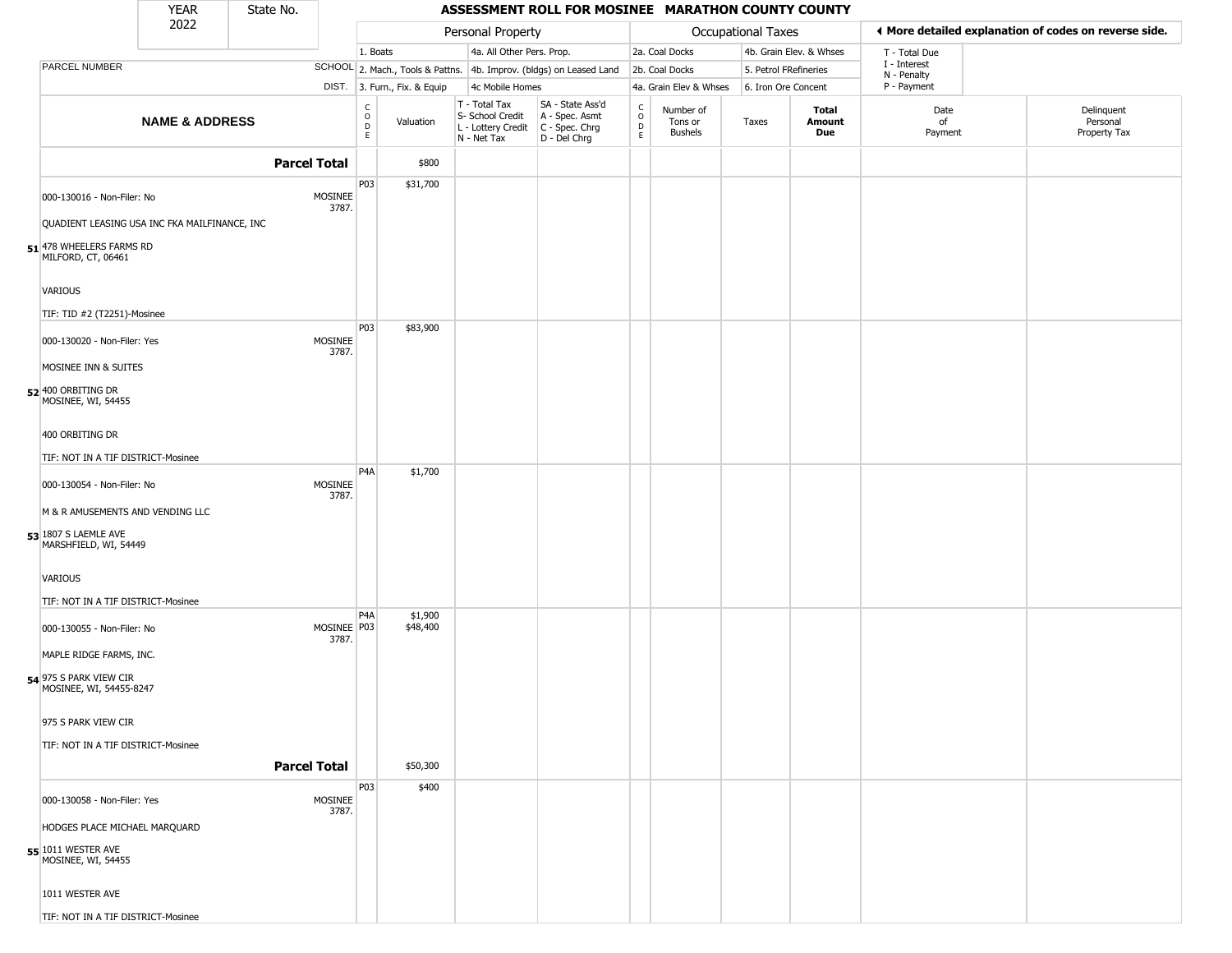|                                                     | <b>YEAR</b>                                   | State No. |                      |                                                           |                              |                                                                                         | ASSESSMENT ROLL FOR MOSINEE MARATHON COUNTY COUNTY                  |                      |                                 |                       |                         |                             |                                                       |
|-----------------------------------------------------|-----------------------------------------------|-----------|----------------------|-----------------------------------------------------------|------------------------------|-----------------------------------------------------------------------------------------|---------------------------------------------------------------------|----------------------|---------------------------------|-----------------------|-------------------------|-----------------------------|-------------------------------------------------------|
|                                                     | 2022                                          |           |                      |                                                           |                              | Personal Property                                                                       |                                                                     |                      |                                 | Occupational Taxes    |                         |                             | ◀ More detailed explanation of codes on reverse side. |
|                                                     |                                               |           |                      | 1. Boats                                                  |                              | 4a. All Other Pers. Prop.                                                               |                                                                     |                      | 2a. Coal Docks                  |                       | 4b. Grain Elev. & Whses | T - Total Due               |                                                       |
| PARCEL NUMBER                                       |                                               |           |                      |                                                           |                              |                                                                                         | SCHOOL 2. Mach., Tools & Pattns. 4b. Improv. (bldgs) on Leased Land |                      | 2b. Coal Docks                  | 5. Petrol FRefineries |                         | I - Interest<br>N - Penalty |                                                       |
|                                                     |                                               |           |                      |                                                           | DIST. 3. Furn., Fix. & Equip | 4c Mobile Homes                                                                         |                                                                     |                      | 4a. Grain Elev & Whses          | 6. Iron Ore Concent   |                         | P - Payment                 |                                                       |
|                                                     | <b>NAME &amp; ADDRESS</b>                     |           |                      | $\begin{smallmatrix} C \\ O \\ D \end{smallmatrix}$<br>E. | Valuation                    | T - Total Tax<br>S- School Credit<br>L - Lottery Credit   C - Spec. Chrg<br>N - Net Tax | SA - State Ass'd<br>A - Spec. Asmt<br>D - Del Chrg                  | $\rm _o^C$<br>D<br>E | Number of<br>Tons or<br>Bushels | Taxes                 | Total<br>Amount<br>Due  | Date<br>of<br>Payment       | Delinquent<br>Personal<br>Property Tax                |
|                                                     |                                               |           | <b>Parcel Total</b>  |                                                           | \$800                        |                                                                                         |                                                                     |                      |                                 |                       |                         |                             |                                                       |
| 000-130016 - Non-Filer: No                          |                                               |           | MOSINEE<br>3787.     | P03                                                       | \$31,700                     |                                                                                         |                                                                     |                      |                                 |                       |                         |                             |                                                       |
|                                                     | QUADIENT LEASING USA INC FKA MAILFINANCE, INC |           |                      |                                                           |                              |                                                                                         |                                                                     |                      |                                 |                       |                         |                             |                                                       |
| 51 478 WHEELERS FARMS RD<br>MILFORD, CT, 06461      |                                               |           |                      |                                                           |                              |                                                                                         |                                                                     |                      |                                 |                       |                         |                             |                                                       |
| VARIOUS<br>TIF: TID #2 (T2251)-Mosinee              |                                               |           |                      |                                                           |                              |                                                                                         |                                                                     |                      |                                 |                       |                         |                             |                                                       |
|                                                     |                                               |           |                      | P03                                                       | \$83,900                     |                                                                                         |                                                                     |                      |                                 |                       |                         |                             |                                                       |
| 000-130020 - Non-Filer: Yes<br>MOSINEE INN & SUITES |                                               |           | MOSINEE<br>3787.     |                                                           |                              |                                                                                         |                                                                     |                      |                                 |                       |                         |                             |                                                       |
| 52 400 ORBITING DR<br>MOSINEE, WI, 54455            |                                               |           |                      |                                                           |                              |                                                                                         |                                                                     |                      |                                 |                       |                         |                             |                                                       |
| 400 ORBITING DR                                     |                                               |           |                      |                                                           |                              |                                                                                         |                                                                     |                      |                                 |                       |                         |                             |                                                       |
| TIF: NOT IN A TIF DISTRICT-Mosinee                  |                                               |           |                      |                                                           |                              |                                                                                         |                                                                     |                      |                                 |                       |                         |                             |                                                       |
| 000-130054 - Non-Filer: No                          |                                               |           | MOSINEE<br>3787.     | P <sub>4</sub> A                                          | \$1,700                      |                                                                                         |                                                                     |                      |                                 |                       |                         |                             |                                                       |
| M & R AMUSEMENTS AND VENDING LLC                    |                                               |           |                      |                                                           |                              |                                                                                         |                                                                     |                      |                                 |                       |                         |                             |                                                       |
| 53 1807 S LAEMLE AVE<br>MARSHFIELD, WI, 54449       |                                               |           |                      |                                                           |                              |                                                                                         |                                                                     |                      |                                 |                       |                         |                             |                                                       |
| VARIOUS                                             |                                               |           |                      |                                                           |                              |                                                                                         |                                                                     |                      |                                 |                       |                         |                             |                                                       |
| TIF: NOT IN A TIF DISTRICT-Mosinee                  |                                               |           |                      |                                                           |                              |                                                                                         |                                                                     |                      |                                 |                       |                         |                             |                                                       |
| 000-130055 - Non-Filer: No                          |                                               |           | MOSINEE P03<br>3787. | P <sub>4</sub> A                                          | \$1,900<br>\$48,400          |                                                                                         |                                                                     |                      |                                 |                       |                         |                             |                                                       |
| MAPLE RIDGE FARMS, INC.                             |                                               |           |                      |                                                           |                              |                                                                                         |                                                                     |                      |                                 |                       |                         |                             |                                                       |
| 54 975 S PARK VIEW CIR<br>MOSINEE, WI, 54455-8247   |                                               |           |                      |                                                           |                              |                                                                                         |                                                                     |                      |                                 |                       |                         |                             |                                                       |
| 975 S PARK VIEW CIR                                 |                                               |           |                      |                                                           |                              |                                                                                         |                                                                     |                      |                                 |                       |                         |                             |                                                       |
| TIF: NOT IN A TIF DISTRICT-Mosinee                  |                                               |           | <b>Parcel Total</b>  |                                                           | \$50,300                     |                                                                                         |                                                                     |                      |                                 |                       |                         |                             |                                                       |
|                                                     |                                               |           |                      | P03                                                       | \$400                        |                                                                                         |                                                                     |                      |                                 |                       |                         |                             |                                                       |
| 000-130058 - Non-Filer: Yes                         |                                               |           | MOSINEE<br>3787.     |                                                           |                              |                                                                                         |                                                                     |                      |                                 |                       |                         |                             |                                                       |
| HODGES PLACE MICHAEL MARQUARD                       |                                               |           |                      |                                                           |                              |                                                                                         |                                                                     |                      |                                 |                       |                         |                             |                                                       |
| 55 1011 WESTER AVE<br>MOSINEE, WI, 54455            |                                               |           |                      |                                                           |                              |                                                                                         |                                                                     |                      |                                 |                       |                         |                             |                                                       |
| 1011 WESTER AVE                                     |                                               |           |                      |                                                           |                              |                                                                                         |                                                                     |                      |                                 |                       |                         |                             |                                                       |
| TIF: NOT IN A TIF DISTRICT-Mosinee                  |                                               |           |                      |                                                           |                              |                                                                                         |                                                                     |                      |                                 |                       |                         |                             |                                                       |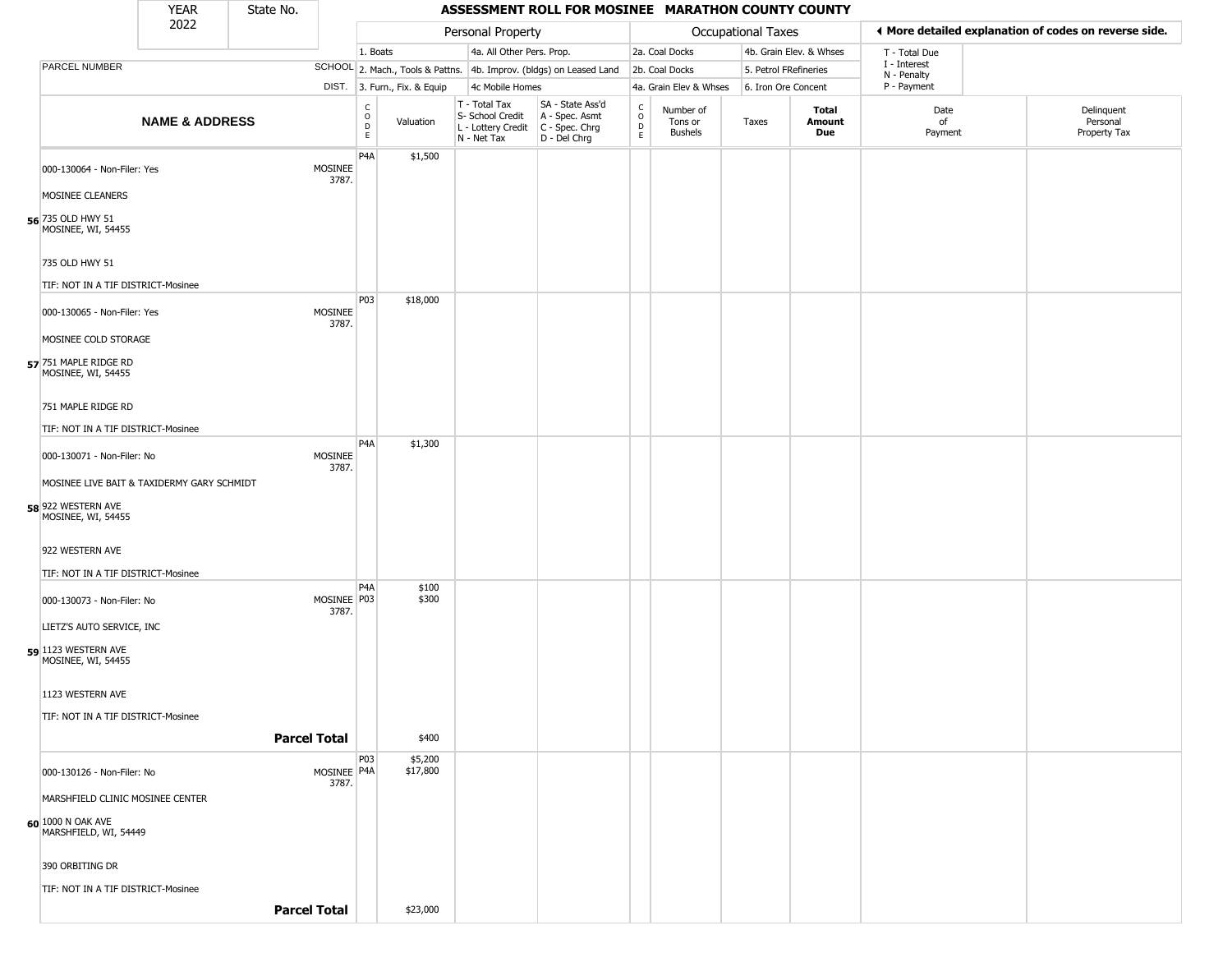|                                             | <b>YEAR</b>               | State No.           |                      |                                             |                              |                                                                                         | ASSESSMENT ROLL FOR MOSINEE MARATHON COUNTY COUNTY                  |                                |                                        |                       |                         |                             |                                                       |
|---------------------------------------------|---------------------------|---------------------|----------------------|---------------------------------------------|------------------------------|-----------------------------------------------------------------------------------------|---------------------------------------------------------------------|--------------------------------|----------------------------------------|-----------------------|-------------------------|-----------------------------|-------------------------------------------------------|
|                                             | 2022                      |                     |                      |                                             |                              | Personal Property                                                                       |                                                                     |                                |                                        | Occupational Taxes    |                         |                             | ♦ More detailed explanation of codes on reverse side. |
|                                             |                           |                     |                      | 1. Boats                                    |                              | 4a. All Other Pers. Prop.                                                               |                                                                     |                                | 2a. Coal Docks                         |                       | 4b. Grain Elev. & Whses | T - Total Due               |                                                       |
| PARCEL NUMBER                               |                           |                     |                      |                                             |                              |                                                                                         | SCHOOL 2. Mach., Tools & Pattns. 4b. Improv. (bldgs) on Leased Land |                                | 2b. Coal Docks                         | 5. Petrol FRefineries |                         | I - Interest<br>N - Penalty |                                                       |
|                                             |                           |                     |                      |                                             | DIST. 3. Furn., Fix. & Equip | 4c Mobile Homes                                                                         |                                                                     |                                | 4a. Grain Elev & Whses                 | 6. Iron Ore Concent   |                         | P - Payment                 |                                                       |
|                                             | <b>NAME &amp; ADDRESS</b> |                     |                      | $\frac{c}{0}$<br>$\mathsf D$<br>$\mathsf E$ | Valuation                    | T - Total Tax<br>S- School Credit<br>L - Lottery Credit   C - Spec. Chrg<br>N - Net Tax | SA - State Ass'd<br>A - Spec. Asmt<br>D - Del Chrg                  | $\rm _o^C$<br>$\mathsf D$<br>E | Number of<br>Tons or<br><b>Bushels</b> | Taxes                 | Total<br>Amount<br>Due  | Date<br>of<br>Payment       | Delinquent<br>Personal<br>Property Tax                |
| 000-130064 - Non-Filer: Yes                 |                           |                     | MOSINEE<br>3787.     | P4A                                         | \$1,500                      |                                                                                         |                                                                     |                                |                                        |                       |                         |                             |                                                       |
| MOSINEE CLEANERS                            |                           |                     |                      |                                             |                              |                                                                                         |                                                                     |                                |                                        |                       |                         |                             |                                                       |
| 56 735 OLD HWY 51<br>MOSINEE, WI, 54455     |                           |                     |                      |                                             |                              |                                                                                         |                                                                     |                                |                                        |                       |                         |                             |                                                       |
| 735 OLD HWY 51                              |                           |                     |                      |                                             |                              |                                                                                         |                                                                     |                                |                                        |                       |                         |                             |                                                       |
| TIF: NOT IN A TIF DISTRICT-Mosinee          |                           |                     |                      |                                             |                              |                                                                                         |                                                                     |                                |                                        |                       |                         |                             |                                                       |
| 000-130065 - Non-Filer: Yes                 |                           |                     | MOSINEE<br>3787.     | P03                                         | \$18,000                     |                                                                                         |                                                                     |                                |                                        |                       |                         |                             |                                                       |
| MOSINEE COLD STORAGE                        |                           |                     |                      |                                             |                              |                                                                                         |                                                                     |                                |                                        |                       |                         |                             |                                                       |
| 57 751 MAPLE RIDGE RD<br>MOSINEE, WI, 54455 |                           |                     |                      |                                             |                              |                                                                                         |                                                                     |                                |                                        |                       |                         |                             |                                                       |
| 751 MAPLE RIDGE RD                          |                           |                     |                      |                                             |                              |                                                                                         |                                                                     |                                |                                        |                       |                         |                             |                                                       |
| TIF: NOT IN A TIF DISTRICT-Mosinee          |                           |                     |                      |                                             |                              |                                                                                         |                                                                     |                                |                                        |                       |                         |                             |                                                       |
| 000-130071 - Non-Filer: No                  |                           |                     | MOSINEE<br>3787.     | P <sub>4</sub> A                            | \$1,300                      |                                                                                         |                                                                     |                                |                                        |                       |                         |                             |                                                       |
| MOSINEE LIVE BAIT & TAXIDERMY GARY SCHMIDT  |                           |                     |                      |                                             |                              |                                                                                         |                                                                     |                                |                                        |                       |                         |                             |                                                       |
| 58 922 WESTERN AVE<br>MOSINEE, WI, 54455    |                           |                     |                      |                                             |                              |                                                                                         |                                                                     |                                |                                        |                       |                         |                             |                                                       |
| 922 WESTERN AVE                             |                           |                     |                      |                                             |                              |                                                                                         |                                                                     |                                |                                        |                       |                         |                             |                                                       |
| TIF: NOT IN A TIF DISTRICT-Mosinee          |                           |                     |                      |                                             |                              |                                                                                         |                                                                     |                                |                                        |                       |                         |                             |                                                       |
| 000-130073 - Non-Filer: No                  |                           |                     | MOSINEE P03<br>3787. | P <sub>4</sub> A                            | \$100<br>\$300               |                                                                                         |                                                                     |                                |                                        |                       |                         |                             |                                                       |
| LIETZ'S AUTO SERVICE, INC                   |                           |                     |                      |                                             |                              |                                                                                         |                                                                     |                                |                                        |                       |                         |                             |                                                       |
| 59 1123 WESTERN AVE<br>MOSINEE, WI, 54455   |                           |                     |                      |                                             |                              |                                                                                         |                                                                     |                                |                                        |                       |                         |                             |                                                       |
| 1123 WESTERN AVE                            |                           |                     |                      |                                             |                              |                                                                                         |                                                                     |                                |                                        |                       |                         |                             |                                                       |
| TIF: NOT IN A TIF DISTRICT-Mosinee          |                           |                     |                      |                                             |                              |                                                                                         |                                                                     |                                |                                        |                       |                         |                             |                                                       |
|                                             |                           | <b>Parcel Total</b> |                      |                                             | \$400                        |                                                                                         |                                                                     |                                |                                        |                       |                         |                             |                                                       |
| 000-130126 - Non-Filer: No                  |                           |                     | MOSINEE P4A<br>3787. | P03                                         | \$5,200<br>\$17,800          |                                                                                         |                                                                     |                                |                                        |                       |                         |                             |                                                       |
| MARSHFIELD CLINIC MOSINEE CENTER            |                           |                     |                      |                                             |                              |                                                                                         |                                                                     |                                |                                        |                       |                         |                             |                                                       |
| 60 1000 N OAK AVE<br>MARSHFIELD, WI, 54449  |                           |                     |                      |                                             |                              |                                                                                         |                                                                     |                                |                                        |                       |                         |                             |                                                       |
| 390 ORBITING DR                             |                           |                     |                      |                                             |                              |                                                                                         |                                                                     |                                |                                        |                       |                         |                             |                                                       |
| TIF: NOT IN A TIF DISTRICT-Mosinee          |                           |                     |                      |                                             |                              |                                                                                         |                                                                     |                                |                                        |                       |                         |                             |                                                       |
|                                             |                           | <b>Parcel Total</b> |                      |                                             | \$23,000                     |                                                                                         |                                                                     |                                |                                        |                       |                         |                             |                                                       |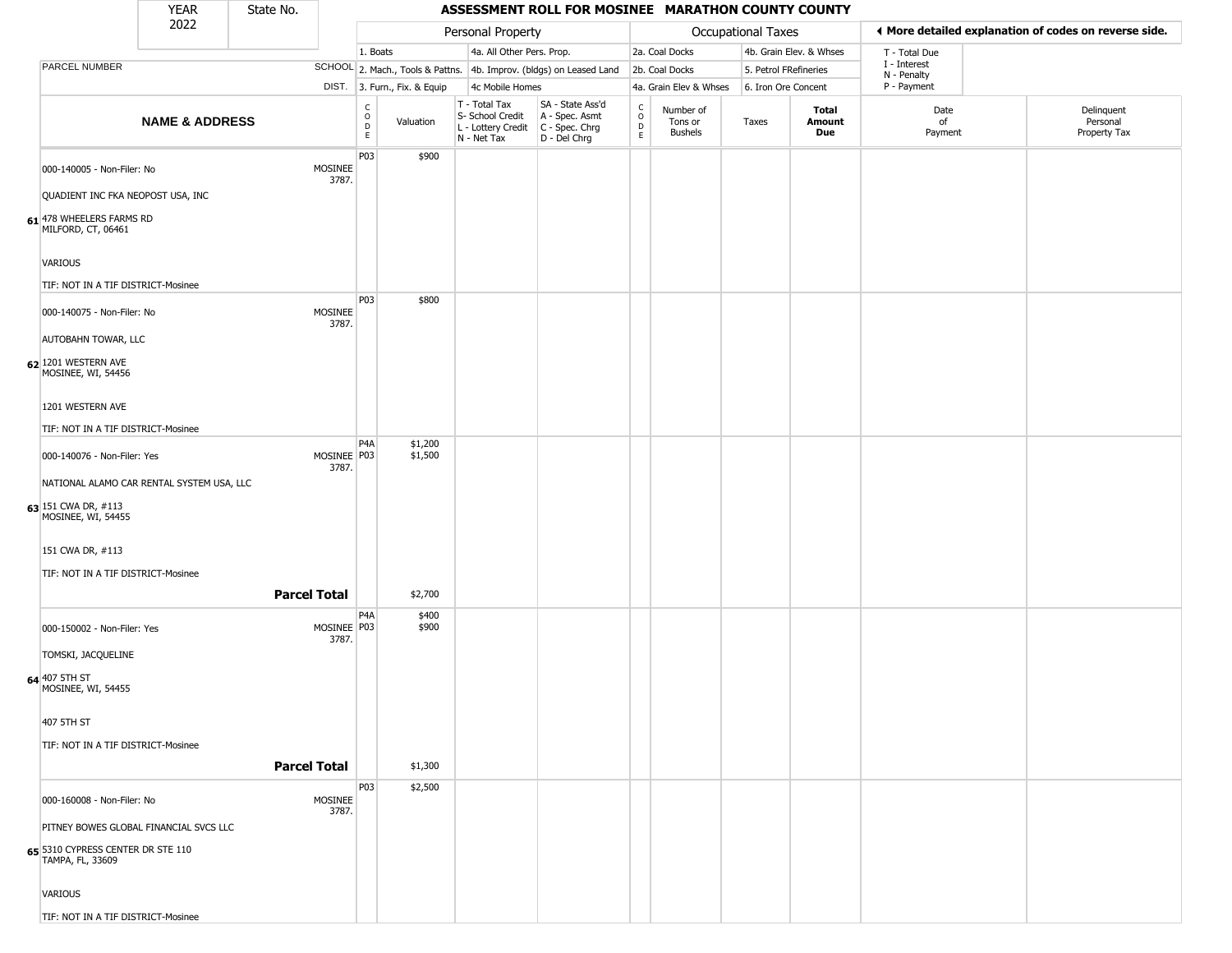|                                                                 | <b>YEAR</b>               | State No.           |                      |                                            |                              |                                                                                         | ASSESSMENT ROLL FOR MOSINEE MARATHON COUNTY COUNTY                  |                             |                                        |                           |                         |                             |                                                       |
|-----------------------------------------------------------------|---------------------------|---------------------|----------------------|--------------------------------------------|------------------------------|-----------------------------------------------------------------------------------------|---------------------------------------------------------------------|-----------------------------|----------------------------------------|---------------------------|-------------------------|-----------------------------|-------------------------------------------------------|
|                                                                 | 2022                      |                     |                      |                                            |                              | Personal Property                                                                       |                                                                     |                             |                                        | <b>Occupational Taxes</b> |                         |                             | ◀ More detailed explanation of codes on reverse side. |
|                                                                 |                           |                     |                      | 1. Boats                                   |                              | 4a. All Other Pers. Prop.                                                               |                                                                     |                             | 2a. Coal Docks                         |                           | 4b. Grain Elev. & Whses | T - Total Due               |                                                       |
| PARCEL NUMBER                                                   |                           |                     |                      |                                            |                              |                                                                                         | SCHOOL 2. Mach., Tools & Pattns. 4b. Improv. (bldgs) on Leased Land |                             | 2b. Coal Docks                         | 5. Petrol FRefineries     |                         | I - Interest<br>N - Penalty |                                                       |
|                                                                 |                           |                     |                      |                                            | DIST. 3. Furn., Fix. & Equip | 4c Mobile Homes                                                                         |                                                                     |                             | 4a. Grain Elev & Whses                 | 6. Iron Ore Concent       |                         | P - Payment                 |                                                       |
|                                                                 | <b>NAME &amp; ADDRESS</b> |                     |                      | $\begin{array}{c} C \\ O \\ E \end{array}$ | Valuation                    | T - Total Tax<br>S- School Credit<br>L - Lottery Credit   C - Spec. Chrg<br>N - Net Tax | SA - State Ass'd<br>A - Spec. Asmt<br>D - Del Chrg                  | $\rm _o^C$<br>$\frac{D}{E}$ | Number of<br>Tons or<br><b>Bushels</b> | Taxes                     | Total<br>Amount<br>Due  | Date<br>of<br>Payment       | Delinquent<br>Personal<br>Property Tax                |
| 000-140005 - Non-Filer: No<br>QUADIENT INC FKA NEOPOST USA, INC |                           |                     | MOSINEE<br>3787.     | P03                                        | \$900                        |                                                                                         |                                                                     |                             |                                        |                           |                         |                             |                                                       |
| 61 478 WHEELERS FARMS RD<br>MILFORD, CT, 06461                  |                           |                     |                      |                                            |                              |                                                                                         |                                                                     |                             |                                        |                           |                         |                             |                                                       |
| <b>VARIOUS</b><br>TIF: NOT IN A TIF DISTRICT-Mosinee            |                           |                     |                      |                                            |                              |                                                                                         |                                                                     |                             |                                        |                           |                         |                             |                                                       |
|                                                                 |                           |                     | MOSINEE              | P03                                        | \$800                        |                                                                                         |                                                                     |                             |                                        |                           |                         |                             |                                                       |
| 000-140075 - Non-Filer: No<br><b>AUTOBAHN TOWAR, LLC</b>        |                           |                     | 3787.                |                                            |                              |                                                                                         |                                                                     |                             |                                        |                           |                         |                             |                                                       |
| 62 1201 WESTERN AVE<br>MOSINEE, WI, 54456                       |                           |                     |                      |                                            |                              |                                                                                         |                                                                     |                             |                                        |                           |                         |                             |                                                       |
| 1201 WESTERN AVE                                                |                           |                     |                      |                                            |                              |                                                                                         |                                                                     |                             |                                        |                           |                         |                             |                                                       |
| TIF: NOT IN A TIF DISTRICT-Mosinee                              |                           |                     |                      | P <sub>4</sub> A                           | \$1,200                      |                                                                                         |                                                                     |                             |                                        |                           |                         |                             |                                                       |
| 000-140076 - Non-Filer: Yes                                     |                           |                     | MOSINEE P03<br>3787. |                                            | \$1,500                      |                                                                                         |                                                                     |                             |                                        |                           |                         |                             |                                                       |
| NATIONAL ALAMO CAR RENTAL SYSTEM USA, LLC                       |                           |                     |                      |                                            |                              |                                                                                         |                                                                     |                             |                                        |                           |                         |                             |                                                       |
| 63 151 CWA DR, #113<br>MOSINEE, WI, 54455                       |                           |                     |                      |                                            |                              |                                                                                         |                                                                     |                             |                                        |                           |                         |                             |                                                       |
| 151 CWA DR, #113                                                |                           |                     |                      |                                            |                              |                                                                                         |                                                                     |                             |                                        |                           |                         |                             |                                                       |
| TIF: NOT IN A TIF DISTRICT-Mosinee                              |                           |                     |                      |                                            |                              |                                                                                         |                                                                     |                             |                                        |                           |                         |                             |                                                       |
|                                                                 |                           | <b>Parcel Total</b> |                      |                                            | \$2,700                      |                                                                                         |                                                                     |                             |                                        |                           |                         |                             |                                                       |
| 000-150002 - Non-Filer: Yes                                     |                           |                     | MOSINEE P03<br>3787. | P <sub>4</sub> A                           | \$400<br>\$900               |                                                                                         |                                                                     |                             |                                        |                           |                         |                             |                                                       |
| TOMSKI, JACQUELINE                                              |                           |                     |                      |                                            |                              |                                                                                         |                                                                     |                             |                                        |                           |                         |                             |                                                       |
| 64 407 5TH ST<br>MOSINEE, WI, 54455                             |                           |                     |                      |                                            |                              |                                                                                         |                                                                     |                             |                                        |                           |                         |                             |                                                       |
| 407 5TH ST                                                      |                           |                     |                      |                                            |                              |                                                                                         |                                                                     |                             |                                        |                           |                         |                             |                                                       |
| TIF: NOT IN A TIF DISTRICT-Mosinee                              |                           |                     |                      |                                            |                              |                                                                                         |                                                                     |                             |                                        |                           |                         |                             |                                                       |
|                                                                 |                           | <b>Parcel Total</b> |                      |                                            | \$1,300                      |                                                                                         |                                                                     |                             |                                        |                           |                         |                             |                                                       |
| 000-160008 - Non-Filer: No                                      |                           |                     | MOSINEE              | P03                                        | \$2,500                      |                                                                                         |                                                                     |                             |                                        |                           |                         |                             |                                                       |
| PITNEY BOWES GLOBAL FINANCIAL SVCS LLC                          |                           |                     | 3787.                |                                            |                              |                                                                                         |                                                                     |                             |                                        |                           |                         |                             |                                                       |
| 65 5310 CYPRESS CENTER DR STE 110<br>TAMPA, FL, 33609           |                           |                     |                      |                                            |                              |                                                                                         |                                                                     |                             |                                        |                           |                         |                             |                                                       |
| <b>VARIOUS</b>                                                  |                           |                     |                      |                                            |                              |                                                                                         |                                                                     |                             |                                        |                           |                         |                             |                                                       |

and the state

n l

۰

TIF: NOT IN A TIF DISTRICT-Mosinee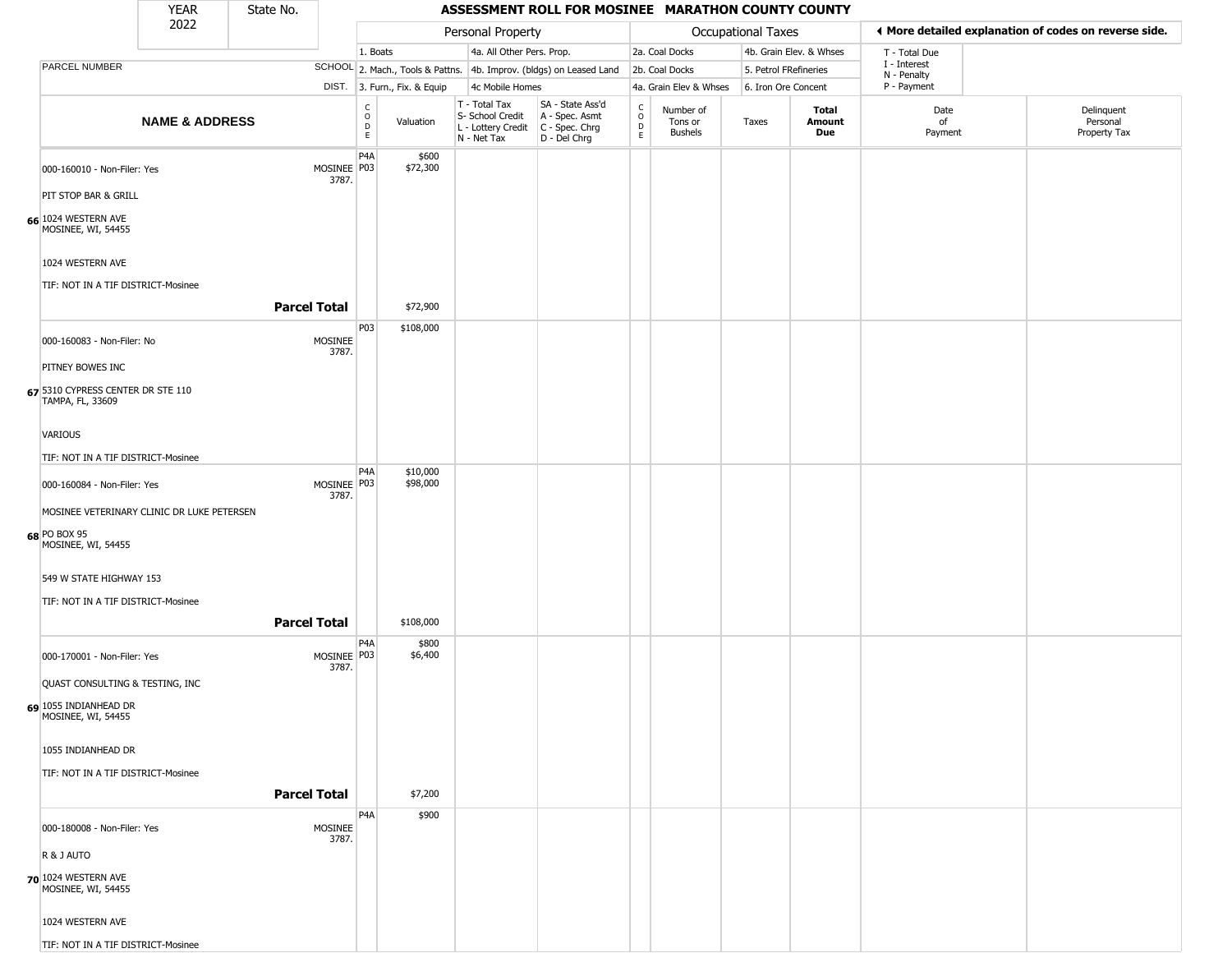|                                                        | <b>YEAR</b>                                | State No.           |                        |                                                |                              |                                                                                         | ASSESSMENT ROLL FOR MOSINEE MARATHON COUNTY COUNTY                  |                                                |                                        |                       |                         |                             |                                                       |
|--------------------------------------------------------|--------------------------------------------|---------------------|------------------------|------------------------------------------------|------------------------------|-----------------------------------------------------------------------------------------|---------------------------------------------------------------------|------------------------------------------------|----------------------------------------|-----------------------|-------------------------|-----------------------------|-------------------------------------------------------|
|                                                        | 2022                                       |                     |                        |                                                |                              | Personal Property                                                                       |                                                                     |                                                |                                        | Occupational Taxes    |                         |                             | ♦ More detailed explanation of codes on reverse side. |
|                                                        |                                            |                     |                        | 1. Boats                                       |                              | 4a. All Other Pers. Prop.                                                               |                                                                     |                                                | 2a. Coal Docks                         |                       | 4b. Grain Elev. & Whses | T - Total Due               |                                                       |
| PARCEL NUMBER                                          |                                            |                     |                        |                                                |                              |                                                                                         | SCHOOL 2. Mach., Tools & Pattns. 4b. Improv. (bldgs) on Leased Land |                                                | 2b. Coal Docks                         | 5. Petrol FRefineries |                         | I - Interest<br>N - Penalty |                                                       |
|                                                        |                                            |                     |                        |                                                | DIST. 3. Furn., Fix. & Equip | 4c Mobile Homes                                                                         |                                                                     |                                                | 4a. Grain Elev & Whses                 | 6. Iron Ore Concent   |                         | P - Payment                 |                                                       |
|                                                        | <b>NAME &amp; ADDRESS</b>                  |                     |                        | $\begin{matrix} 0 \\ 0 \\ D \end{matrix}$<br>E | Valuation                    | T - Total Tax<br>S- School Credit<br>L - Lottery Credit   C - Spec. Chrg<br>N - Net Tax | SA - State Ass'd<br>A - Spec. Asmt<br>D - Del Chrg                  | $\begin{matrix} 0 \\ 0 \\ 0 \end{matrix}$<br>E | Number of<br>Tons or<br><b>Bushels</b> | Taxes                 | Total<br>Amount<br>Due  | Date<br>of<br>Payment       | Delinquent<br>Personal<br>Property Tax                |
| 000-160010 - Non-Filer: Yes                            |                                            |                     | MOSINEE P03<br>3787.   | P <sub>4</sub> A                               | \$600<br>\$72,300            |                                                                                         |                                                                     |                                                |                                        |                       |                         |                             |                                                       |
| PIT STOP BAR & GRILL                                   |                                            |                     |                        |                                                |                              |                                                                                         |                                                                     |                                                |                                        |                       |                         |                             |                                                       |
| 66 1024 WESTERN AVE<br>MOSINEE, WI, 54455              |                                            |                     |                        |                                                |                              |                                                                                         |                                                                     |                                                |                                        |                       |                         |                             |                                                       |
| 1024 WESTERN AVE<br>TIF: NOT IN A TIF DISTRICT-Mosinee |                                            |                     |                        |                                                |                              |                                                                                         |                                                                     |                                                |                                        |                       |                         |                             |                                                       |
|                                                        |                                            |                     |                        |                                                |                              |                                                                                         |                                                                     |                                                |                                        |                       |                         |                             |                                                       |
|                                                        |                                            | <b>Parcel Total</b> |                        |                                                | \$72,900                     |                                                                                         |                                                                     |                                                |                                        |                       |                         |                             |                                                       |
| 000-160083 - Non-Filer: No                             |                                            |                     | MOSINEE<br>3787.       | P03                                            | \$108,000                    |                                                                                         |                                                                     |                                                |                                        |                       |                         |                             |                                                       |
| PITNEY BOWES INC                                       |                                            |                     |                        |                                                |                              |                                                                                         |                                                                     |                                                |                                        |                       |                         |                             |                                                       |
| 67 5310 CYPRESS CENTER DR STE 110<br>TAMPA, FL, 33609  |                                            |                     |                        |                                                |                              |                                                                                         |                                                                     |                                                |                                        |                       |                         |                             |                                                       |
| VARIOUS                                                |                                            |                     |                        |                                                |                              |                                                                                         |                                                                     |                                                |                                        |                       |                         |                             |                                                       |
| TIF: NOT IN A TIF DISTRICT-Mosinee                     |                                            |                     |                        |                                                |                              |                                                                                         |                                                                     |                                                |                                        |                       |                         |                             |                                                       |
|                                                        |                                            |                     |                        | P <sub>4</sub> A                               | \$10,000                     |                                                                                         |                                                                     |                                                |                                        |                       |                         |                             |                                                       |
| 000-160084 - Non-Filer: Yes                            | MOSINEE VETERINARY CLINIC DR LUKE PETERSEN |                     | MOSINEE P03<br>3787.   |                                                | \$98,000                     |                                                                                         |                                                                     |                                                |                                        |                       |                         |                             |                                                       |
| 68 PO BOX 95<br>MOSINEE, WI, 54455                     |                                            |                     |                        |                                                |                              |                                                                                         |                                                                     |                                                |                                        |                       |                         |                             |                                                       |
| 549 W STATE HIGHWAY 153                                |                                            |                     |                        |                                                |                              |                                                                                         |                                                                     |                                                |                                        |                       |                         |                             |                                                       |
| TIF: NOT IN A TIF DISTRICT-Mosinee                     |                                            |                     |                        |                                                |                              |                                                                                         |                                                                     |                                                |                                        |                       |                         |                             |                                                       |
|                                                        |                                            | <b>Parcel Total</b> |                        |                                                | \$108,000                    |                                                                                         |                                                                     |                                                |                                        |                       |                         |                             |                                                       |
| 000-170001 - Non-Filer: Yes                            |                                            |                     | MOSINEE   P03<br>3787. | P4A                                            | \$800<br>\$6,400             |                                                                                         |                                                                     |                                                |                                        |                       |                         |                             |                                                       |
| QUAST CONSULTING & TESTING, INC                        |                                            |                     |                        |                                                |                              |                                                                                         |                                                                     |                                                |                                        |                       |                         |                             |                                                       |
| 69 1055 INDIANHEAD DR<br>MOSINEE, WI, 54455            |                                            |                     |                        |                                                |                              |                                                                                         |                                                                     |                                                |                                        |                       |                         |                             |                                                       |
| 1055 INDIANHEAD DR                                     |                                            |                     |                        |                                                |                              |                                                                                         |                                                                     |                                                |                                        |                       |                         |                             |                                                       |
| TIF: NOT IN A TIF DISTRICT-Mosinee                     |                                            |                     |                        |                                                |                              |                                                                                         |                                                                     |                                                |                                        |                       |                         |                             |                                                       |
|                                                        |                                            | <b>Parcel Total</b> |                        |                                                | \$7,200                      |                                                                                         |                                                                     |                                                |                                        |                       |                         |                             |                                                       |
|                                                        |                                            |                     |                        | P4A                                            | \$900                        |                                                                                         |                                                                     |                                                |                                        |                       |                         |                             |                                                       |
| 000-180008 - Non-Filer: Yes                            |                                            |                     | MOSINEE<br>3787.       |                                                |                              |                                                                                         |                                                                     |                                                |                                        |                       |                         |                             |                                                       |
| R & J AUTO                                             |                                            |                     |                        |                                                |                              |                                                                                         |                                                                     |                                                |                                        |                       |                         |                             |                                                       |
| 70 1024 WESTERN AVE<br>MOSINEE, WI, 54455              |                                            |                     |                        |                                                |                              |                                                                                         |                                                                     |                                                |                                        |                       |                         |                             |                                                       |
| 1024 WESTERN AVE                                       |                                            |                     |                        |                                                |                              |                                                                                         |                                                                     |                                                |                                        |                       |                         |                             |                                                       |
| TIF: NOT IN A TIF DISTRICT-Mosinee                     |                                            |                     |                        |                                                |                              |                                                                                         |                                                                     |                                                |                                        |                       |                         |                             |                                                       |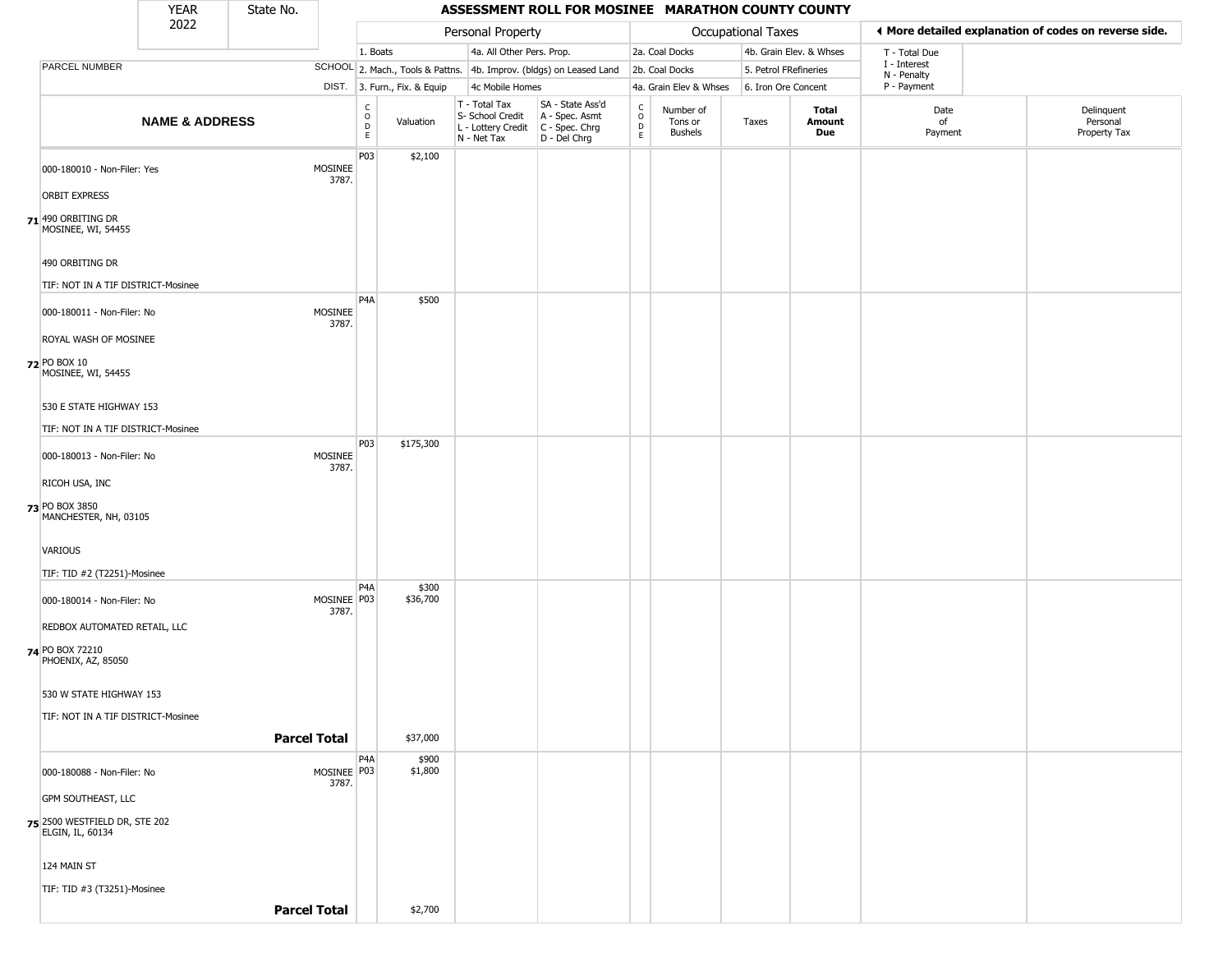|                                                     | <b>YEAR</b>               | State No.           |                      |                                   |                              |                                                                                       | ASSESSMENT ROLL FOR MOSINEE MARATHON COUNTY COUNTY                  |                        |                                        |                       |                         |                             |                                                       |
|-----------------------------------------------------|---------------------------|---------------------|----------------------|-----------------------------------|------------------------------|---------------------------------------------------------------------------------------|---------------------------------------------------------------------|------------------------|----------------------------------------|-----------------------|-------------------------|-----------------------------|-------------------------------------------------------|
|                                                     | 2022                      |                     |                      |                                   |                              | Personal Property                                                                     |                                                                     |                        |                                        | Occupational Taxes    |                         |                             | ♦ More detailed explanation of codes on reverse side. |
|                                                     |                           |                     |                      | 1. Boats                          |                              | 4a. All Other Pers. Prop.                                                             |                                                                     |                        | 2a. Coal Docks                         |                       | 4b. Grain Elev. & Whses | T - Total Due               |                                                       |
| PARCEL NUMBER                                       |                           |                     |                      |                                   |                              |                                                                                       | SCHOOL 2. Mach., Tools & Pattns. 4b. Improv. (bldgs) on Leased Land |                        | 2b. Coal Docks                         | 5. Petrol FRefineries |                         | I - Interest<br>N - Penalty |                                                       |
|                                                     |                           |                     |                      |                                   | DIST. 3. Furn., Fix. & Equip | 4c Mobile Homes                                                                       |                                                                     |                        | 4a. Grain Elev & Whses                 | 6. Iron Ore Concent   |                         | P - Payment                 |                                                       |
|                                                     | <b>NAME &amp; ADDRESS</b> |                     |                      | $\frac{c}{0}$<br>D<br>$\mathsf E$ | Valuation                    | T - Total Tax<br>S- School Credit<br>L - Lottery Credit C - Spec. Chrg<br>N - Net Tax | SA - State Ass'd<br>A - Spec. Asmt<br>D - Del Chrg                  | C<br>$\circ$<br>D<br>E | Number of<br>Tons or<br><b>Bushels</b> | Taxes                 | Total<br>Amount<br>Due  | Date<br>of<br>Payment       | Delinquent<br>Personal<br>Property Tax                |
| 000-180010 - Non-Filer: Yes<br><b>ORBIT EXPRESS</b> |                           |                     | MOSINEE<br>3787.     | P03                               | \$2,100                      |                                                                                       |                                                                     |                        |                                        |                       |                         |                             |                                                       |
| 71 490 ORBITING DR<br>MOSINEE, WI, 54455            |                           |                     |                      |                                   |                              |                                                                                       |                                                                     |                        |                                        |                       |                         |                             |                                                       |
| 490 ORBITING DR                                     |                           |                     |                      |                                   |                              |                                                                                       |                                                                     |                        |                                        |                       |                         |                             |                                                       |
| TIF: NOT IN A TIF DISTRICT-Mosinee                  |                           |                     |                      |                                   |                              |                                                                                       |                                                                     |                        |                                        |                       |                         |                             |                                                       |
| 000-180011 - Non-Filer: No                          |                           |                     | MOSINEE<br>3787.     | P <sub>4</sub> A                  | \$500                        |                                                                                       |                                                                     |                        |                                        |                       |                         |                             |                                                       |
| ROYAL WASH OF MOSINEE                               |                           |                     |                      |                                   |                              |                                                                                       |                                                                     |                        |                                        |                       |                         |                             |                                                       |
| 72 PO BOX 10<br>MOSINEE, WI, 54455                  |                           |                     |                      |                                   |                              |                                                                                       |                                                                     |                        |                                        |                       |                         |                             |                                                       |
| 530 E STATE HIGHWAY 153                             |                           |                     |                      |                                   |                              |                                                                                       |                                                                     |                        |                                        |                       |                         |                             |                                                       |
| TIF: NOT IN A TIF DISTRICT-Mosinee                  |                           |                     |                      |                                   |                              |                                                                                       |                                                                     |                        |                                        |                       |                         |                             |                                                       |
| 000-180013 - Non-Filer: No                          |                           |                     | MOSINEE<br>3787.     | P03                               | \$175,300                    |                                                                                       |                                                                     |                        |                                        |                       |                         |                             |                                                       |
| RICOH USA, INC                                      |                           |                     |                      |                                   |                              |                                                                                       |                                                                     |                        |                                        |                       |                         |                             |                                                       |
| 73 PO BOX 3850<br>MANCHESTER, NH, 03105             |                           |                     |                      |                                   |                              |                                                                                       |                                                                     |                        |                                        |                       |                         |                             |                                                       |
| VARIOUS                                             |                           |                     |                      |                                   |                              |                                                                                       |                                                                     |                        |                                        |                       |                         |                             |                                                       |
| TIF: TID #2 (T2251)-Mosinee                         |                           |                     |                      | P <sub>4</sub> A                  | \$300                        |                                                                                       |                                                                     |                        |                                        |                       |                         |                             |                                                       |
| 000-180014 - Non-Filer: No                          |                           |                     | MOSINEE P03<br>3787. |                                   | \$36,700                     |                                                                                       |                                                                     |                        |                                        |                       |                         |                             |                                                       |
| REDBOX AUTOMATED RETAIL, LLC                        |                           |                     |                      |                                   |                              |                                                                                       |                                                                     |                        |                                        |                       |                         |                             |                                                       |
| 74 PO BOX 72210<br>PHOENIX, AZ, 85050               |                           |                     |                      |                                   |                              |                                                                                       |                                                                     |                        |                                        |                       |                         |                             |                                                       |
| 530 W STATE HIGHWAY 153                             |                           |                     |                      |                                   |                              |                                                                                       |                                                                     |                        |                                        |                       |                         |                             |                                                       |
| TIF: NOT IN A TIF DISTRICT-Mosinee                  |                           |                     |                      |                                   |                              |                                                                                       |                                                                     |                        |                                        |                       |                         |                             |                                                       |
|                                                     |                           | <b>Parcel Total</b> |                      |                                   | \$37,000                     |                                                                                       |                                                                     |                        |                                        |                       |                         |                             |                                                       |
|                                                     |                           |                     |                      | P4A                               | \$900                        |                                                                                       |                                                                     |                        |                                        |                       |                         |                             |                                                       |
| 000-180088 - Non-Filer: No                          |                           |                     | MOSINEE P03<br>3787. |                                   | \$1,800                      |                                                                                       |                                                                     |                        |                                        |                       |                         |                             |                                                       |
| <b>GPM SOUTHEAST, LLC</b>                           |                           |                     |                      |                                   |                              |                                                                                       |                                                                     |                        |                                        |                       |                         |                             |                                                       |
| 75 2500 WESTFIELD DR, STE 202<br>ELGIN, IL, 60134   |                           |                     |                      |                                   |                              |                                                                                       |                                                                     |                        |                                        |                       |                         |                             |                                                       |
| 124 MAIN ST                                         |                           |                     |                      |                                   |                              |                                                                                       |                                                                     |                        |                                        |                       |                         |                             |                                                       |
| TIF: TID #3 (T3251)-Mosinee                         |                           |                     |                      |                                   |                              |                                                                                       |                                                                     |                        |                                        |                       |                         |                             |                                                       |
|                                                     |                           | <b>Parcel Total</b> |                      |                                   | \$2,700                      |                                                                                       |                                                                     |                        |                                        |                       |                         |                             |                                                       |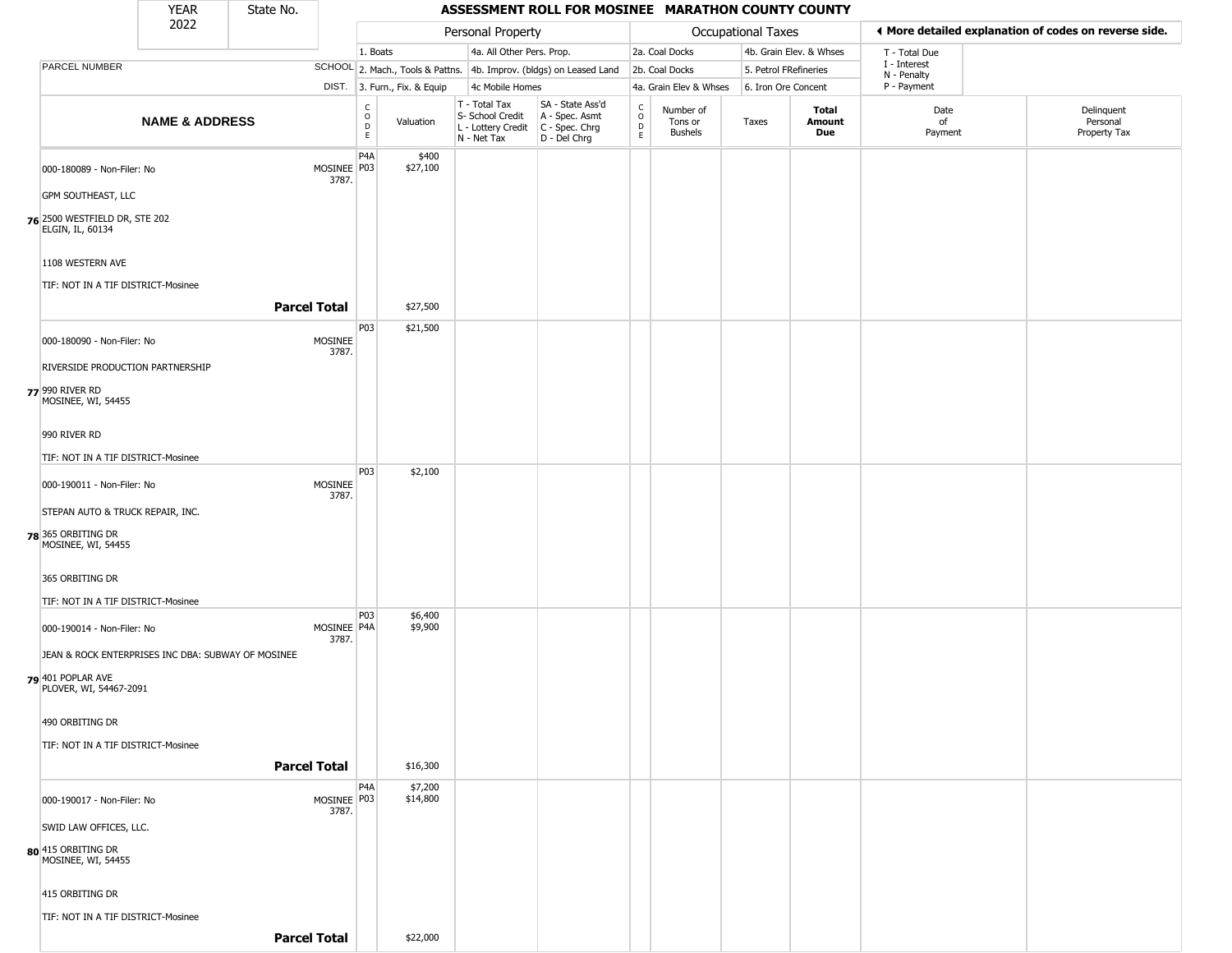|                                                    | <b>YEAR</b>               | State No.           |                      |                                                          |                              |                                                                        | ASSESSMENT ROLL FOR MOSINEE MARATHON COUNTY COUNTY                   |                                            |                                        |                       |                               |                                                       |                                        |
|----------------------------------------------------|---------------------------|---------------------|----------------------|----------------------------------------------------------|------------------------------|------------------------------------------------------------------------|----------------------------------------------------------------------|--------------------------------------------|----------------------------------------|-----------------------|-------------------------------|-------------------------------------------------------|----------------------------------------|
|                                                    | 2022                      |                     |                      |                                                          |                              | Personal Property                                                      |                                                                      |                                            |                                        | Occupational Taxes    |                               | ◀ More detailed explanation of codes on reverse side. |                                        |
|                                                    |                           |                     |                      | 1. Boats                                                 |                              | 4a. All Other Pers. Prop.                                              |                                                                      |                                            | 2a. Coal Docks                         |                       | 4b. Grain Elev. & Whses       | T - Total Due                                         |                                        |
| PARCEL NUMBER                                      |                           |                     |                      |                                                          |                              |                                                                        | SCHOOL 2. Mach., Tools & Pattns. 4b. Improv. (bldgs) on Leased Land  |                                            | 2b. Coal Docks                         | 5. Petrol FRefineries |                               | I - Interest<br>N - Penalty                           |                                        |
|                                                    |                           |                     |                      |                                                          | DIST. 3. Furn., Fix. & Equip | 4c Mobile Homes                                                        |                                                                      |                                            | 4a. Grain Elev & Whses                 | 6. Iron Ore Concent   |                               | P - Payment                                           |                                        |
|                                                    | <b>NAME &amp; ADDRESS</b> |                     |                      | $\begin{matrix} 0 \\ 0 \\ D \end{matrix}$<br>$\mathsf E$ | Valuation                    | T - Total Tax<br>S- School Credit<br>L - Lottery Credit<br>N - Net Tax | SA - State Ass'd<br>A - Spec. Asmt<br>C - Spec. Chrg<br>D - Del Chrg | $\begin{array}{c} C \\ 0 \\ E \end{array}$ | Number of<br>Tons or<br><b>Bushels</b> | Taxes                 | <b>Total</b><br>Amount<br>Due | Date<br>οf<br>Payment                                 | Delinquent<br>Personal<br>Property Tax |
| 000-180089 - Non-Filer: No                         |                           |                     | MOSINEE P03<br>3787. | P <sub>4</sub> A                                         | \$400<br>\$27,100            |                                                                        |                                                                      |                                            |                                        |                       |                               |                                                       |                                        |
| GPM SOUTHEAST, LLC                                 |                           |                     |                      |                                                          |                              |                                                                        |                                                                      |                                            |                                        |                       |                               |                                                       |                                        |
| 76 2500 WESTFIELD DR, STE 202<br>ELGIN, IL, 60134  |                           |                     |                      |                                                          |                              |                                                                        |                                                                      |                                            |                                        |                       |                               |                                                       |                                        |
| 1108 WESTERN AVE                                   |                           |                     |                      |                                                          |                              |                                                                        |                                                                      |                                            |                                        |                       |                               |                                                       |                                        |
| TIF: NOT IN A TIF DISTRICT-Mosinee                 |                           | <b>Parcel Total</b> |                      |                                                          | \$27,500                     |                                                                        |                                                                      |                                            |                                        |                       |                               |                                                       |                                        |
| 000-180090 - Non-Filer: No                         |                           |                     | MOSINEE<br>3787.     | P03                                                      | \$21,500                     |                                                                        |                                                                      |                                            |                                        |                       |                               |                                                       |                                        |
| RIVERSIDE PRODUCTION PARTNERSHIP                   |                           |                     |                      |                                                          |                              |                                                                        |                                                                      |                                            |                                        |                       |                               |                                                       |                                        |
| 77 990 RIVER RD<br>MOSINEE, WI, 54455              |                           |                     |                      |                                                          |                              |                                                                        |                                                                      |                                            |                                        |                       |                               |                                                       |                                        |
| 990 RIVER RD                                       |                           |                     |                      |                                                          |                              |                                                                        |                                                                      |                                            |                                        |                       |                               |                                                       |                                        |
| TIF: NOT IN A TIF DISTRICT-Mosinee                 |                           |                     |                      |                                                          |                              |                                                                        |                                                                      |                                            |                                        |                       |                               |                                                       |                                        |
| 000-190011 - Non-Filer: No                         |                           |                     | MOSINEE              | P03                                                      | \$2,100                      |                                                                        |                                                                      |                                            |                                        |                       |                               |                                                       |                                        |
| STEPAN AUTO & TRUCK REPAIR, INC.                   |                           |                     | 3787.                |                                                          |                              |                                                                        |                                                                      |                                            |                                        |                       |                               |                                                       |                                        |
| 78 365 ORBITING DR<br>MOSINEE, WI, 54455           |                           |                     |                      |                                                          |                              |                                                                        |                                                                      |                                            |                                        |                       |                               |                                                       |                                        |
| 365 ORBITING DR                                    |                           |                     |                      |                                                          |                              |                                                                        |                                                                      |                                            |                                        |                       |                               |                                                       |                                        |
| TIF: NOT IN A TIF DISTRICT-Mosinee                 |                           |                     |                      |                                                          |                              |                                                                        |                                                                      |                                            |                                        |                       |                               |                                                       |                                        |
| 000-190014 - Non-Filer: No                         |                           |                     | MOSINEE P4A<br>3787. | P03                                                      | \$6,400<br>\$9,900           |                                                                        |                                                                      |                                            |                                        |                       |                               |                                                       |                                        |
| JEAN & ROCK ENTERPRISES INC DBA: SUBWAY OF MOSINEE |                           |                     |                      |                                                          |                              |                                                                        |                                                                      |                                            |                                        |                       |                               |                                                       |                                        |
| 79 401 POPLAR AVE<br>PLOVER, WI, 54467-2091        |                           |                     |                      |                                                          |                              |                                                                        |                                                                      |                                            |                                        |                       |                               |                                                       |                                        |
| 490 ORBITING DR                                    |                           |                     |                      |                                                          |                              |                                                                        |                                                                      |                                            |                                        |                       |                               |                                                       |                                        |
| TIF: NOT IN A TIF DISTRICT-Mosinee                 |                           |                     |                      |                                                          |                              |                                                                        |                                                                      |                                            |                                        |                       |                               |                                                       |                                        |
|                                                    |                           | <b>Parcel Total</b> |                      |                                                          | \$16,300                     |                                                                        |                                                                      |                                            |                                        |                       |                               |                                                       |                                        |
| 000-190017 - Non-Filer: No                         |                           |                     | MOSINEE P03<br>3787. | P4A                                                      | \$7,200<br>\$14,800          |                                                                        |                                                                      |                                            |                                        |                       |                               |                                                       |                                        |
| SWID LAW OFFICES, LLC.                             |                           |                     |                      |                                                          |                              |                                                                        |                                                                      |                                            |                                        |                       |                               |                                                       |                                        |
| 80 415 ORBITING DR<br>MOSINEE, WI, 54455           |                           |                     |                      |                                                          |                              |                                                                        |                                                                      |                                            |                                        |                       |                               |                                                       |                                        |
| 415 ORBITING DR                                    |                           |                     |                      |                                                          |                              |                                                                        |                                                                      |                                            |                                        |                       |                               |                                                       |                                        |
| TIF: NOT IN A TIF DISTRICT-Mosinee                 |                           | <b>Parcel Total</b> |                      |                                                          | \$22,000                     |                                                                        |                                                                      |                                            |                                        |                       |                               |                                                       |                                        |
|                                                    |                           |                     |                      |                                                          |                              |                                                                        |                                                                      |                                            |                                        |                       |                               |                                                       |                                        |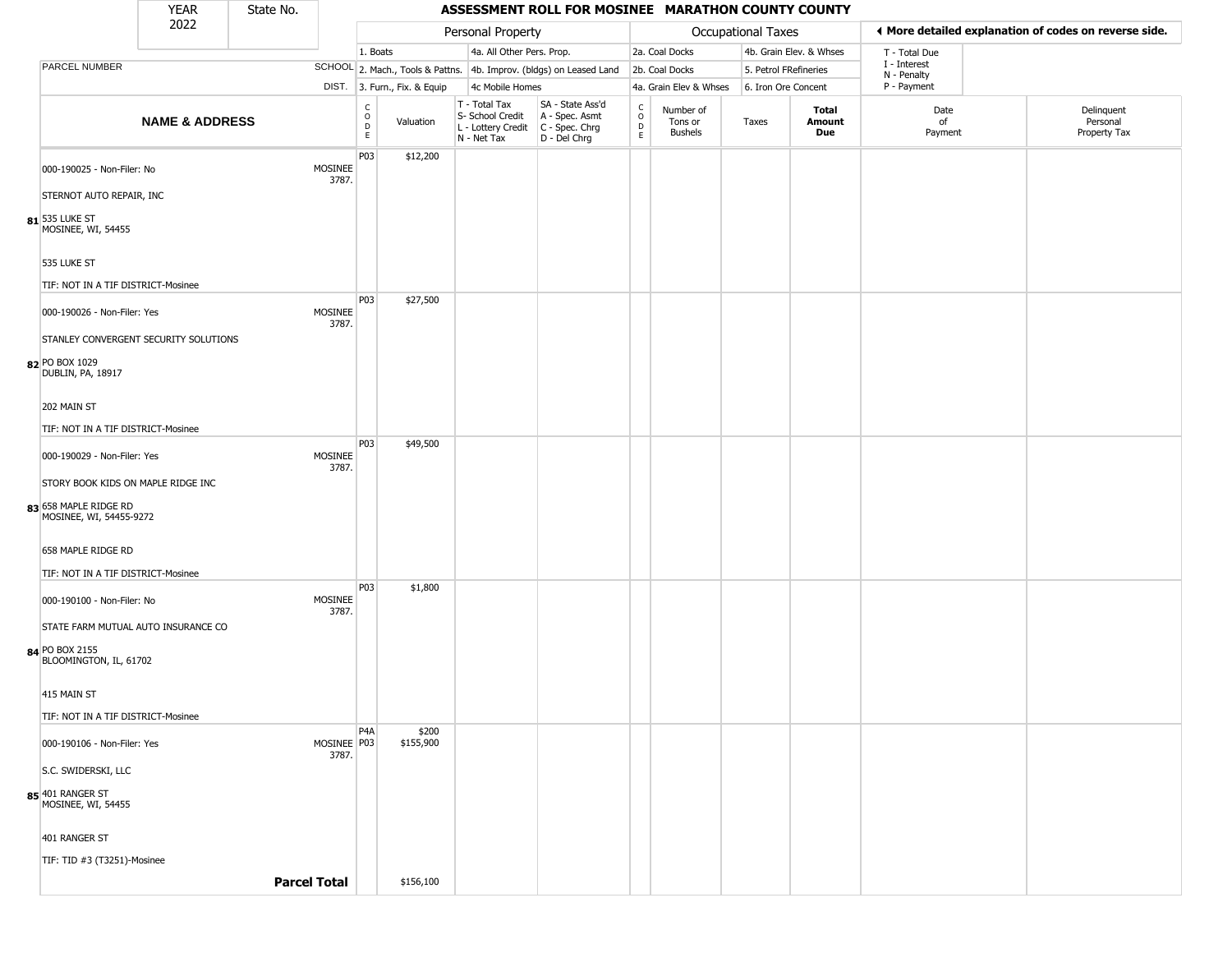|                                                  | <b>YEAR</b>                                                                                    | State No. |                        |                         |                              |                                                                                           | ASSESSMENT ROLL FOR MOSINEE MARATHON COUNTY COUNTY                  |                                    |                                        |                           |                         |                             |                                                       |
|--------------------------------------------------|------------------------------------------------------------------------------------------------|-----------|------------------------|-------------------------|------------------------------|-------------------------------------------------------------------------------------------|---------------------------------------------------------------------|------------------------------------|----------------------------------------|---------------------------|-------------------------|-----------------------------|-------------------------------------------------------|
|                                                  | 2022                                                                                           |           |                        |                         |                              | Personal Property                                                                         |                                                                     |                                    |                                        | <b>Occupational Taxes</b> |                         |                             | ♦ More detailed explanation of codes on reverse side. |
|                                                  |                                                                                                |           |                        | 1. Boats                |                              | 4a. All Other Pers. Prop.                                                                 |                                                                     |                                    | 2a. Coal Docks                         |                           | 4b. Grain Elev. & Whses | T - Total Due               |                                                       |
| PARCEL NUMBER                                    |                                                                                                |           |                        |                         |                              |                                                                                           | SCHOOL 2. Mach., Tools & Pattns. 4b. Improv. (bldgs) on Leased Land |                                    | 2b. Coal Docks                         | 5. Petrol FRefineries     |                         | I - Interest<br>N - Penalty |                                                       |
|                                                  | <b>NAME &amp; ADDRESS</b><br>TIF: NOT IN A TIF DISTRICT-Mosinee<br>000-190026 - Non-Filer: Yes |           |                        |                         | DIST. 3. Furn., Fix. & Equip | 4c Mobile Homes                                                                           |                                                                     |                                    | 4a. Grain Elev & Whses                 | 6. Iron Ore Concent       |                         | P - Payment                 |                                                       |
|                                                  |                                                                                                |           |                        | $\frac{c}{0}$<br>D<br>E | Valuation                    | T - Total Tax<br>S- School Credit<br>$L$ - Lottery Credit $C$ - Spec. Chrg<br>N - Net Tax | SA - State Ass'd<br>A - Spec. Asmt<br>D - Del Chrg                  | $\int_{0}^{c}$<br>$\mathsf D$<br>E | Number of<br>Tons or<br><b>Bushels</b> | Taxes                     | Total<br>Amount<br>Due  | Date<br>of<br>Payment       | Delinquent<br>Personal<br>Property Tax                |
| 000-190025 - Non-Filer: No                       |                                                                                                |           | MOSINEE<br>3787.       | P03                     | \$12,200                     |                                                                                           |                                                                     |                                    |                                        |                           |                         |                             |                                                       |
| STERNOT AUTO REPAIR, INC                         |                                                                                                |           |                        |                         |                              |                                                                                           |                                                                     |                                    |                                        |                           |                         |                             |                                                       |
| $\mathbf{s_1}$ 535 luke st<br>MOSINEE, WI, 54455 |                                                                                                |           |                        |                         |                              |                                                                                           |                                                                     |                                    |                                        |                           |                         |                             |                                                       |
| 535 LUKE ST                                      |                                                                                                |           |                        |                         |                              |                                                                                           |                                                                     |                                    |                                        |                           |                         |                             |                                                       |
|                                                  |                                                                                                |           |                        | P03                     | \$27,500                     |                                                                                           |                                                                     |                                    |                                        |                           |                         |                             |                                                       |
| STANLEY CONVERGENT SECURITY SOLUTIONS            |                                                                                                |           | MOSINEE<br>3787.       |                         |                              |                                                                                           |                                                                     |                                    |                                        |                           |                         |                             |                                                       |
| 82 PO BOX 1029<br>DUBLIN, PA, 18917              |                                                                                                |           |                        |                         |                              |                                                                                           |                                                                     |                                    |                                        |                           |                         |                             |                                                       |
| 202 MAIN ST                                      |                                                                                                |           |                        |                         |                              |                                                                                           |                                                                     |                                    |                                        |                           |                         |                             |                                                       |
| TIF: NOT IN A TIF DISTRICT-Mosinee               |                                                                                                |           |                        | P03                     | \$49,500                     |                                                                                           |                                                                     |                                    |                                        |                           |                         |                             |                                                       |
| 000-190029 - Non-Filer: Yes                      |                                                                                                |           | MOSINEE<br>3787.       |                         |                              |                                                                                           |                                                                     |                                    |                                        |                           |                         |                             |                                                       |
| STORY BOOK KIDS ON MAPLE RIDGE INC               |                                                                                                |           |                        |                         |                              |                                                                                           |                                                                     |                                    |                                        |                           |                         |                             |                                                       |
| 83 658 MAPLE RIDGE RD<br>MOSINEE, WI, 54455-9272 |                                                                                                |           |                        |                         |                              |                                                                                           |                                                                     |                                    |                                        |                           |                         |                             |                                                       |
| 658 MAPLE RIDGE RD                               |                                                                                                |           |                        |                         |                              |                                                                                           |                                                                     |                                    |                                        |                           |                         |                             |                                                       |
| TIF: NOT IN A TIF DISTRICT-Mosinee               |                                                                                                |           |                        |                         |                              |                                                                                           |                                                                     |                                    |                                        |                           |                         |                             |                                                       |
| 000-190100 - Non-Filer: No                       |                                                                                                |           | MOSINEE<br>3787.       | P03                     | \$1,800                      |                                                                                           |                                                                     |                                    |                                        |                           |                         |                             |                                                       |
| STATE FARM MUTUAL AUTO INSURANCE CO              |                                                                                                |           |                        |                         |                              |                                                                                           |                                                                     |                                    |                                        |                           |                         |                             |                                                       |
| 84 PO BOX 2155<br>BLOOMINGTON, IL, 61702         |                                                                                                |           |                        |                         |                              |                                                                                           |                                                                     |                                    |                                        |                           |                         |                             |                                                       |
| 415 MAIN ST                                      |                                                                                                |           |                        |                         |                              |                                                                                           |                                                                     |                                    |                                        |                           |                         |                             |                                                       |
| TIF: NOT IN A TIF DISTRICT-Mosinee               |                                                                                                |           |                        |                         |                              |                                                                                           |                                                                     |                                    |                                        |                           |                         |                             |                                                       |
| 000-190106 - Non-Filer: Yes                      |                                                                                                |           | MOSINEE   P03<br>3787. | P4A                     | \$200<br>\$155,900           |                                                                                           |                                                                     |                                    |                                        |                           |                         |                             |                                                       |
| S.C. SWIDERSKI, LLC                              |                                                                                                |           |                        |                         |                              |                                                                                           |                                                                     |                                    |                                        |                           |                         |                             |                                                       |
| 85 401 RANGER ST<br>MOSINEE, WI, 54455           |                                                                                                |           |                        |                         |                              |                                                                                           |                                                                     |                                    |                                        |                           |                         |                             |                                                       |
| 401 RANGER ST                                    |                                                                                                |           |                        |                         |                              |                                                                                           |                                                                     |                                    |                                        |                           |                         |                             |                                                       |
| TIF: TID #3 (T3251)-Mosinee                      |                                                                                                |           |                        |                         |                              |                                                                                           |                                                                     |                                    |                                        |                           |                         |                             |                                                       |
|                                                  |                                                                                                |           | <b>Parcel Total</b>    |                         | \$156,100                    |                                                                                           |                                                                     |                                    |                                        |                           |                         |                             |                                                       |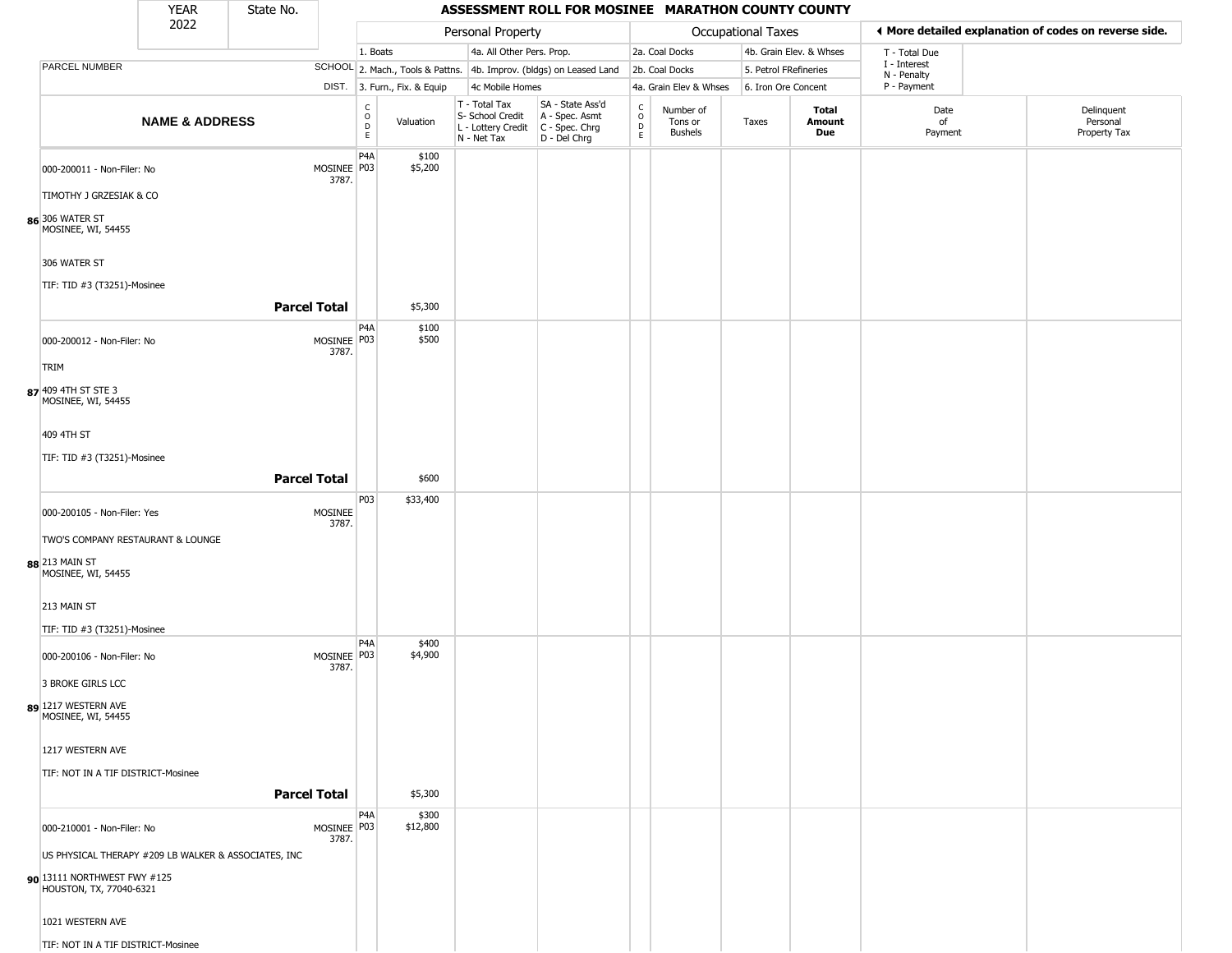|                                                                           | <b>YEAR</b>               | State No.           |                      |                                   |                              |                                                                                       | ASSESSMENT ROLL FOR MOSINEE MARATHON COUNTY COUNTY                  |                            |                                        |                       |                         |                             |                                                       |
|---------------------------------------------------------------------------|---------------------------|---------------------|----------------------|-----------------------------------|------------------------------|---------------------------------------------------------------------------------------|---------------------------------------------------------------------|----------------------------|----------------------------------------|-----------------------|-------------------------|-----------------------------|-------------------------------------------------------|
|                                                                           | 2022                      |                     |                      |                                   |                              | Personal Property                                                                     |                                                                     |                            |                                        | Occupational Taxes    |                         |                             | ♦ More detailed explanation of codes on reverse side. |
|                                                                           |                           |                     |                      | 1. Boats                          |                              | 4a. All Other Pers. Prop.                                                             |                                                                     |                            | 2a. Coal Docks                         |                       | 4b. Grain Elev. & Whses | T - Total Due               |                                                       |
| PARCEL NUMBER                                                             |                           |                     |                      |                                   |                              |                                                                                       | SCHOOL 2. Mach., Tools & Pattns. 4b. Improv. (bldgs) on Leased Land |                            | 2b. Coal Docks                         | 5. Petrol FRefineries |                         | I - Interest<br>N - Penalty |                                                       |
|                                                                           |                           |                     |                      |                                   | DIST. 3. Furn., Fix. & Equip | 4c Mobile Homes                                                                       |                                                                     |                            | 4a. Grain Elev & Whses                 | 6. Iron Ore Concent   |                         | P - Payment                 |                                                       |
|                                                                           | <b>NAME &amp; ADDRESS</b> |                     |                      | $\frac{c}{0}$<br>$\mathsf D$<br>E | Valuation                    | T - Total Tax<br>S- School Credit<br>L - Lottery Credit C - Spec. Chrg<br>N - Net Tax | SA - State Ass'd<br>A - Spec. Asmt<br>$D - Del Chrg$                | C<br>$\mathsf O$<br>D<br>E | Number of<br>Tons or<br><b>Bushels</b> | Taxes                 | Total<br>Amount<br>Due  | Date<br>of<br>Payment       | Delinquent<br>Personal<br>Property Tax                |
| 000-200011 - Non-Filer: No                                                |                           |                     | MOSINEE P03<br>3787. | P4A                               | \$100<br>\$5,200             |                                                                                       |                                                                     |                            |                                        |                       |                         |                             |                                                       |
| TIMOTHY J GRZESIAK & CO                                                   |                           |                     |                      |                                   |                              |                                                                                       |                                                                     |                            |                                        |                       |                         |                             |                                                       |
| 86 306 WATER ST<br>MOSINEE, WI, 54455                                     |                           |                     |                      |                                   |                              |                                                                                       |                                                                     |                            |                                        |                       |                         |                             |                                                       |
| 306 WATER ST                                                              |                           |                     |                      |                                   |                              |                                                                                       |                                                                     |                            |                                        |                       |                         |                             |                                                       |
| TIF: TID #3 (T3251)-Mosinee                                               |                           | <b>Parcel Total</b> |                      |                                   | \$5,300                      |                                                                                       |                                                                     |                            |                                        |                       |                         |                             |                                                       |
| 000-200012 - Non-Filer: No                                                |                           |                     | MOSINEE P03          | P <sub>4</sub> A                  | \$100<br>\$500               |                                                                                       |                                                                     |                            |                                        |                       |                         |                             |                                                       |
| TRIM                                                                      |                           |                     | 3787.                |                                   |                              |                                                                                       |                                                                     |                            |                                        |                       |                         |                             |                                                       |
| 87 409 4TH ST STE 3<br>MOSINEE, WI, 54455                                 |                           |                     |                      |                                   |                              |                                                                                       |                                                                     |                            |                                        |                       |                         |                             |                                                       |
| 409 4TH ST                                                                |                           |                     |                      |                                   |                              |                                                                                       |                                                                     |                            |                                        |                       |                         |                             |                                                       |
| TIF: TID #3 (T3251)-Mosinee                                               |                           | <b>Parcel Total</b> |                      |                                   | \$600                        |                                                                                       |                                                                     |                            |                                        |                       |                         |                             |                                                       |
| 000-200105 - Non-Filer: Yes                                               |                           |                     | <b>MOSINEE</b>       | P <sub>0</sub> 3                  | \$33,400                     |                                                                                       |                                                                     |                            |                                        |                       |                         |                             |                                                       |
|                                                                           |                           |                     | 3787.                |                                   |                              |                                                                                       |                                                                     |                            |                                        |                       |                         |                             |                                                       |
| TWO'S COMPANY RESTAURANT & LOUNGE<br>88 213 MAIN ST<br>MOSINEE, WI, 54455 |                           |                     |                      |                                   |                              |                                                                                       |                                                                     |                            |                                        |                       |                         |                             |                                                       |
| 213 MAIN ST                                                               |                           |                     |                      |                                   |                              |                                                                                       |                                                                     |                            |                                        |                       |                         |                             |                                                       |
| TIF: TID #3 (T3251)-Mosinee                                               |                           |                     |                      | P4A                               | \$400                        |                                                                                       |                                                                     |                            |                                        |                       |                         |                             |                                                       |
| 000-200106 - Non-Filer: No                                                |                           |                     | MOSINEE P03<br>3787. |                                   | \$4,900                      |                                                                                       |                                                                     |                            |                                        |                       |                         |                             |                                                       |
| 3 BROKE GIRLS LCC<br>89 1217 WESTERN AVE                                  |                           |                     |                      |                                   |                              |                                                                                       |                                                                     |                            |                                        |                       |                         |                             |                                                       |
| MOSINEE, WI, 54455                                                        |                           |                     |                      |                                   |                              |                                                                                       |                                                                     |                            |                                        |                       |                         |                             |                                                       |
| 1217 WESTERN AVE                                                          |                           |                     |                      |                                   |                              |                                                                                       |                                                                     |                            |                                        |                       |                         |                             |                                                       |
| TIF: NOT IN A TIF DISTRICT-Mosinee                                        |                           | <b>Parcel Total</b> |                      |                                   | \$5,300                      |                                                                                       |                                                                     |                            |                                        |                       |                         |                             |                                                       |
| 000-210001 - Non-Filer: No                                                |                           |                     | MOSINEE P03          | P <sub>4</sub> A                  | \$300<br>\$12,800            |                                                                                       |                                                                     |                            |                                        |                       |                         |                             |                                                       |
| US PHYSICAL THERAPY #209 LB WALKER & ASSOCIATES, INC                      |                           |                     | 3787.                |                                   |                              |                                                                                       |                                                                     |                            |                                        |                       |                         |                             |                                                       |
| 90 13111 NORTHWEST FWY #125<br>HOUSTON, TX, 77040-6321                    |                           |                     |                      |                                   |                              |                                                                                       |                                                                     |                            |                                        |                       |                         |                             |                                                       |
| 1021 WESTERN AVE                                                          |                           |                     |                      |                                   |                              |                                                                                       |                                                                     |                            |                                        |                       |                         |                             |                                                       |
| TIF: NOT IN A TIF DISTRICT-Mosinee                                        |                           |                     |                      |                                   |                              |                                                                                       |                                                                     |                            |                                        |                       |                         |                             |                                                       |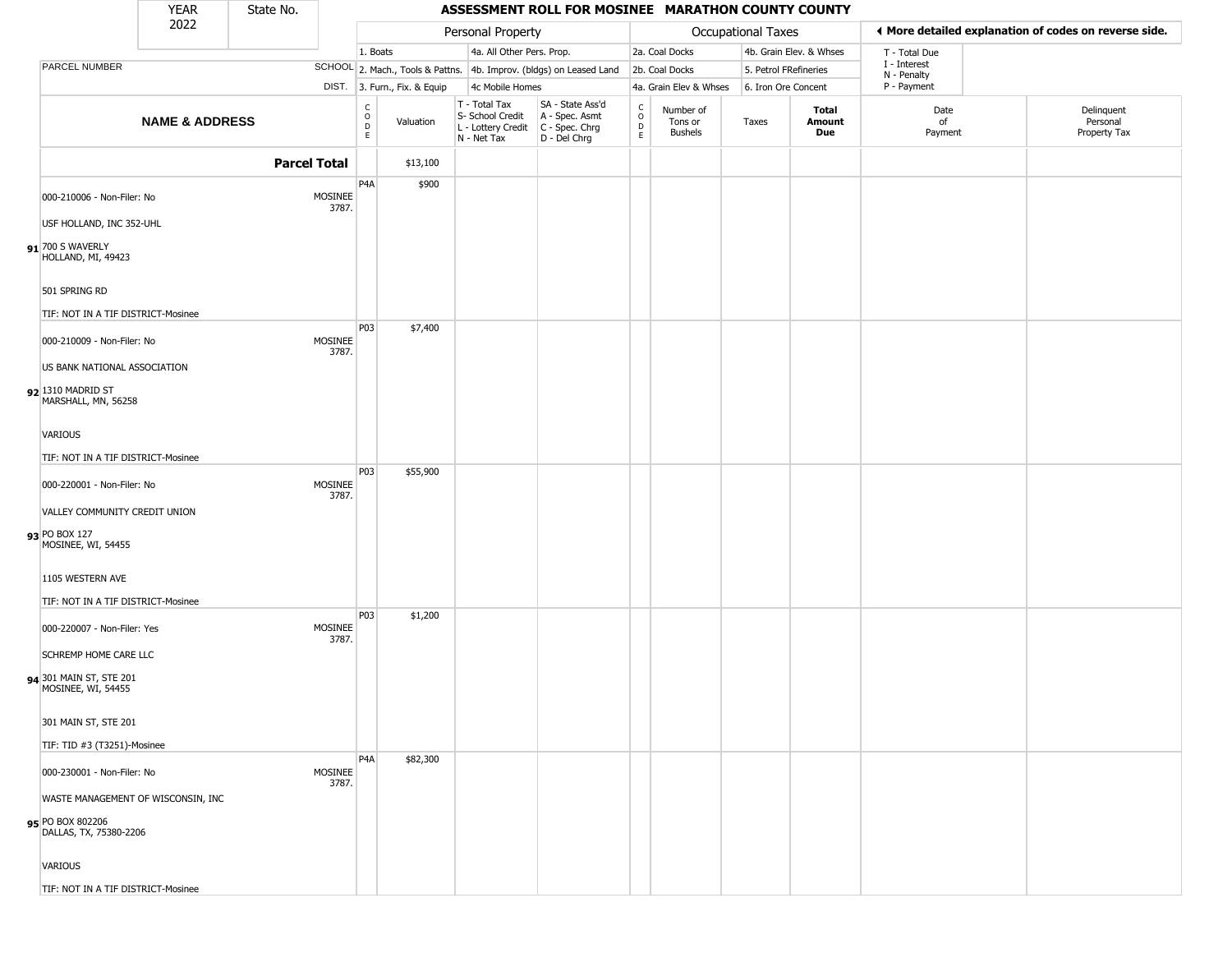|                                                                                  | <b>YEAR</b>               | State No.           |                  |                                      |                              |                                                                                         | ASSESSMENT ROLL FOR MOSINEE MARATHON COUNTY COUNTY                  |                                                  |                                        |                       |                         |                             |                                                       |
|----------------------------------------------------------------------------------|---------------------------|---------------------|------------------|--------------------------------------|------------------------------|-----------------------------------------------------------------------------------------|---------------------------------------------------------------------|--------------------------------------------------|----------------------------------------|-----------------------|-------------------------|-----------------------------|-------------------------------------------------------|
|                                                                                  | 2022                      |                     |                  |                                      |                              | Personal Property                                                                       |                                                                     |                                                  |                                        | Occupational Taxes    |                         |                             | ♦ More detailed explanation of codes on reverse side. |
|                                                                                  |                           |                     |                  | 1. Boats                             |                              | 4a. All Other Pers. Prop.                                                               |                                                                     |                                                  | 2a. Coal Docks                         |                       | 4b. Grain Elev. & Whses | T - Total Due               |                                                       |
| PARCEL NUMBER                                                                    |                           |                     |                  |                                      |                              |                                                                                         | SCHOOL 2. Mach., Tools & Pattns. 4b. Improv. (bldgs) on Leased Land |                                                  | 2b. Coal Docks                         | 5. Petrol FRefineries |                         | I - Interest<br>N - Penalty |                                                       |
|                                                                                  |                           |                     |                  |                                      | DIST. 3. Furn., Fix. & Equip | 4c Mobile Homes                                                                         |                                                                     |                                                  | 4a. Grain Elev & Whses                 | 6. Iron Ore Concent   |                         | P - Payment                 |                                                       |
|                                                                                  | <b>NAME &amp; ADDRESS</b> |                     |                  | C<br>$\mathsf O$<br>$\mathsf D$<br>E | Valuation                    | T - Total Tax<br>S- School Credit<br>L - Lottery Credit   C - Spec. Chrg<br>N - Net Tax | SA - State Ass'd<br>A - Spec. Asmt<br>$D - Del Chrg$                | $_{\rm o}^{\rm c}$<br>$\mathsf D$<br>$\mathsf E$ | Number of<br>Tons or<br><b>Bushels</b> | Taxes                 | Total<br>Amount<br>Due  | Date<br>of<br>Payment       | Delinquent<br>Personal<br>Property Tax                |
|                                                                                  |                           | <b>Parcel Total</b> |                  |                                      | \$13,100                     |                                                                                         |                                                                     |                                                  |                                        |                       |                         |                             |                                                       |
| 000-210006 - Non-Filer: No<br>USF HOLLAND, INC 352-UHL                           |                           |                     | MOSINEE<br>3787. | P4A                                  | \$900                        |                                                                                         |                                                                     |                                                  |                                        |                       |                         |                             |                                                       |
| $91$ <sup>700</sup> S WAVERLY<br>HOLLAND, MI, 49423                              |                           |                     |                  |                                      |                              |                                                                                         |                                                                     |                                                  |                                        |                       |                         |                             |                                                       |
| 501 SPRING RD                                                                    |                           |                     |                  |                                      |                              |                                                                                         |                                                                     |                                                  |                                        |                       |                         |                             |                                                       |
| TIF: NOT IN A TIF DISTRICT-Mosinee                                               |                           |                     |                  |                                      |                              |                                                                                         |                                                                     |                                                  |                                        |                       |                         |                             |                                                       |
| 000-210009 - Non-Filer: No                                                       |                           |                     | MOSINEE<br>3787. | P03                                  | \$7,400                      |                                                                                         |                                                                     |                                                  |                                        |                       |                         |                             |                                                       |
| US BANK NATIONAL ASSOCIATION                                                     |                           |                     |                  |                                      |                              |                                                                                         |                                                                     |                                                  |                                        |                       |                         |                             |                                                       |
| 92 1310 MADRID ST<br>MARSHALL, MN, 56258                                         |                           |                     |                  |                                      |                              |                                                                                         |                                                                     |                                                  |                                        |                       |                         |                             |                                                       |
| <b>VARIOUS</b>                                                                   |                           |                     |                  |                                      |                              |                                                                                         |                                                                     |                                                  |                                        |                       |                         |                             |                                                       |
| TIF: NOT IN A TIF DISTRICT-Mosinee                                               |                           |                     |                  |                                      |                              |                                                                                         |                                                                     |                                                  |                                        |                       |                         |                             |                                                       |
| 000-220001 - Non-Filer: No                                                       |                           |                     | MOSINEE<br>3787. | P03                                  | \$55,900                     |                                                                                         |                                                                     |                                                  |                                        |                       |                         |                             |                                                       |
| VALLEY COMMUNITY CREDIT UNION                                                    |                           |                     |                  |                                      |                              |                                                                                         |                                                                     |                                                  |                                        |                       |                         |                             |                                                       |
| 93 PO BOX 127<br>MOSINEE, WI, 54455                                              |                           |                     |                  |                                      |                              |                                                                                         |                                                                     |                                                  |                                        |                       |                         |                             |                                                       |
| 1105 WESTERN AVE<br>TIF: NOT IN A TIF DISTRICT-Mosinee                           |                           |                     |                  |                                      |                              |                                                                                         |                                                                     |                                                  |                                        |                       |                         |                             |                                                       |
| 000-220007 - Non-Filer: Yes                                                      |                           |                     | MOSINEE          | P03                                  | \$1,200                      |                                                                                         |                                                                     |                                                  |                                        |                       |                         |                             |                                                       |
| <b>SCHREMP HOME CARE LLC</b>                                                     |                           |                     | 3787.            |                                      |                              |                                                                                         |                                                                     |                                                  |                                        |                       |                         |                             |                                                       |
| 94 301 MAIN ST, STE 201<br>MOSINEE, WI, 54455                                    |                           |                     |                  |                                      |                              |                                                                                         |                                                                     |                                                  |                                        |                       |                         |                             |                                                       |
| 301 MAIN ST, STE 201                                                             |                           |                     |                  |                                      |                              |                                                                                         |                                                                     |                                                  |                                        |                       |                         |                             |                                                       |
| TIF: TID #3 (T3251)-Mosinee                                                      |                           |                     |                  |                                      |                              |                                                                                         |                                                                     |                                                  |                                        |                       |                         |                             |                                                       |
| 000-230001 - Non-Filer: No                                                       |                           |                     | MOSINEE<br>3787. | P4A                                  | \$82,300                     |                                                                                         |                                                                     |                                                  |                                        |                       |                         |                             |                                                       |
| WASTE MANAGEMENT OF WISCONSIN, INC<br>95 PO BOX 802206<br>DALLAS, TX, 75380-2206 |                           |                     |                  |                                      |                              |                                                                                         |                                                                     |                                                  |                                        |                       |                         |                             |                                                       |
| <b>VARIOUS</b>                                                                   |                           |                     |                  |                                      |                              |                                                                                         |                                                                     |                                                  |                                        |                       |                         |                             |                                                       |
| TIF: NOT IN A TIF DISTRICT-Mosinee                                               |                           |                     |                  |                                      |                              |                                                                                         |                                                                     |                                                  |                                        |                       |                         |                             |                                                       |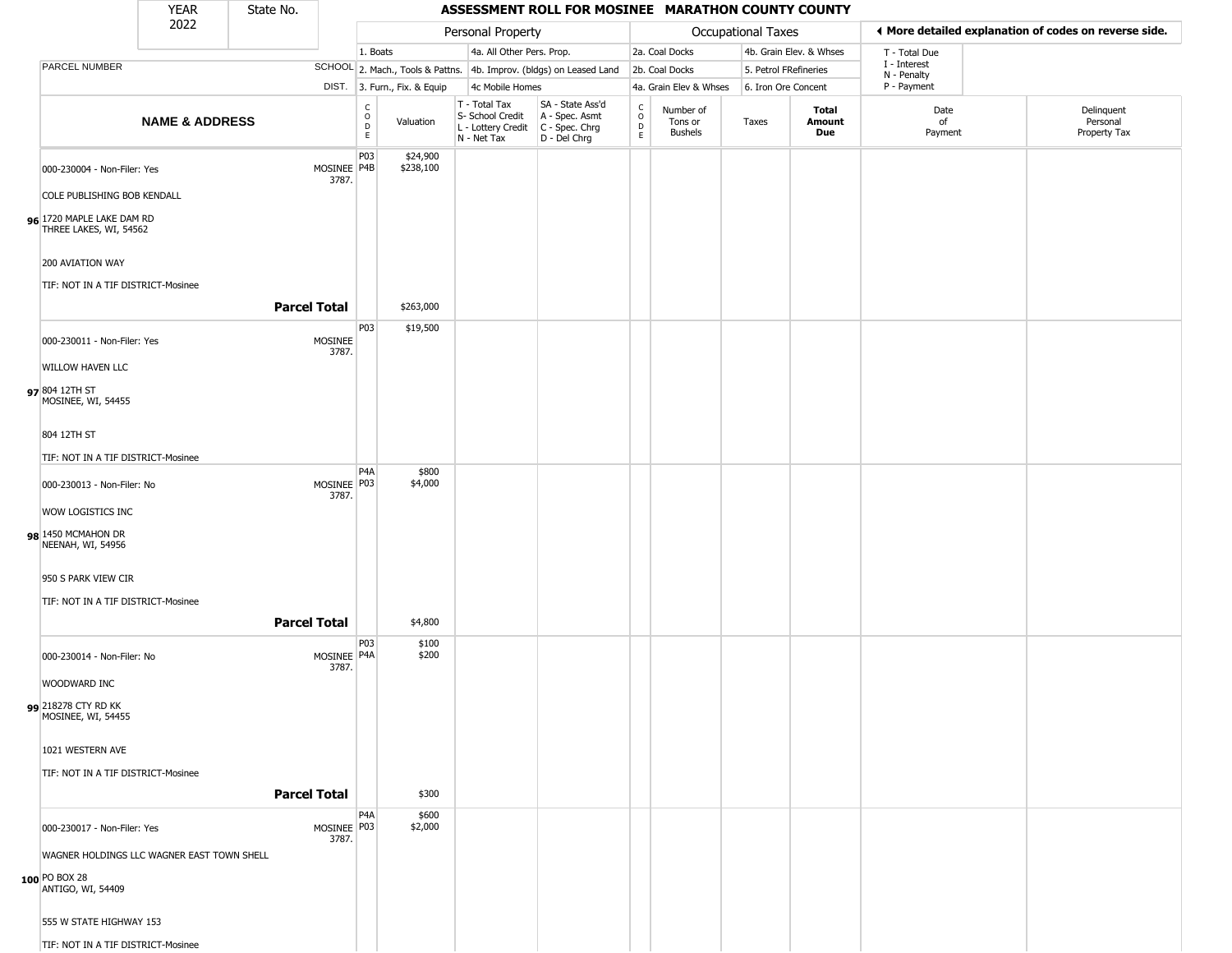|                                                     | <b>YEAR</b>               | State No.           |                         |                                              |                              |                                                                        | ASSESSMENT ROLL FOR MOSINEE MARATHON COUNTY COUNTY                   |                                            |                                        |                       |                         |                             |                                                       |
|-----------------------------------------------------|---------------------------|---------------------|-------------------------|----------------------------------------------|------------------------------|------------------------------------------------------------------------|----------------------------------------------------------------------|--------------------------------------------|----------------------------------------|-----------------------|-------------------------|-----------------------------|-------------------------------------------------------|
|                                                     | 2022                      |                     |                         |                                              |                              | Personal Property                                                      |                                                                      |                                            |                                        | Occupational Taxes    |                         |                             | ♦ More detailed explanation of codes on reverse side. |
|                                                     |                           |                     |                         | 1. Boats                                     |                              | 4a. All Other Pers. Prop.                                              |                                                                      |                                            | 2a. Coal Docks                         |                       | 4b. Grain Elev. & Whses | T - Total Due               |                                                       |
| PARCEL NUMBER                                       |                           |                     |                         |                                              |                              |                                                                        | SCHOOL 2. Mach., Tools & Pattns. 4b. Improv. (bldgs) on Leased Land  |                                            | 2b. Coal Docks                         | 5. Petrol FRefineries |                         | I - Interest<br>N - Penalty |                                                       |
|                                                     |                           |                     |                         |                                              | DIST. 3. Furn., Fix. & Equip | 4c Mobile Homes                                                        |                                                                      |                                            | 4a. Grain Elev & Whses                 | 6. Iron Ore Concent   |                         | P - Payment                 |                                                       |
|                                                     | <b>NAME &amp; ADDRESS</b> |                     |                         | $\mathsf{C}$<br>$\circ$<br>$\mathsf{D}$<br>E | Valuation                    | T - Total Tax<br>S- School Credit<br>L - Lottery Credit<br>N - Net Tax | SA - State Ass'd<br>A - Spec. Asmt<br>C - Spec. Chrg<br>D - Del Chrg | $\begin{array}{c} C \\ 0 \\ E \end{array}$ | Number of<br>Tons or<br><b>Bushels</b> | Taxes                 | Total<br>Amount<br>Due  | Date<br>of<br>Payment       | Delinquent<br>Personal<br>Property Tax                |
| 000-230004 - Non-Filer: Yes                         |                           |                     | MOSINEE P4B<br>3787.    | P03                                          | \$24,900<br>\$238,100        |                                                                        |                                                                      |                                            |                                        |                       |                         |                             |                                                       |
| COLE PUBLISHING BOB KENDALL                         |                           |                     |                         |                                              |                              |                                                                        |                                                                      |                                            |                                        |                       |                         |                             |                                                       |
| 96 1720 MAPLE LAKE DAM RD<br>THREE LAKES, WI, 54562 |                           |                     |                         |                                              |                              |                                                                        |                                                                      |                                            |                                        |                       |                         |                             |                                                       |
| 200 AVIATION WAY                                    |                           |                     |                         |                                              |                              |                                                                        |                                                                      |                                            |                                        |                       |                         |                             |                                                       |
| TIF: NOT IN A TIF DISTRICT-Mosinee                  |                           | <b>Parcel Total</b> |                         |                                              | \$263,000                    |                                                                        |                                                                      |                                            |                                        |                       |                         |                             |                                                       |
| 000-230011 - Non-Filer: Yes                         |                           |                     | <b>MOSINEE</b><br>3787. | P03                                          | \$19,500                     |                                                                        |                                                                      |                                            |                                        |                       |                         |                             |                                                       |
| WILLOW HAVEN LLC                                    |                           |                     |                         |                                              |                              |                                                                        |                                                                      |                                            |                                        |                       |                         |                             |                                                       |
| 97 804 12TH ST<br>MOSINEE, WI, 54455                |                           |                     |                         |                                              |                              |                                                                        |                                                                      |                                            |                                        |                       |                         |                             |                                                       |
| 804 12TH ST                                         |                           |                     |                         |                                              |                              |                                                                        |                                                                      |                                            |                                        |                       |                         |                             |                                                       |
| TIF: NOT IN A TIF DISTRICT-Mosinee                  |                           |                     |                         |                                              |                              |                                                                        |                                                                      |                                            |                                        |                       |                         |                             |                                                       |
| 000-230013 - Non-Filer: No                          |                           |                     | MOSINEE P03<br>3787.    | P <sub>4</sub> A                             | \$800<br>\$4,000             |                                                                        |                                                                      |                                            |                                        |                       |                         |                             |                                                       |
| WOW LOGISTICS INC                                   |                           |                     |                         |                                              |                              |                                                                        |                                                                      |                                            |                                        |                       |                         |                             |                                                       |
| 98 1450 MCMAHON DR<br>NEENAH, WI, 54956             |                           |                     |                         |                                              |                              |                                                                        |                                                                      |                                            |                                        |                       |                         |                             |                                                       |
| 950 S PARK VIEW CIR                                 |                           |                     |                         |                                              |                              |                                                                        |                                                                      |                                            |                                        |                       |                         |                             |                                                       |
| TIF: NOT IN A TIF DISTRICT-Mosinee                  |                           |                     |                         |                                              |                              |                                                                        |                                                                      |                                            |                                        |                       |                         |                             |                                                       |
|                                                     |                           | <b>Parcel Total</b> |                         |                                              | \$4,800                      |                                                                        |                                                                      |                                            |                                        |                       |                         |                             |                                                       |
| 000-230014 - Non-Filer: No                          |                           |                     | MOSINEE P4A<br>3787.    | P03                                          | \$100<br>\$200               |                                                                        |                                                                      |                                            |                                        |                       |                         |                             |                                                       |
| WOODWARD INC                                        |                           |                     |                         |                                              |                              |                                                                        |                                                                      |                                            |                                        |                       |                         |                             |                                                       |
| 99 218278 CTY RD KK<br>MOSINEE, WI, 54455           |                           |                     |                         |                                              |                              |                                                                        |                                                                      |                                            |                                        |                       |                         |                             |                                                       |
| 1021 WESTERN AVE                                    |                           |                     |                         |                                              |                              |                                                                        |                                                                      |                                            |                                        |                       |                         |                             |                                                       |
| TIF: NOT IN A TIF DISTRICT-Mosinee                  |                           |                     |                         |                                              |                              |                                                                        |                                                                      |                                            |                                        |                       |                         |                             |                                                       |
|                                                     |                           | <b>Parcel Total</b> |                         |                                              | \$300                        |                                                                        |                                                                      |                                            |                                        |                       |                         |                             |                                                       |
| 000-230017 - Non-Filer: Yes                         |                           |                     | MOSINEE P03<br>3787.    | P <sub>4</sub> A                             | \$600<br>\$2,000             |                                                                        |                                                                      |                                            |                                        |                       |                         |                             |                                                       |
| WAGNER HOLDINGS LLC WAGNER EAST TOWN SHELL          |                           |                     |                         |                                              |                              |                                                                        |                                                                      |                                            |                                        |                       |                         |                             |                                                       |
| 100 PO BOX 28<br>ANTIGO, WI, 54409                  |                           |                     |                         |                                              |                              |                                                                        |                                                                      |                                            |                                        |                       |                         |                             |                                                       |
| 555 W STATE HIGHWAY 153                             |                           |                     |                         |                                              |                              |                                                                        |                                                                      |                                            |                                        |                       |                         |                             |                                                       |
| TIF: NOT IN A TIF DISTRICT-Mosinee                  |                           |                     |                         |                                              |                              |                                                                        |                                                                      |                                            |                                        |                       |                         |                             |                                                       |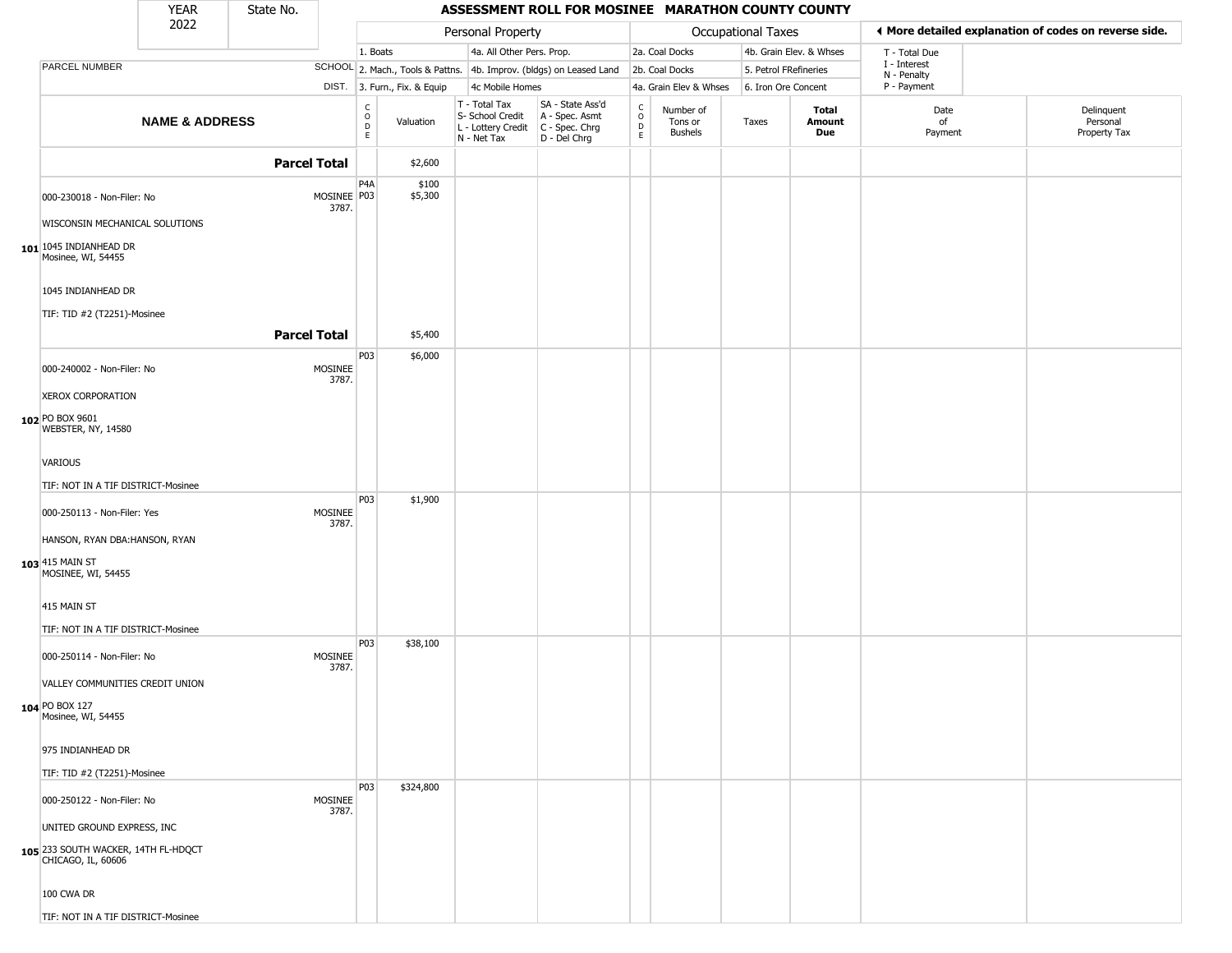|                                                           | <b>YEAR</b>               | State No.           |                      |                        |                              |                                                                        | ASSESSMENT ROLL FOR MOSINEE MARATHON COUNTY COUNTY                   |                                              |                                        |                       |                         |                             |                                                       |
|-----------------------------------------------------------|---------------------------|---------------------|----------------------|------------------------|------------------------------|------------------------------------------------------------------------|----------------------------------------------------------------------|----------------------------------------------|----------------------------------------|-----------------------|-------------------------|-----------------------------|-------------------------------------------------------|
|                                                           | 2022                      |                     |                      |                        |                              | Personal Property                                                      |                                                                      |                                              |                                        | Occupational Taxes    |                         |                             | ◀ More detailed explanation of codes on reverse side. |
|                                                           |                           |                     |                      | 1. Boats               |                              | 4a. All Other Pers. Prop.                                              |                                                                      |                                              | 2a. Coal Docks                         |                       | 4b. Grain Elev. & Whses | T - Total Due               |                                                       |
| PARCEL NUMBER                                             |                           |                     |                      |                        |                              |                                                                        | SCHOOL 2. Mach., Tools & Pattns. 4b. Improv. (bldgs) on Leased Land  |                                              | 2b. Coal Docks                         | 5. Petrol FRefineries |                         | I - Interest<br>N - Penalty |                                                       |
|                                                           |                           |                     |                      |                        | DIST. 3. Furn., Fix. & Equip | 4c Mobile Homes                                                        |                                                                      |                                              | 4a. Grain Elev & Whses                 | 6. Iron Ore Concent   |                         | P - Payment                 |                                                       |
|                                                           | <b>NAME &amp; ADDRESS</b> |                     |                      | C<br>$\circ$<br>D<br>E | Valuation                    | T - Total Tax<br>S- School Credit<br>L - Lottery Credit<br>N - Net Tax | SA - State Ass'd<br>A - Spec. Asmt<br>C - Spec. Chrg<br>D - Del Chrg | $\mathsf{C}$<br>$\circ$<br>$\mathsf{D}$<br>E | Number of<br>Tons or<br><b>Bushels</b> | Taxes                 | Total<br>Amount<br>Due  | Date<br>of<br>Payment       | Delinquent<br>Personal<br>Property Tax                |
|                                                           |                           | <b>Parcel Total</b> |                      |                        | \$2,600                      |                                                                        |                                                                      |                                              |                                        |                       |                         |                             |                                                       |
| 000-230018 - Non-Filer: No                                |                           |                     | MOSINEE P03<br>3787. | P4A                    | \$100<br>\$5,300             |                                                                        |                                                                      |                                              |                                        |                       |                         |                             |                                                       |
| WISCONSIN MECHANICAL SOLUTIONS                            |                           |                     |                      |                        |                              |                                                                        |                                                                      |                                              |                                        |                       |                         |                             |                                                       |
| 101 1045 INDIANHEAD DR<br>Mosinee, WI, 54455              |                           |                     |                      |                        |                              |                                                                        |                                                                      |                                              |                                        |                       |                         |                             |                                                       |
| 1045 INDIANHEAD DR                                        |                           |                     |                      |                        |                              |                                                                        |                                                                      |                                              |                                        |                       |                         |                             |                                                       |
|                                                           |                           |                     |                      |                        |                              |                                                                        |                                                                      |                                              |                                        |                       |                         |                             |                                                       |
| TIF: TID #2 (T2251)-Mosinee                               |                           |                     |                      |                        |                              |                                                                        |                                                                      |                                              |                                        |                       |                         |                             |                                                       |
|                                                           |                           | <b>Parcel Total</b> |                      |                        | \$5,400                      |                                                                        |                                                                      |                                              |                                        |                       |                         |                             |                                                       |
| 000-240002 - Non-Filer: No                                |                           |                     | MOSINEE<br>3787.     | P03                    | \$6,000                      |                                                                        |                                                                      |                                              |                                        |                       |                         |                             |                                                       |
| <b>XEROX CORPORATION</b>                                  |                           |                     |                      |                        |                              |                                                                        |                                                                      |                                              |                                        |                       |                         |                             |                                                       |
| 102 PO BOX 9601<br>WEBSTER, NY, 14580                     |                           |                     |                      |                        |                              |                                                                        |                                                                      |                                              |                                        |                       |                         |                             |                                                       |
| VARIOUS                                                   |                           |                     |                      |                        |                              |                                                                        |                                                                      |                                              |                                        |                       |                         |                             |                                                       |
| TIF: NOT IN A TIF DISTRICT-Mosinee                        |                           |                     |                      |                        |                              |                                                                        |                                                                      |                                              |                                        |                       |                         |                             |                                                       |
| 000-250113 - Non-Filer: Yes                               |                           |                     | MOSINEE<br>3787.     | P03                    | \$1,900                      |                                                                        |                                                                      |                                              |                                        |                       |                         |                             |                                                       |
| HANSON, RYAN DBA: HANSON, RYAN                            |                           |                     |                      |                        |                              |                                                                        |                                                                      |                                              |                                        |                       |                         |                             |                                                       |
| $103$ 415 MAIN ST<br>MOSINEE, WI, 54455                   |                           |                     |                      |                        |                              |                                                                        |                                                                      |                                              |                                        |                       |                         |                             |                                                       |
| 415 MAIN ST                                               |                           |                     |                      |                        |                              |                                                                        |                                                                      |                                              |                                        |                       |                         |                             |                                                       |
| TIF: NOT IN A TIF DISTRICT-Mosinee                        |                           |                     |                      |                        |                              |                                                                        |                                                                      |                                              |                                        |                       |                         |                             |                                                       |
| 000-250114 - Non-Filer: No                                |                           |                     | MOSINEE<br>3787.     | P03                    | \$38,100                     |                                                                        |                                                                      |                                              |                                        |                       |                         |                             |                                                       |
| VALLEY COMMUNITIES CREDIT UNION                           |                           |                     |                      |                        |                              |                                                                        |                                                                      |                                              |                                        |                       |                         |                             |                                                       |
| 104 PO BOX 127<br>Mosinee, WI, 54455                      |                           |                     |                      |                        |                              |                                                                        |                                                                      |                                              |                                        |                       |                         |                             |                                                       |
| 975 INDIANHEAD DR                                         |                           |                     |                      |                        |                              |                                                                        |                                                                      |                                              |                                        |                       |                         |                             |                                                       |
| TIF: TID #2 (T2251)-Mosinee                               |                           |                     |                      |                        |                              |                                                                        |                                                                      |                                              |                                        |                       |                         |                             |                                                       |
|                                                           |                           |                     |                      | P03                    | \$324,800                    |                                                                        |                                                                      |                                              |                                        |                       |                         |                             |                                                       |
| 000-250122 - Non-Filer: No                                |                           |                     | MOSINEE<br>3787.     |                        |                              |                                                                        |                                                                      |                                              |                                        |                       |                         |                             |                                                       |
| UNITED GROUND EXPRESS, INC                                |                           |                     |                      |                        |                              |                                                                        |                                                                      |                                              |                                        |                       |                         |                             |                                                       |
| 105 233 SOUTH WACKER, 14TH FL-HDQCT<br>CHICAGO, IL, 60606 |                           |                     |                      |                        |                              |                                                                        |                                                                      |                                              |                                        |                       |                         |                             |                                                       |
| 100 CWA DR                                                |                           |                     |                      |                        |                              |                                                                        |                                                                      |                                              |                                        |                       |                         |                             |                                                       |
| TIF: NOT IN A TIF DISTRICT-Mosinee                        |                           |                     |                      |                        |                              |                                                                        |                                                                      |                                              |                                        |                       |                         |                             |                                                       |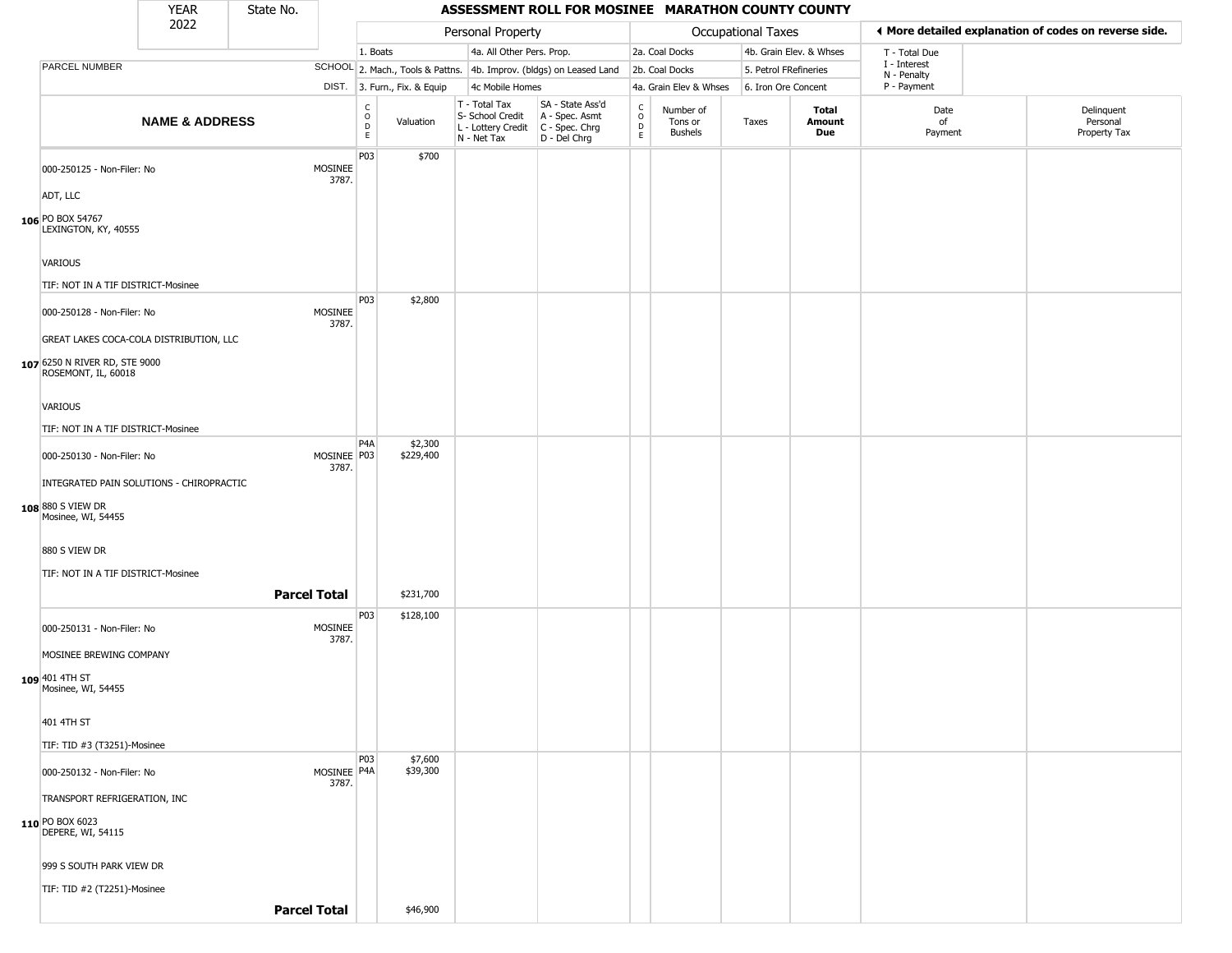### YEAR **ASSESSMENT ROLL FOR MOSINEE MARATHON COUNTY COUNTY** 2022 DIST. 3. Furn., Fix. & Equip PARCEL NUMBER **NAME & ADDRESS** State No. C O D E Valuation T - Total Tax S- School Credit A - Spec. Asmt L - Lottery Credit C - Spec. Chrg N - Net Tax SA - State Ass'd D - Del Chrg C O D E Number of Tons or Bushels Taxes **Total Amount Due** Date of Payment Delinquent Personal Property Tax Personal Property **Department Controller Service Controller** Occupational Taxes 1. Boats **4a. All Other Pers. Prop.** 2a. Coal Docks 4b. Grain Elev. & Whses SCHOOL 2. Mach., Tools & Pattns. 4b. Improv. (bldgs) on Leased Land 2b. Coal Docks 5. Petrol FRefineries 4c Mobile Homes 4a. Grain Elev & Whses 6. Iron Ore Concent T - Total Due I - Interest N - Penalty P - Payment 3**More detailed explanation of codes on reverse side. 106** PO BOX 54767 000-250125 - Non-Filer: No MOSINEE 3787. ADT, LLC LEXINGTON, KY, 40555 VARIOUS TIF: NOT IN A TIF DISTRICT-Mosinee P03 \$700 **107** 6250 N RIVER RD, STE 9000 000-250128 - Non-Filer: No MOSINEE 3787. GREAT LAKES COCA-COLA DISTRIBUTION, LLC ROSEMONT, IL, 60018 VARIOUS TIF: NOT IN A TIF DISTRICT-Mosinee P03 \$2,800 **108** 880 S VIEW DR 000-250130 - Non-Filer: No 3787. INTEGRATED PAIN SOLUTIONS - CHIROPRACTIC Mosinee, WI, 54455 880 S VIEW DR TIF: NOT IN A TIF DISTRICT-Mosinee P4A MOSINEE P03 \$2,300 \$229,400 **Parcel Total** \$231,700 **109** 401 4TH ST 000-250131 - Non-Filer: No MOSINEE 3787. MOSINEE BREWING COMPANY Mosinee, WI, 54455 401 4TH ST TIF: TID #3 (T3251)-Mosinee P03 \$128,100 **110** PO BOX 6023 000-250132 - Non-Filer: No 3787. TRANSPORT REFRIGERATION, INC DEPERE, WI, 54115 999 S SOUTH PARK VIEW DR TIF: TID #2 (T2251)-Mosinee P03 MOSINEE<sup>P4A</sup> \$7,600 \$39,300

**Parcel Total** | \$46,900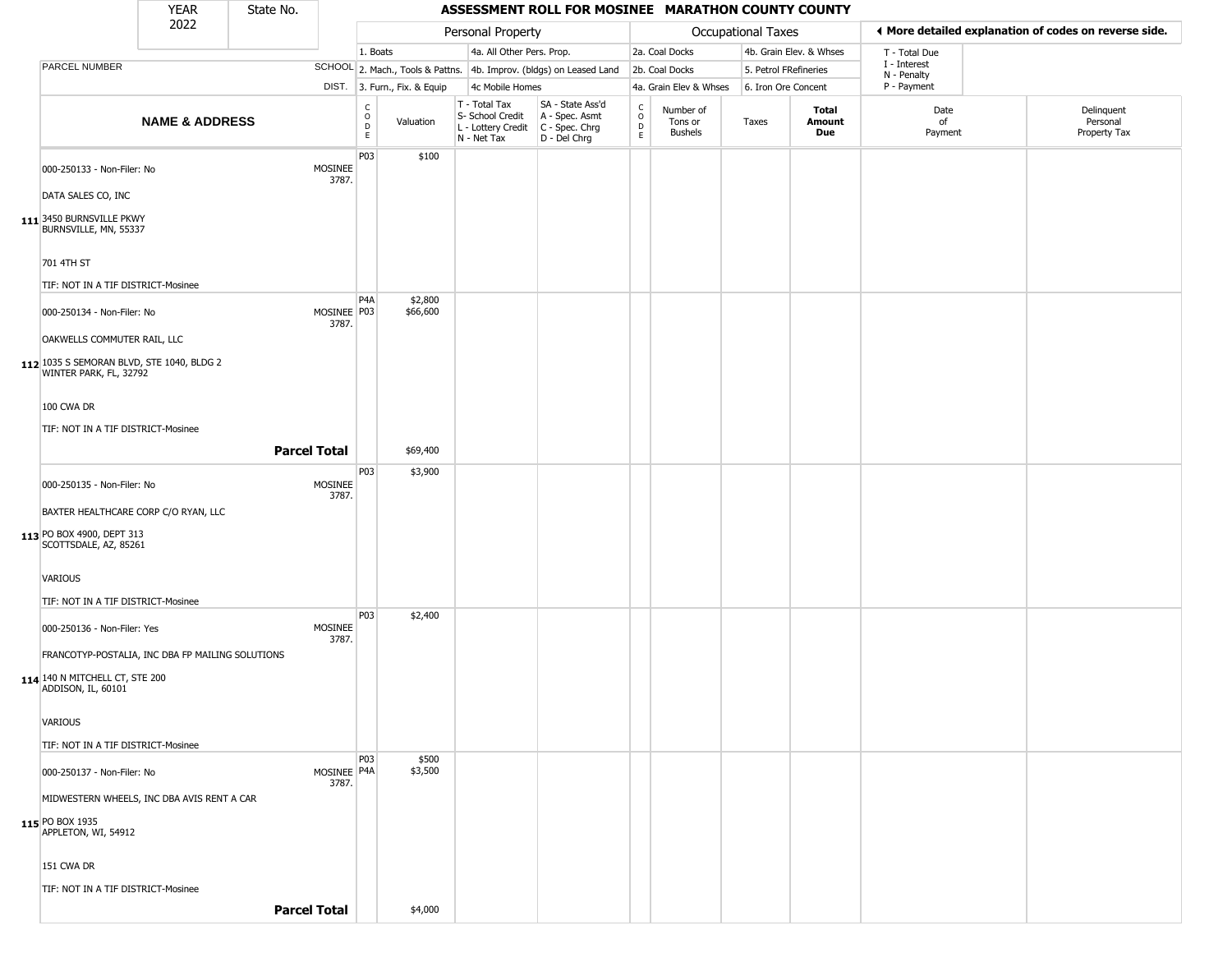|                                                                     | <b>YEAR</b>               | State No. |                        |                         |                              |                                                                                         | ASSESSMENT ROLL FOR MOSINEE MARATHON COUNTY COUNTY                  |                                |                                        |                       |                         |                             |                                                       |
|---------------------------------------------------------------------|---------------------------|-----------|------------------------|-------------------------|------------------------------|-----------------------------------------------------------------------------------------|---------------------------------------------------------------------|--------------------------------|----------------------------------------|-----------------------|-------------------------|-----------------------------|-------------------------------------------------------|
|                                                                     | 2022                      |           |                        |                         |                              | Personal Property                                                                       |                                                                     |                                |                                        | Occupational Taxes    |                         |                             | ♦ More detailed explanation of codes on reverse side. |
|                                                                     |                           |           |                        | 1. Boats                |                              | 4a. All Other Pers. Prop.                                                               |                                                                     |                                | 2a. Coal Docks                         |                       | 4b. Grain Elev. & Whses | T - Total Due               |                                                       |
| PARCEL NUMBER                                                       |                           |           |                        |                         |                              |                                                                                         | SCHOOL 2. Mach., Tools & Pattns. 4b. Improv. (bldgs) on Leased Land |                                | 2b. Coal Docks                         | 5. Petrol FRefineries |                         | I - Interest<br>N - Penalty |                                                       |
|                                                                     |                           |           |                        |                         | DIST. 3. Furn., Fix. & Equip | 4c Mobile Homes                                                                         |                                                                     |                                | 4a. Grain Elev & Whses                 | 6. Iron Ore Concent   |                         | P - Payment                 |                                                       |
|                                                                     | <b>NAME &amp; ADDRESS</b> |           |                        | c<br>$\circ$<br>D<br>E. | Valuation                    | T - Total Tax<br>S- School Credit<br>L - Lottery Credit   C - Spec. Chrg<br>N - Net Tax | SA - State Ass'd<br>A - Spec. Asmt<br>D - Del Chrg                  | $\frac{c}{0}$<br>$\frac{D}{E}$ | Number of<br>Tons or<br><b>Bushels</b> | Taxes                 | Total<br>Amount<br>Due  | Date<br>of<br>Payment       | Delinquent<br>Personal<br>Property Tax                |
| 000-250133 - Non-Filer: No<br>DATA SALES CO, INC                    |                           |           | MOSINEE<br>3787.       | P03                     | \$100                        |                                                                                         |                                                                     |                                |                                        |                       |                         |                             |                                                       |
| 111 3450 BURNSVILLE PKWY<br>BURNSVILLE, MN, 55337                   |                           |           |                        |                         |                              |                                                                                         |                                                                     |                                |                                        |                       |                         |                             |                                                       |
| 701 4TH ST                                                          |                           |           |                        |                         |                              |                                                                                         |                                                                     |                                |                                        |                       |                         |                             |                                                       |
| TIF: NOT IN A TIF DISTRICT-Mosinee                                  |                           |           |                        |                         |                              |                                                                                         |                                                                     |                                |                                        |                       |                         |                             |                                                       |
| 000-250134 - Non-Filer: No<br>OAKWELLS COMMUTER RAIL, LLC           |                           |           | MOSINEE   P03<br>3787. | P4A                     | \$2,800<br>\$66,600          |                                                                                         |                                                                     |                                |                                        |                       |                         |                             |                                                       |
|                                                                     |                           |           |                        |                         |                              |                                                                                         |                                                                     |                                |                                        |                       |                         |                             |                                                       |
| 112 1035 S SEMORAN BLVD, STE 1040, BLDG 2<br>WINTER PARK, FL, 32792 |                           |           |                        |                         |                              |                                                                                         |                                                                     |                                |                                        |                       |                         |                             |                                                       |
| 100 CWA DR                                                          |                           |           |                        |                         |                              |                                                                                         |                                                                     |                                |                                        |                       |                         |                             |                                                       |
| TIF: NOT IN A TIF DISTRICT-Mosinee                                  |                           |           |                        |                         |                              |                                                                                         |                                                                     |                                |                                        |                       |                         |                             |                                                       |
|                                                                     |                           |           | <b>Parcel Total</b>    |                         | \$69,400                     |                                                                                         |                                                                     |                                |                                        |                       |                         |                             |                                                       |
|                                                                     |                           |           |                        | P03                     | \$3,900                      |                                                                                         |                                                                     |                                |                                        |                       |                         |                             |                                                       |
| 000-250135 - Non-Filer: No<br>BAXTER HEALTHCARE CORP C/O RYAN, LLC  |                           |           | MOSINEE<br>3787.       |                         |                              |                                                                                         |                                                                     |                                |                                        |                       |                         |                             |                                                       |
|                                                                     |                           |           |                        |                         |                              |                                                                                         |                                                                     |                                |                                        |                       |                         |                             |                                                       |
| 113 PO BOX 4900, DEPT 313<br>SCOTTSDALE, AZ, 85261                  |                           |           |                        |                         |                              |                                                                                         |                                                                     |                                |                                        |                       |                         |                             |                                                       |
| VARIOUS                                                             |                           |           |                        |                         |                              |                                                                                         |                                                                     |                                |                                        |                       |                         |                             |                                                       |
| TIF: NOT IN A TIF DISTRICT-Mosinee                                  |                           |           |                        |                         |                              |                                                                                         |                                                                     |                                |                                        |                       |                         |                             |                                                       |
| 000-250136 - Non-Filer: Yes                                         |                           |           | MOSINEE                | P <sub>0</sub> 3        | \$2,400                      |                                                                                         |                                                                     |                                |                                        |                       |                         |                             |                                                       |
| FRANCOTYP-POSTALIA, INC DBA FP MAILING SOLUTIONS                    |                           |           | 3787.                  |                         |                              |                                                                                         |                                                                     |                                |                                        |                       |                         |                             |                                                       |
| 114 140 N MITCHELL CT, STE 200<br>ADDISON, IL, 60101                |                           |           |                        |                         |                              |                                                                                         |                                                                     |                                |                                        |                       |                         |                             |                                                       |
| VARIOUS                                                             |                           |           |                        |                         |                              |                                                                                         |                                                                     |                                |                                        |                       |                         |                             |                                                       |
| TIF: NOT IN A TIF DISTRICT-Mosinee                                  |                           |           |                        |                         |                              |                                                                                         |                                                                     |                                |                                        |                       |                         |                             |                                                       |
| 000-250137 - Non-Filer: No                                          |                           |           | MOSINEE P4A<br>3787.   | P <sub>03</sub>         | \$500<br>\$3,500             |                                                                                         |                                                                     |                                |                                        |                       |                         |                             |                                                       |
| MIDWESTERN WHEELS, INC DBA AVIS RENT A CAR                          |                           |           |                        |                         |                              |                                                                                         |                                                                     |                                |                                        |                       |                         |                             |                                                       |
| 115 PO BOX 1935<br>APPLETON, WI, 54912                              |                           |           |                        |                         |                              |                                                                                         |                                                                     |                                |                                        |                       |                         |                             |                                                       |
| 151 CWA DR                                                          |                           |           |                        |                         |                              |                                                                                         |                                                                     |                                |                                        |                       |                         |                             |                                                       |
| TIF: NOT IN A TIF DISTRICT-Mosinee                                  |                           |           |                        |                         |                              |                                                                                         |                                                                     |                                |                                        |                       |                         |                             |                                                       |
|                                                                     |                           |           | <b>Parcel Total</b>    |                         | \$4,000                      |                                                                                         |                                                                     |                                |                                        |                       |                         |                             |                                                       |
|                                                                     |                           |           |                        |                         |                              |                                                                                         |                                                                     |                                |                                        |                       |                         |                             |                                                       |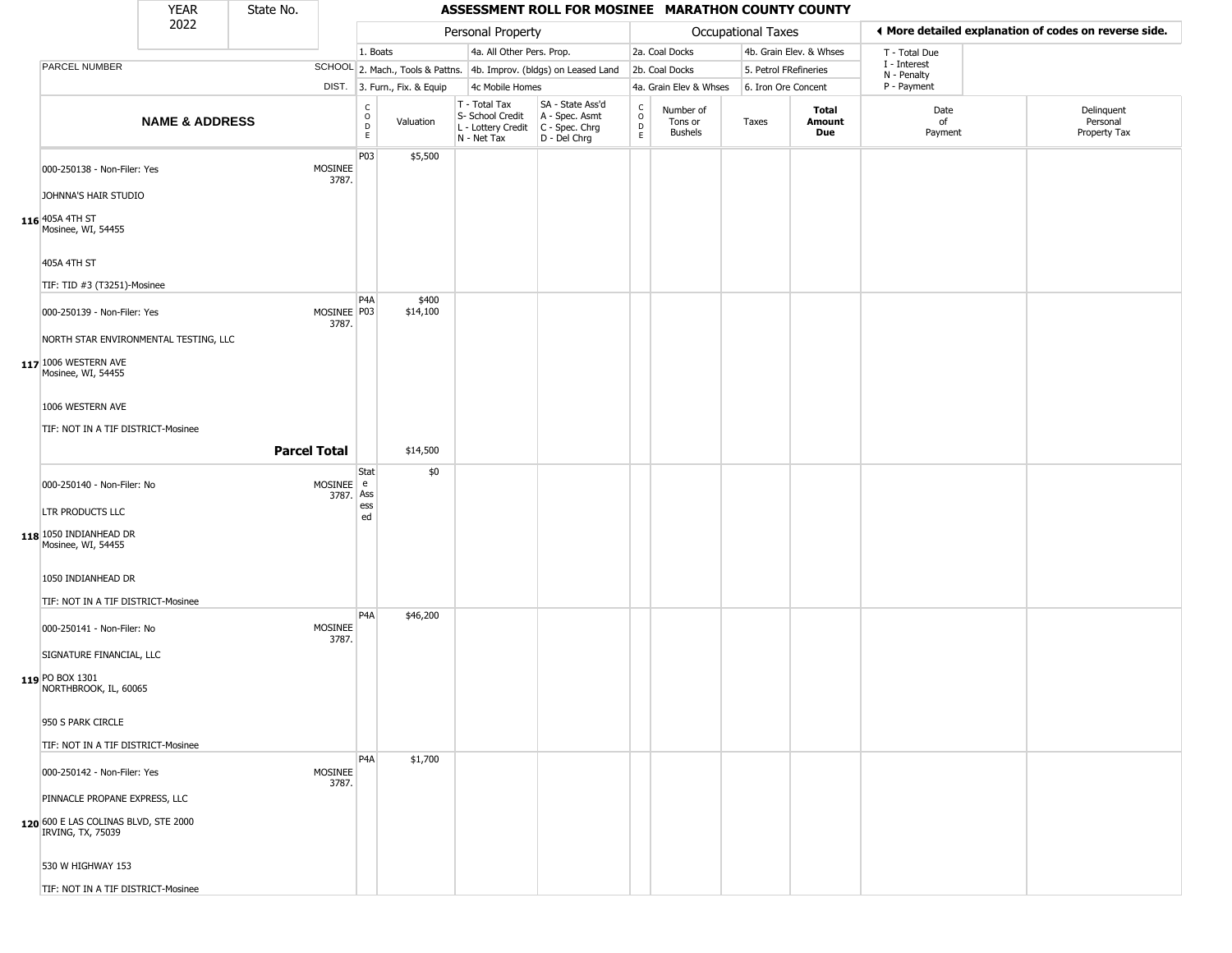|                                                           | <b>YEAR</b>               | State No. |                        |                               |                              |                                                                                         | ASSESSMENT ROLL FOR MOSINEE MARATHON COUNTY COUNTY                  |                                |                                        |                       |                         |                             |                                                       |
|-----------------------------------------------------------|---------------------------|-----------|------------------------|-------------------------------|------------------------------|-----------------------------------------------------------------------------------------|---------------------------------------------------------------------|--------------------------------|----------------------------------------|-----------------------|-------------------------|-----------------------------|-------------------------------------------------------|
|                                                           | 2022                      |           |                        |                               |                              | Personal Property                                                                       |                                                                     |                                |                                        | Occupational Taxes    |                         |                             | ♦ More detailed explanation of codes on reverse side. |
|                                                           |                           |           |                        | 1. Boats                      |                              | 4a. All Other Pers. Prop.                                                               |                                                                     |                                | 2a. Coal Docks                         |                       | 4b. Grain Elev. & Whses | T - Total Due               |                                                       |
| PARCEL NUMBER                                             |                           |           |                        |                               |                              |                                                                                         | SCHOOL 2. Mach., Tools & Pattns. 4b. Improv. (bldgs) on Leased Land |                                | 2b. Coal Docks                         | 5. Petrol FRefineries |                         | I - Interest<br>N - Penalty |                                                       |
|                                                           |                           |           |                        |                               | DIST. 3. Furn., Fix. & Equip | 4c Mobile Homes                                                                         |                                                                     |                                | 4a. Grain Elev & Whses                 | 6. Iron Ore Concent   |                         | P - Payment                 |                                                       |
|                                                           | <b>NAME &amp; ADDRESS</b> |           |                        | C<br>$\circ$<br>$\frac{D}{E}$ | Valuation                    | T - Total Tax<br>S- School Credit<br>L - Lottery Credit   C - Spec. Chrg<br>N - Net Tax | SA - State Ass'd<br>A - Spec. Asmt<br>D - Del Chrg                  | $\rm _o^c$<br>D<br>$\mathsf E$ | Number of<br>Tons or<br><b>Bushels</b> | Taxes                 | Total<br>Amount<br>Due  | Date<br>of<br>Payment       | Delinquent<br>Personal<br>Property Tax                |
| 000-250138 - Non-Filer: Yes<br>JOHNNA'S HAIR STUDIO       |                           |           | MOSINEE<br>3787.       | P03                           | \$5,500                      |                                                                                         |                                                                     |                                |                                        |                       |                         |                             |                                                       |
|                                                           |                           |           |                        |                               |                              |                                                                                         |                                                                     |                                |                                        |                       |                         |                             |                                                       |
| 116 405A 4TH ST<br>Mosinee, WI, 54455                     |                           |           |                        |                               |                              |                                                                                         |                                                                     |                                |                                        |                       |                         |                             |                                                       |
| 405A 4TH ST                                               |                           |           |                        |                               |                              |                                                                                         |                                                                     |                                |                                        |                       |                         |                             |                                                       |
| TIF: TID #3 (T3251)-Mosinee                               |                           |           |                        |                               |                              |                                                                                         |                                                                     |                                |                                        |                       |                         |                             |                                                       |
| 000-250139 - Non-Filer: Yes                               |                           |           | MOSINEE P03<br>3787.   | P4A                           | \$400<br>\$14,100            |                                                                                         |                                                                     |                                |                                        |                       |                         |                             |                                                       |
| NORTH STAR ENVIRONMENTAL TESTING, LLC                     |                           |           |                        |                               |                              |                                                                                         |                                                                     |                                |                                        |                       |                         |                             |                                                       |
| 117 1006 WESTERN AVE<br>Mosinee, WI, 54455                |                           |           |                        |                               |                              |                                                                                         |                                                                     |                                |                                        |                       |                         |                             |                                                       |
| 1006 WESTERN AVE                                          |                           |           |                        |                               |                              |                                                                                         |                                                                     |                                |                                        |                       |                         |                             |                                                       |
| TIF: NOT IN A TIF DISTRICT-Mosinee                        |                           |           |                        |                               |                              |                                                                                         |                                                                     |                                |                                        |                       |                         |                             |                                                       |
|                                                           |                           |           | <b>Parcel Total</b>    |                               | \$14,500                     |                                                                                         |                                                                     |                                |                                        |                       |                         |                             |                                                       |
|                                                           |                           |           |                        | Stat                          | \$0                          |                                                                                         |                                                                     |                                |                                        |                       |                         |                             |                                                       |
| 000-250140 - Non-Filer: No                                |                           |           | MOSINEE e<br>3787. Ass |                               |                              |                                                                                         |                                                                     |                                |                                        |                       |                         |                             |                                                       |
| LTR PRODUCTS LLC                                          |                           |           |                        | ess<br>ed                     |                              |                                                                                         |                                                                     |                                |                                        |                       |                         |                             |                                                       |
| 118 1050 INDIANHEAD DR<br>Mosinee, WI, 54455              |                           |           |                        |                               |                              |                                                                                         |                                                                     |                                |                                        |                       |                         |                             |                                                       |
| 1050 INDIANHEAD DR                                        |                           |           |                        |                               |                              |                                                                                         |                                                                     |                                |                                        |                       |                         |                             |                                                       |
| TIF: NOT IN A TIF DISTRICT-Mosinee                        |                           |           |                        | P <sub>4</sub> A              | \$46,200                     |                                                                                         |                                                                     |                                |                                        |                       |                         |                             |                                                       |
| 000-250141 - Non-Filer: No                                |                           |           | MOSINEE<br>3787.       |                               |                              |                                                                                         |                                                                     |                                |                                        |                       |                         |                             |                                                       |
| SIGNATURE FINANCIAL, LLC                                  |                           |           |                        |                               |                              |                                                                                         |                                                                     |                                |                                        |                       |                         |                             |                                                       |
| 119 PO BOX 1301<br>NORTHBROOK, IL, 60065                  |                           |           |                        |                               |                              |                                                                                         |                                                                     |                                |                                        |                       |                         |                             |                                                       |
| 950 S PARK CIRCLE                                         |                           |           |                        |                               |                              |                                                                                         |                                                                     |                                |                                        |                       |                         |                             |                                                       |
| TIF: NOT IN A TIF DISTRICT-Mosinee                        |                           |           |                        |                               |                              |                                                                                         |                                                                     |                                |                                        |                       |                         |                             |                                                       |
| 000-250142 - Non-Filer: Yes                               |                           |           | MOSINEE<br>3787.       | P <sub>4</sub> A              | \$1,700                      |                                                                                         |                                                                     |                                |                                        |                       |                         |                             |                                                       |
| PINNACLE PROPANE EXPRESS, LLC                             |                           |           |                        |                               |                              |                                                                                         |                                                                     |                                |                                        |                       |                         |                             |                                                       |
| 120 600 E LAS COLINAS BLVD, STE 2000<br>IRVING, TX, 75039 |                           |           |                        |                               |                              |                                                                                         |                                                                     |                                |                                        |                       |                         |                             |                                                       |
| 530 W HIGHWAY 153                                         |                           |           |                        |                               |                              |                                                                                         |                                                                     |                                |                                        |                       |                         |                             |                                                       |
| TIF: NOT IN A TIF DISTRICT-Mosinee                        |                           |           |                        |                               |                              |                                                                                         |                                                                     |                                |                                        |                       |                         |                             |                                                       |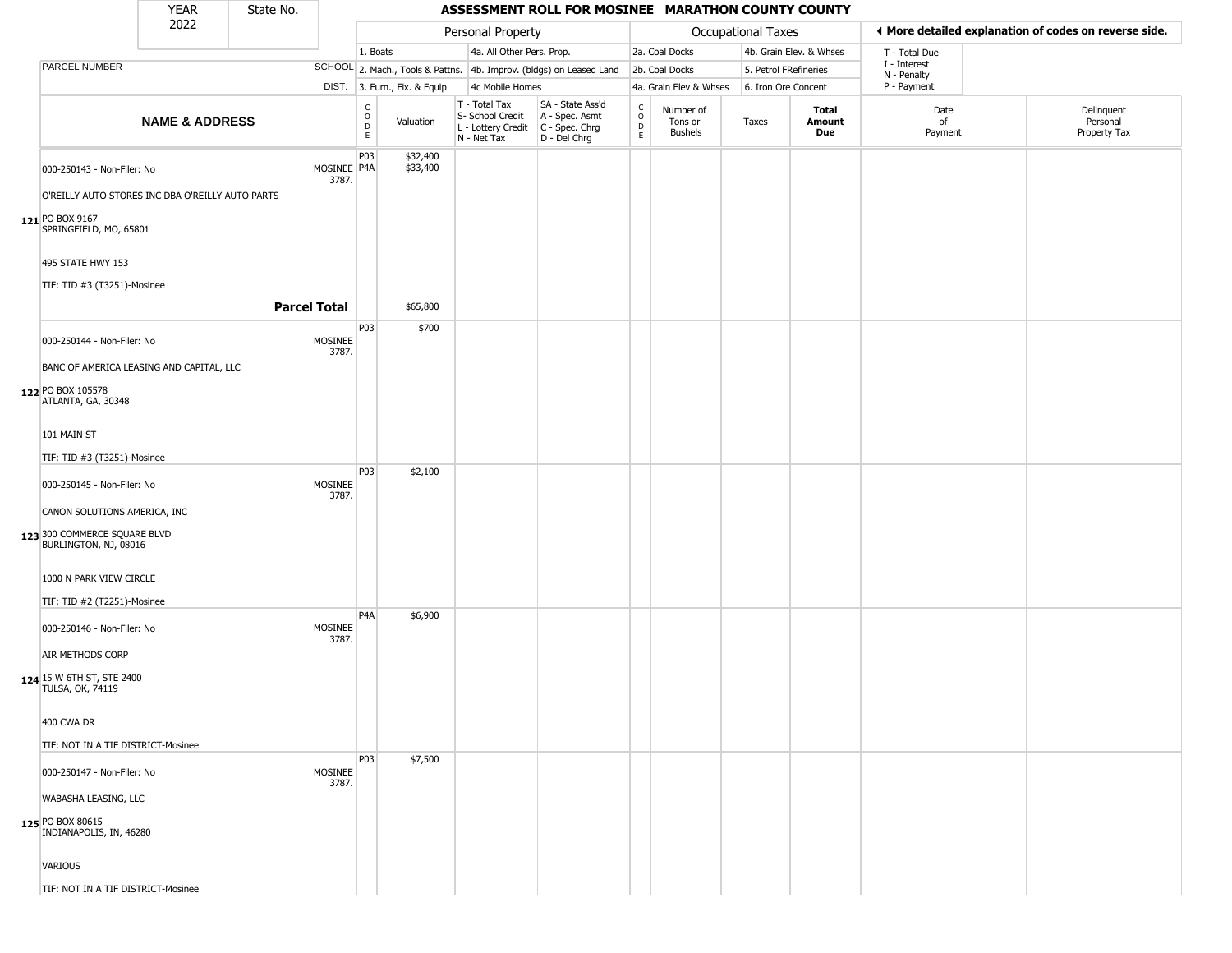|                                                                                                                     | <b>YEAR</b>               | State No. |                         |                            |                              |                                                                                         | ASSESSMENT ROLL FOR MOSINEE MARATHON COUNTY COUNTY                  |                      |                                        |                       |                         |                             |                                                       |
|---------------------------------------------------------------------------------------------------------------------|---------------------------|-----------|-------------------------|----------------------------|------------------------------|-----------------------------------------------------------------------------------------|---------------------------------------------------------------------|----------------------|----------------------------------------|-----------------------|-------------------------|-----------------------------|-------------------------------------------------------|
|                                                                                                                     | 2022                      |           |                         |                            |                              | Personal Property                                                                       |                                                                     |                      |                                        | Occupational Taxes    |                         |                             | ♦ More detailed explanation of codes on reverse side. |
|                                                                                                                     |                           |           |                         | 1. Boats                   |                              | 4a. All Other Pers. Prop.                                                               |                                                                     |                      | 2a. Coal Docks                         |                       | 4b. Grain Elev. & Whses | T - Total Due               |                                                       |
| PARCEL NUMBER                                                                                                       |                           |           |                         |                            |                              |                                                                                         | SCHOOL 2. Mach., Tools & Pattns. 4b. Improv. (bldgs) on Leased Land |                      | 2b. Coal Docks                         | 5. Petrol FRefineries |                         | I - Interest<br>N - Penalty |                                                       |
|                                                                                                                     |                           |           |                         |                            | DIST. 3. Furn., Fix. & Equip | 4c Mobile Homes                                                                         |                                                                     |                      | 4a. Grain Elev & Whses                 | 6. Iron Ore Concent   |                         | P - Payment                 |                                                       |
|                                                                                                                     | <b>NAME &amp; ADDRESS</b> |           |                         | $\rm ^c_{\rm o}$<br>D<br>E | Valuation                    | T - Total Tax<br>S- School Credit<br>L - Lottery Credit   C - Spec. Chrg<br>N - Net Tax | SA - State Ass'd<br>A - Spec. Asmt<br>D - Del Chrg                  | $\rm _o^c$<br>D<br>E | Number of<br>Tons or<br><b>Bushels</b> | Taxes                 | Total<br>Amount<br>Due  | Date<br>of<br>Payment       | Delinquent<br>Personal<br>Property Tax                |
| 000-250143 - Non-Filer: No<br>O'REILLY AUTO STORES INC DBA O'REILLY AUTO PARTS<br>121 PO BOX 9167                   |                           |           | MOSINEE P4A<br>3787.    | P03                        | \$32,400<br>\$33,400         |                                                                                         |                                                                     |                      |                                        |                       |                         |                             |                                                       |
| SPRINGFIELD, MO, 65801<br>495 STATE HWY 153<br>TIF: TID #3 (T3251)-Mosinee                                          |                           |           | <b>Parcel Total</b>     |                            | \$65,800                     |                                                                                         |                                                                     |                      |                                        |                       |                         |                             |                                                       |
| 000-250144 - Non-Filer: No<br>BANC OF AMERICA LEASING AND CAPITAL, LLC<br>122 PO BOX 105578<br>ATLANTA, GA, 30348   |                           |           | <b>MOSINEE</b><br>3787. | P03                        | \$700                        |                                                                                         |                                                                     |                      |                                        |                       |                         |                             |                                                       |
| 101 MAIN ST<br>TIF: TID #3 (T3251)-Mosinee                                                                          |                           |           |                         | P03                        | \$2,100                      |                                                                                         |                                                                     |                      |                                        |                       |                         |                             |                                                       |
| 000-250145 - Non-Filer: No<br>CANON SOLUTIONS AMERICA, INC<br>123 300 COMMERCE SQUARE BLVD<br>BURLINGTON, NJ, 08016 |                           |           | MOSINEE<br>3787.        |                            |                              |                                                                                         |                                                                     |                      |                                        |                       |                         |                             |                                                       |
| 1000 N PARK VIEW CIRCLE<br>TIF: TID #2 (T2251)-Mosinee                                                              |                           |           |                         | P <sub>4</sub> A           | \$6,900                      |                                                                                         |                                                                     |                      |                                        |                       |                         |                             |                                                       |
| 000-250146 - Non-Filer: No<br>AIR METHODS CORP<br>124 15 W 6TH ST, STE 2400<br><b>TULSA, OK, 74119</b>              |                           |           | MOSINEE<br>3787.        |                            |                              |                                                                                         |                                                                     |                      |                                        |                       |                         |                             |                                                       |
| 400 CWA DR<br>TIF: NOT IN A TIF DISTRICT-Mosinee                                                                    |                           |           |                         |                            |                              |                                                                                         |                                                                     |                      |                                        |                       |                         |                             |                                                       |
| 000-250147 - Non-Filer: No<br>WABASHA LEASING, LLC<br>125 PO BOX 80615<br>INDIANAPOLIS, IN, 46280                   |                           |           | MOSINEE<br>3787.        | P <sub>03</sub>            | \$7,500                      |                                                                                         |                                                                     |                      |                                        |                       |                         |                             |                                                       |
| VARIOUS<br>TIF: NOT IN A TIF DISTRICT-Mosinee                                                                       |                           |           |                         |                            |                              |                                                                                         |                                                                     |                      |                                        |                       |                         |                             |                                                       |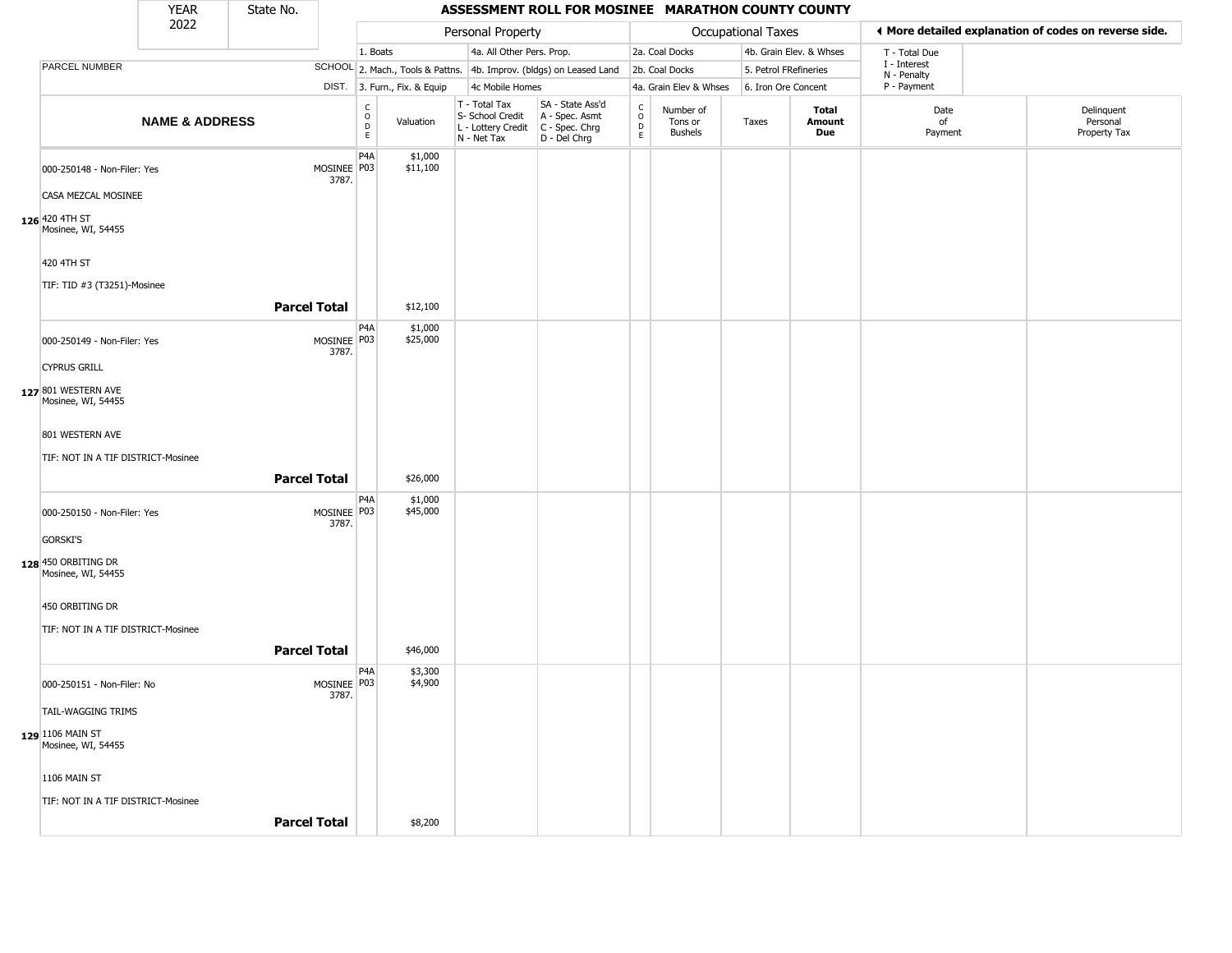|                                           | <b>YEAR</b>               | State No.           |                                           |                              |                                                                        | ASSESSMENT ROLL FOR MOSINEE MARATHON COUNTY COUNTY                   |                                            |                                        |                       |                         |                             |                                                       |  |
|-------------------------------------------|---------------------------|---------------------|-------------------------------------------|------------------------------|------------------------------------------------------------------------|----------------------------------------------------------------------|--------------------------------------------|----------------------------------------|-----------------------|-------------------------|-----------------------------|-------------------------------------------------------|--|
|                                           | 2022                      |                     |                                           |                              | Personal Property                                                      |                                                                      |                                            |                                        | Occupational Taxes    |                         |                             | ♦ More detailed explanation of codes on reverse side. |  |
|                                           |                           |                     |                                           | 1. Boats                     | 4a. All Other Pers. Prop.                                              |                                                                      |                                            | 2a. Coal Docks                         |                       | 4b. Grain Elev. & Whses | T - Total Due               |                                                       |  |
| PARCEL NUMBER                             |                           |                     |                                           |                              |                                                                        | SCHOOL 2. Mach., Tools & Pattns. 4b. Improv. (bldgs) on Leased Land  |                                            | 2b. Coal Docks                         | 5. Petrol FRefineries |                         | I - Interest<br>N - Penalty |                                                       |  |
|                                           |                           |                     |                                           | DIST. 3. Furn., Fix. & Equip | 4c Mobile Homes                                                        |                                                                      |                                            | 4a. Grain Elev & Whses                 | 6. Iron Ore Concent   |                         | P - Payment                 |                                                       |  |
|                                           | <b>NAME &amp; ADDRESS</b> |                     | $\begin{matrix} 0 \\ 0 \\ D \end{matrix}$ | Valuation<br>E               | T - Total Tax<br>S- School Credit<br>L - Lottery Credit<br>N - Net Tax | SA - State Ass'd<br>A - Spec. Asmt<br>C - Spec. Chrg<br>D - Del Chrg | $\begin{array}{c} C \\ 0 \\ E \end{array}$ | Number of<br>Tons or<br><b>Bushels</b> | Taxes                 | Total<br>Amount<br>Due  | Date<br>of<br>Payment       | Delinquent<br>Personal<br>Property Tax                |  |
| 000-250148 - Non-Filer: Yes               |                           |                     | P <sub>4</sub> A<br>MOSINEE P03<br>3787.  | \$1,000<br>\$11,100          |                                                                        |                                                                      |                                            |                                        |                       |                         |                             |                                                       |  |
| CASA MEZCAL MOSINEE                       |                           |                     |                                           |                              |                                                                        |                                                                      |                                            |                                        |                       |                         |                             |                                                       |  |
| 126 420 4TH ST<br>Mosinee, WI, 54455      |                           |                     |                                           |                              |                                                                        |                                                                      |                                            |                                        |                       |                         |                             |                                                       |  |
| 420 4TH ST                                |                           |                     |                                           |                              |                                                                        |                                                                      |                                            |                                        |                       |                         |                             |                                                       |  |
| TIF: TID #3 (T3251)-Mosinee               |                           |                     |                                           |                              |                                                                        |                                                                      |                                            |                                        |                       |                         |                             |                                                       |  |
|                                           |                           | <b>Parcel Total</b> |                                           | \$12,100                     |                                                                        |                                                                      |                                            |                                        |                       |                         |                             |                                                       |  |
| 000-250149 - Non-Filer: Yes               |                           |                     | P <sub>4</sub> A<br>MOSINEE P03<br>3787.  | \$1,000<br>\$25,000          |                                                                        |                                                                      |                                            |                                        |                       |                         |                             |                                                       |  |
| <b>CYPRUS GRILL</b>                       |                           |                     |                                           |                              |                                                                        |                                                                      |                                            |                                        |                       |                         |                             |                                                       |  |
| 127 801 WESTERN AVE<br>Mosinee, WI, 54455 |                           |                     |                                           |                              |                                                                        |                                                                      |                                            |                                        |                       |                         |                             |                                                       |  |
| 801 WESTERN AVE                           |                           |                     |                                           |                              |                                                                        |                                                                      |                                            |                                        |                       |                         |                             |                                                       |  |
| TIF: NOT IN A TIF DISTRICT-Mosinee        |                           |                     |                                           |                              |                                                                        |                                                                      |                                            |                                        |                       |                         |                             |                                                       |  |
|                                           |                           | <b>Parcel Total</b> |                                           | \$26,000                     |                                                                        |                                                                      |                                            |                                        |                       |                         |                             |                                                       |  |
| 000-250150 - Non-Filer: Yes               |                           |                     | P <sub>4</sub> A<br>MOSINEE P03<br>3787.  | \$1,000<br>\$45,000          |                                                                        |                                                                      |                                            |                                        |                       |                         |                             |                                                       |  |
| <b>GORSKI'S</b>                           |                           |                     |                                           |                              |                                                                        |                                                                      |                                            |                                        |                       |                         |                             |                                                       |  |
| 128 450 ORBITING DR<br>Mosinee, WI, 54455 |                           |                     |                                           |                              |                                                                        |                                                                      |                                            |                                        |                       |                         |                             |                                                       |  |
| 450 ORBITING DR                           |                           |                     |                                           |                              |                                                                        |                                                                      |                                            |                                        |                       |                         |                             |                                                       |  |
| TIF: NOT IN A TIF DISTRICT-Mosinee        |                           |                     |                                           |                              |                                                                        |                                                                      |                                            |                                        |                       |                         |                             |                                                       |  |
|                                           |                           | <b>Parcel Total</b> |                                           | \$46,000                     |                                                                        |                                                                      |                                            |                                        |                       |                         |                             |                                                       |  |
| 000-250151 - Non-Filer: No                |                           |                     | P <sub>4</sub> A<br>MOSINEE P03<br>3787.  | \$3,300<br>\$4,900           |                                                                        |                                                                      |                                            |                                        |                       |                         |                             |                                                       |  |
| <b>TAIL-WAGGING TRIMS</b>                 |                           |                     |                                           |                              |                                                                        |                                                                      |                                            |                                        |                       |                         |                             |                                                       |  |
| 129 1106 MAIN ST<br>Mosinee, WI, 54455    |                           |                     |                                           |                              |                                                                        |                                                                      |                                            |                                        |                       |                         |                             |                                                       |  |
| 1106 MAIN ST                              |                           |                     |                                           |                              |                                                                        |                                                                      |                                            |                                        |                       |                         |                             |                                                       |  |
| TIF: NOT IN A TIF DISTRICT-Mosinee        |                           |                     |                                           |                              |                                                                        |                                                                      |                                            |                                        |                       |                         |                             |                                                       |  |
|                                           |                           | <b>Parcel Total</b> |                                           | \$8,200                      |                                                                        |                                                                      |                                            |                                        |                       |                         |                             |                                                       |  |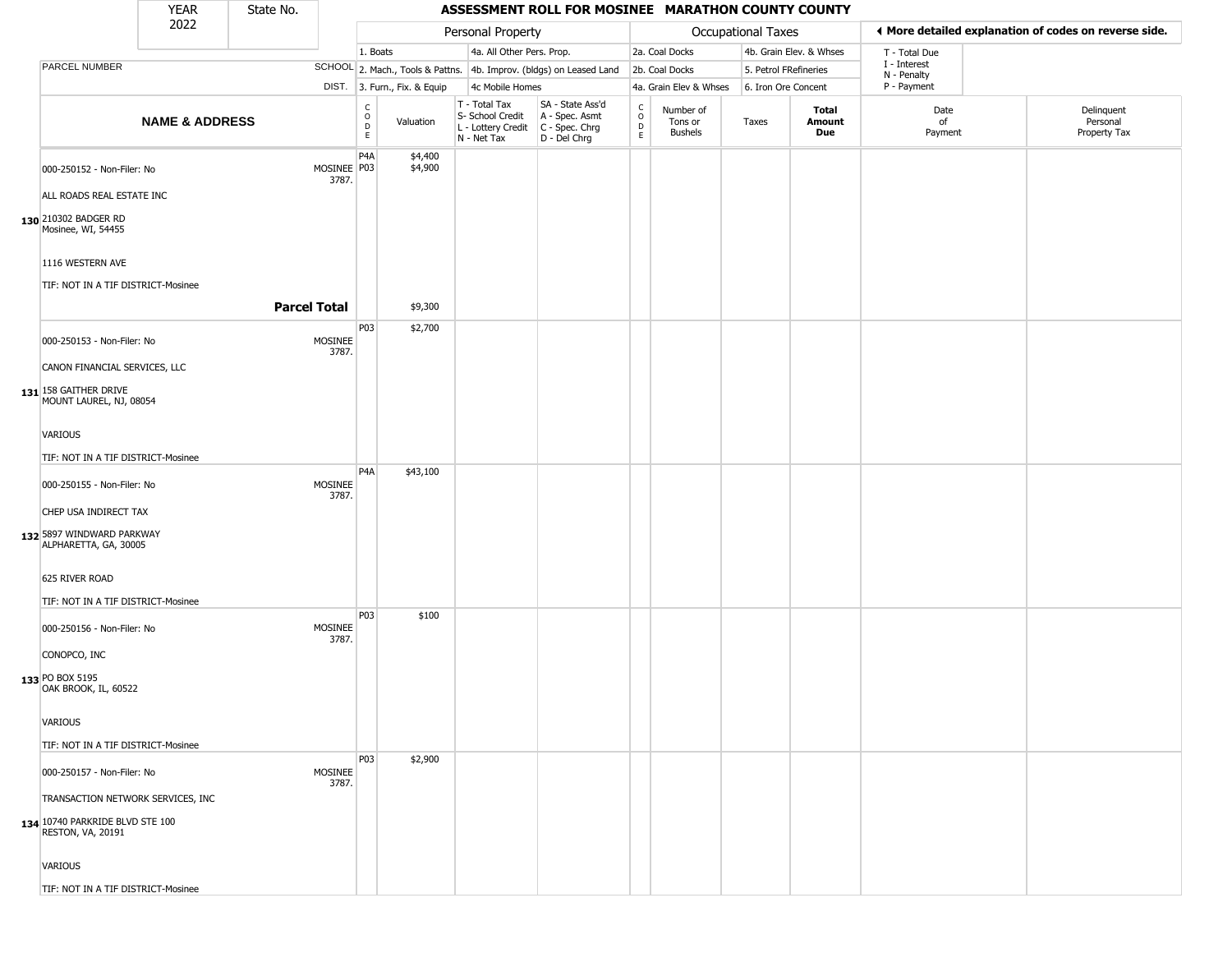|                                                             | <b>YEAR</b>               | State No.           |                      |                                                 |                              |  |                                                  | ASSESSMENT ROLL FOR MOSINEE MARATHON COUNTY COUNTY                                        |                                              |                                 |                       |                         |                             |                                                       |
|-------------------------------------------------------------|---------------------------|---------------------|----------------------|-------------------------------------------------|------------------------------|--|--------------------------------------------------|-------------------------------------------------------------------------------------------|----------------------------------------------|---------------------------------|-----------------------|-------------------------|-----------------------------|-------------------------------------------------------|
|                                                             | 2022                      |                     |                      |                                                 |                              |  | Personal Property                                |                                                                                           |                                              |                                 | Occupational Taxes    |                         |                             | ♦ More detailed explanation of codes on reverse side. |
|                                                             |                           |                     |                      | 1. Boats                                        |                              |  | 4a. All Other Pers. Prop.                        |                                                                                           |                                              | 2a. Coal Docks                  |                       | 4b. Grain Elev. & Whses | T - Total Due               |                                                       |
| PARCEL NUMBER                                               |                           |                     |                      |                                                 |                              |  |                                                  | SCHOOL 2. Mach., Tools & Pattns. 4b. Improv. (bldgs) on Leased Land                       |                                              | 2b. Coal Docks                  | 5. Petrol FRefineries |                         | I - Interest<br>N - Penalty |                                                       |
|                                                             |                           |                     |                      |                                                 | DIST. 3. Furn., Fix. & Equip |  | 4c Mobile Homes                                  |                                                                                           |                                              | 4a. Grain Elev & Whses          | 6. Iron Ore Concent   |                         | P - Payment                 |                                                       |
|                                                             | <b>NAME &amp; ADDRESS</b> |                     |                      | $\begin{array}{c} C \\ O \\ D \\ E \end{array}$ | Valuation                    |  | T - Total Tax<br>S- School Credit<br>N - Net Tax | SA - State Ass'd<br>A - Spec. Asmt<br>L - Lottery Credit   C - Spec. Chrg<br>D - Del Chrg | $\begin{array}{c}\nC \\ D \\ E\n\end{array}$ | Number of<br>Tons or<br>Bushels | Taxes                 | Total<br>Amount<br>Due  | Date<br>of<br>Payment       | Delinquent<br>Personal<br>Property Tax                |
| 000-250152 - Non-Filer: No                                  |                           |                     | MOSINEE P03<br>3787. | P <sub>4</sub> A                                | \$4,400<br>\$4,900           |  |                                                  |                                                                                           |                                              |                                 |                       |                         |                             |                                                       |
| ALL ROADS REAL ESTATE INC                                   |                           |                     |                      |                                                 |                              |  |                                                  |                                                                                           |                                              |                                 |                       |                         |                             |                                                       |
| 130 210302 BADGER RD<br>Mosinee, WI, 54455                  |                           |                     |                      |                                                 |                              |  |                                                  |                                                                                           |                                              |                                 |                       |                         |                             |                                                       |
| 1116 WESTERN AVE                                            |                           |                     |                      |                                                 |                              |  |                                                  |                                                                                           |                                              |                                 |                       |                         |                             |                                                       |
| TIF: NOT IN A TIF DISTRICT-Mosinee                          |                           |                     |                      |                                                 |                              |  |                                                  |                                                                                           |                                              |                                 |                       |                         |                             |                                                       |
|                                                             |                           | <b>Parcel Total</b> |                      |                                                 | \$9,300                      |  |                                                  |                                                                                           |                                              |                                 |                       |                         |                             |                                                       |
| 000-250153 - Non-Filer: No                                  |                           |                     | MOSINEE<br>3787.     | P03                                             | \$2,700                      |  |                                                  |                                                                                           |                                              |                                 |                       |                         |                             |                                                       |
| CANON FINANCIAL SERVICES, LLC                               |                           |                     |                      |                                                 |                              |  |                                                  |                                                                                           |                                              |                                 |                       |                         |                             |                                                       |
| 131 158 GAITHER DRIVE<br>MOUNT LAUREL, NJ, 08054            |                           |                     |                      |                                                 |                              |  |                                                  |                                                                                           |                                              |                                 |                       |                         |                             |                                                       |
| VARIOUS                                                     |                           |                     |                      |                                                 |                              |  |                                                  |                                                                                           |                                              |                                 |                       |                         |                             |                                                       |
| TIF: NOT IN A TIF DISTRICT-Mosinee                          |                           |                     |                      |                                                 |                              |  |                                                  |                                                                                           |                                              |                                 |                       |                         |                             |                                                       |
| 000-250155 - Non-Filer: No                                  |                           |                     | MOSINEE<br>3787.     | P <sub>4</sub> A                                | \$43,100                     |  |                                                  |                                                                                           |                                              |                                 |                       |                         |                             |                                                       |
| CHEP USA INDIRECT TAX                                       |                           |                     |                      |                                                 |                              |  |                                                  |                                                                                           |                                              |                                 |                       |                         |                             |                                                       |
| 132 5897 WINDWARD PARKWAY<br>ALPHARETTA, GA, 30005          |                           |                     |                      |                                                 |                              |  |                                                  |                                                                                           |                                              |                                 |                       |                         |                             |                                                       |
| 625 RIVER ROAD<br>TIF: NOT IN A TIF DISTRICT-Mosinee        |                           |                     |                      |                                                 |                              |  |                                                  |                                                                                           |                                              |                                 |                       |                         |                             |                                                       |
| 000-250156 - Non-Filer: No                                  |                           |                     | MOSINEE<br>3787.     | <b>P03</b>                                      | \$100                        |  |                                                  |                                                                                           |                                              |                                 |                       |                         |                             |                                                       |
| CONOPCO, INC                                                |                           |                     |                      |                                                 |                              |  |                                                  |                                                                                           |                                              |                                 |                       |                         |                             |                                                       |
| 133 PO BOX 5195<br>OAK BROOK, IL, 60522                     |                           |                     |                      |                                                 |                              |  |                                                  |                                                                                           |                                              |                                 |                       |                         |                             |                                                       |
| VARIOUS                                                     |                           |                     |                      |                                                 |                              |  |                                                  |                                                                                           |                                              |                                 |                       |                         |                             |                                                       |
| TIF: NOT IN A TIF DISTRICT-Mosinee                          |                           |                     |                      |                                                 |                              |  |                                                  |                                                                                           |                                              |                                 |                       |                         |                             |                                                       |
| 000-250157 - Non-Filer: No                                  |                           |                     | MOSINEE<br>3787.     | P03                                             | \$2,900                      |  |                                                  |                                                                                           |                                              |                                 |                       |                         |                             |                                                       |
| TRANSACTION NETWORK SERVICES, INC                           |                           |                     |                      |                                                 |                              |  |                                                  |                                                                                           |                                              |                                 |                       |                         |                             |                                                       |
| 134 10740 PARKRIDE BLVD STE 100<br><b>RESTON, VA, 20191</b> |                           |                     |                      |                                                 |                              |  |                                                  |                                                                                           |                                              |                                 |                       |                         |                             |                                                       |
| VARIOUS                                                     |                           |                     |                      |                                                 |                              |  |                                                  |                                                                                           |                                              |                                 |                       |                         |                             |                                                       |
| TIF: NOT IN A TIF DISTRICT-Mosinee                          |                           |                     |                      |                                                 |                              |  |                                                  |                                                                                           |                                              |                                 |                       |                         |                             |                                                       |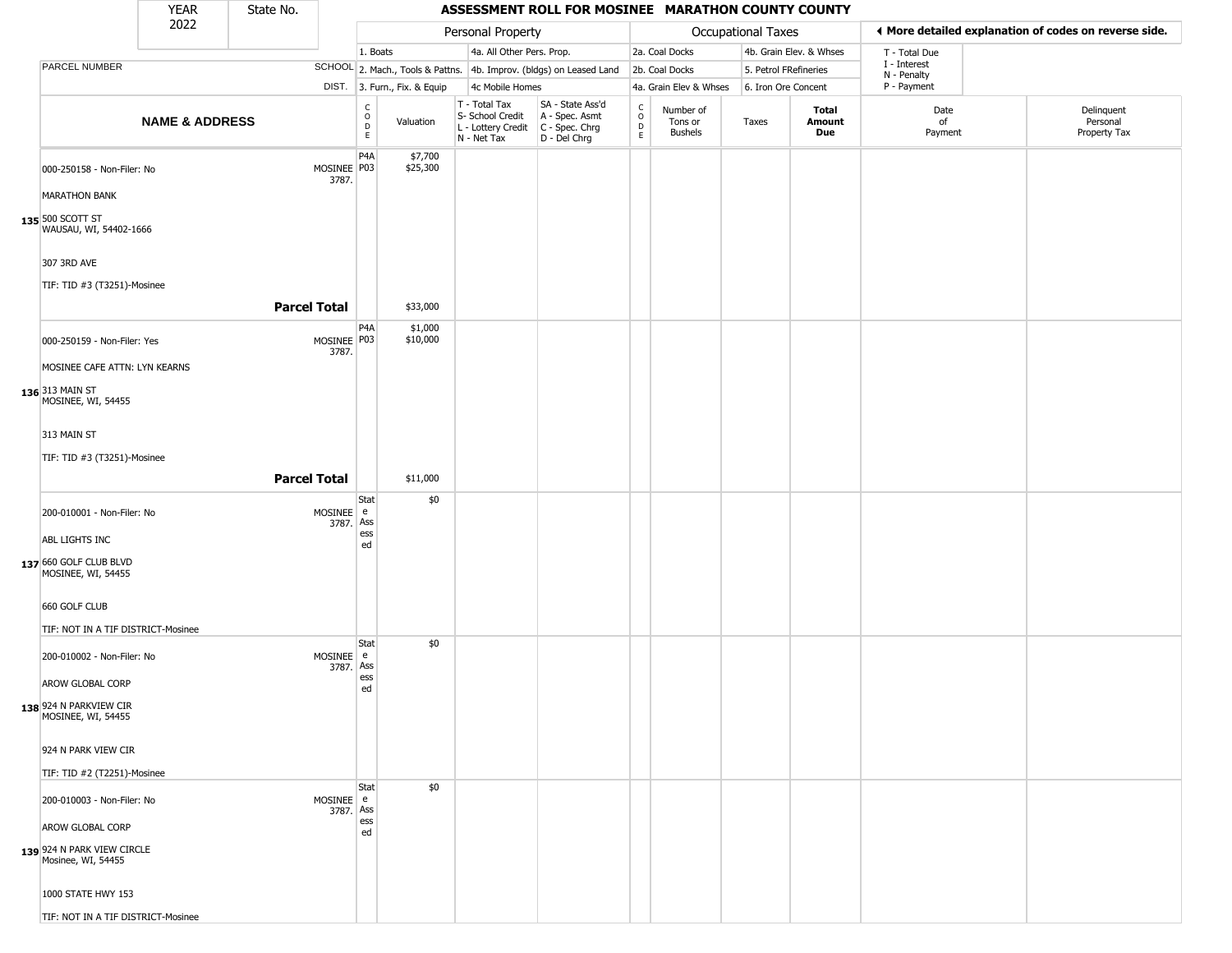|                                                                                                       | <b>YEAR</b>               | State No.           |                        |                                                  |                              |                                                                        | ASSESSMENT ROLL FOR MOSINEE MARATHON COUNTY COUNTY                   |                                                                    |                                        |                           |                         |                             |                                                       |
|-------------------------------------------------------------------------------------------------------|---------------------------|---------------------|------------------------|--------------------------------------------------|------------------------------|------------------------------------------------------------------------|----------------------------------------------------------------------|--------------------------------------------------------------------|----------------------------------------|---------------------------|-------------------------|-----------------------------|-------------------------------------------------------|
|                                                                                                       | 2022                      |                     |                        |                                                  |                              | Personal Property                                                      |                                                                      |                                                                    |                                        | <b>Occupational Taxes</b> |                         |                             | ◀ More detailed explanation of codes on reverse side. |
|                                                                                                       |                           |                     |                        | 1. Boats                                         |                              | 4a. All Other Pers. Prop.                                              |                                                                      |                                                                    | 2a. Coal Docks                         |                           | 4b. Grain Elev. & Whses | T - Total Due               |                                                       |
| PARCEL NUMBER                                                                                         |                           |                     |                        |                                                  |                              |                                                                        | SCHOOL 2. Mach., Tools & Pattns. 4b. Improv. (bldgs) on Leased Land  |                                                                    | 2b. Coal Docks                         | 5. Petrol FRefineries     |                         | I - Interest<br>N - Penalty |                                                       |
|                                                                                                       |                           |                     |                        |                                                  | DIST. 3. Furn., Fix. & Equip | 4c Mobile Homes                                                        |                                                                      |                                                                    | 4a. Grain Elev & Whses                 | 6. Iron Ore Concent       |                         | P - Payment                 |                                                       |
|                                                                                                       | <b>NAME &amp; ADDRESS</b> |                     |                        | $_{\rm o}^{\rm c}$<br>$\mathsf D$<br>$\mathsf E$ | Valuation                    | T - Total Tax<br>S- School Credit<br>L - Lottery Credit<br>N - Net Tax | SA - State Ass'd<br>A - Spec. Asmt<br>C - Spec. Chrg<br>D - Del Chrg | $\begin{smallmatrix} C \\ 0 \\ D \end{smallmatrix}$<br>$\mathsf E$ | Number of<br>Tons or<br><b>Bushels</b> | Taxes                     | Total<br>Amount<br>Due  | Date<br>of<br>Payment       | Delinquent<br>Personal<br>Property Tax                |
| 000-250158 - Non-Filer: No<br><b>MARATHON BANK</b>                                                    |                           |                     | MOSINEE P03<br>3787.   | P4A                                              | \$7,700<br>\$25,300          |                                                                        |                                                                      |                                                                    |                                        |                           |                         |                             |                                                       |
| 135 500 SCOTT ST<br>WAUSAU, WI, 54402-1666                                                            |                           |                     |                        |                                                  |                              |                                                                        |                                                                      |                                                                    |                                        |                           |                         |                             |                                                       |
| 307 3RD AVE<br>TIF: TID #3 (T3251)-Mosinee                                                            |                           | <b>Parcel Total</b> |                        |                                                  | \$33,000                     |                                                                        |                                                                      |                                                                    |                                        |                           |                         |                             |                                                       |
|                                                                                                       |                           |                     |                        | P <sub>4</sub> A                                 |                              |                                                                        |                                                                      |                                                                    |                                        |                           |                         |                             |                                                       |
| 000-250159 - Non-Filer: Yes<br>MOSINEE CAFE ATTN: LYN KEARNS<br>136 313 MAIN ST<br>MOSINEE, WI, 54455 |                           |                     | MOSINEE   P03<br>3787. |                                                  | \$1,000<br>\$10,000          |                                                                        |                                                                      |                                                                    |                                        |                           |                         |                             |                                                       |
|                                                                                                       |                           |                     |                        |                                                  |                              |                                                                        |                                                                      |                                                                    |                                        |                           |                         |                             |                                                       |
| 313 MAIN ST                                                                                           |                           |                     |                        |                                                  |                              |                                                                        |                                                                      |                                                                    |                                        |                           |                         |                             |                                                       |
| TIF: TID #3 (T3251)-Mosinee                                                                           |                           |                     |                        |                                                  |                              |                                                                        |                                                                      |                                                                    |                                        |                           |                         |                             |                                                       |
|                                                                                                       |                           | <b>Parcel Total</b> |                        |                                                  | \$11,000                     |                                                                        |                                                                      |                                                                    |                                        |                           |                         |                             |                                                       |
| 200-010001 - Non-Filer: No<br>ABL LIGHTS INC                                                          |                           |                     | MOSINEE e<br>3787. Ass | Stat<br>ess<br>ed                                | \$0                          |                                                                        |                                                                      |                                                                    |                                        |                           |                         |                             |                                                       |
| 137 660 GOLF CLUB BLVD<br>MOSINEE, WI, 54455                                                          |                           |                     |                        |                                                  |                              |                                                                        |                                                                      |                                                                    |                                        |                           |                         |                             |                                                       |
| 660 GOLF CLUB                                                                                         |                           |                     |                        |                                                  |                              |                                                                        |                                                                      |                                                                    |                                        |                           |                         |                             |                                                       |
| TIF: NOT IN A TIF DISTRICT-Mosinee                                                                    |                           |                     |                        |                                                  |                              |                                                                        |                                                                      |                                                                    |                                        |                           |                         |                             |                                                       |
| 200-010002 - Non-Filer: No<br>AROW GLOBAL CORP                                                        |                           |                     | MOSINEE e<br>3787. Ass | Stat<br>ess                                      | \$0                          |                                                                        |                                                                      |                                                                    |                                        |                           |                         |                             |                                                       |
| 138 924 N PARKVIEW CIR<br>MOSINEE, WI, 54455                                                          |                           |                     |                        | ed                                               |                              |                                                                        |                                                                      |                                                                    |                                        |                           |                         |                             |                                                       |
| 924 N PARK VIEW CIR<br>TIF: TID #2 (T2251)-Mosinee                                                    |                           |                     |                        |                                                  |                              |                                                                        |                                                                      |                                                                    |                                        |                           |                         |                             |                                                       |
| 200-010003 - Non-Filer: No<br>AROW GLOBAL CORP                                                        |                           |                     | MOSINEE e<br>3787. Ass | Stat<br>ess                                      | \$0                          |                                                                        |                                                                      |                                                                    |                                        |                           |                         |                             |                                                       |
| 139 924 N PARK VIEW CIRCLE<br>Mosinee, WI, 54455                                                      |                           |                     |                        | ed                                               |                              |                                                                        |                                                                      |                                                                    |                                        |                           |                         |                             |                                                       |
| 1000 STATE HWY 153                                                                                    |                           |                     |                        |                                                  |                              |                                                                        |                                                                      |                                                                    |                                        |                           |                         |                             |                                                       |
| TIF: NOT IN A TIF DISTRICT-Mosinee                                                                    |                           |                     |                        |                                                  |                              |                                                                        |                                                                      |                                                                    |                                        |                           |                         |                             |                                                       |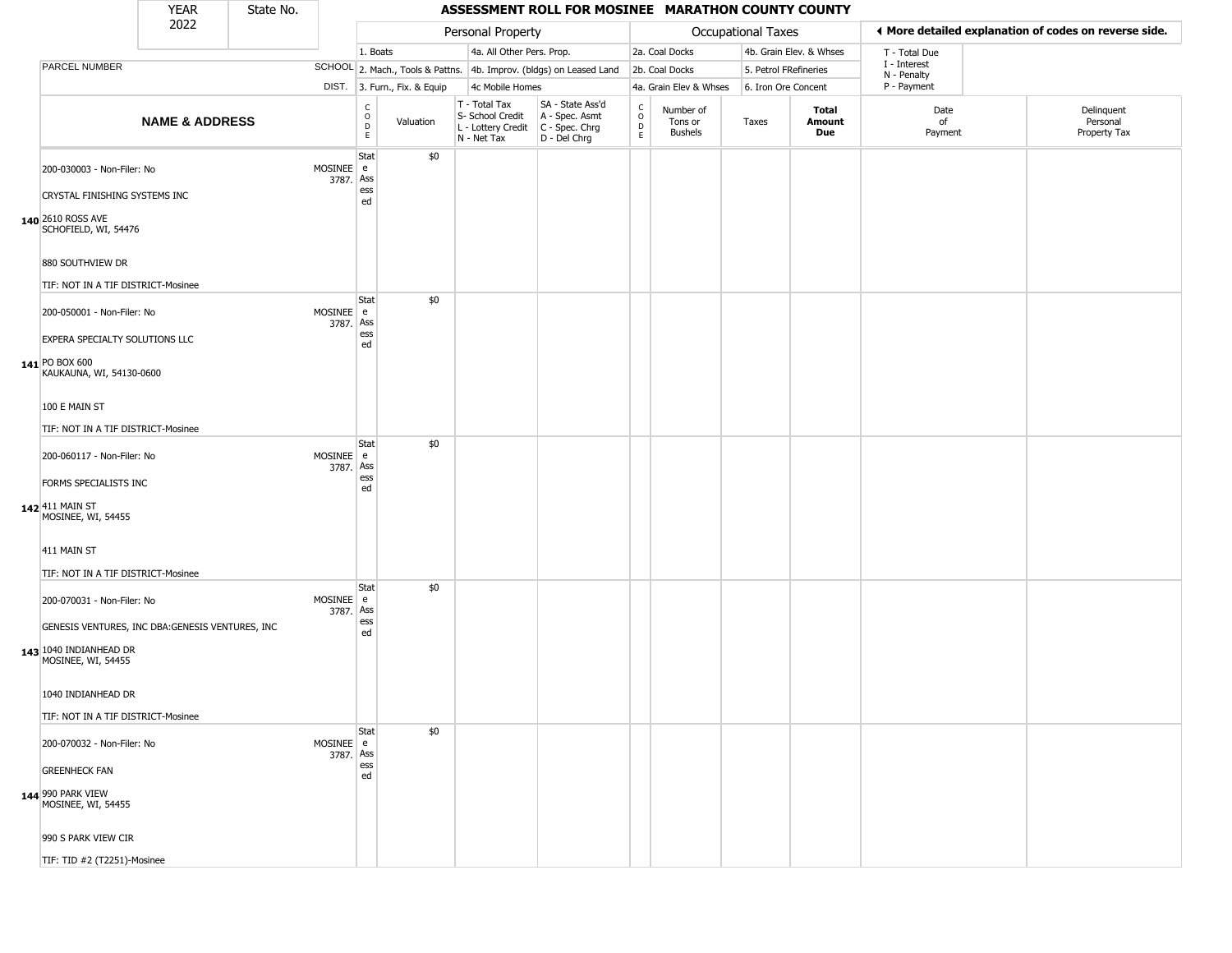#### YEAR **ASSESSMENT ROLL FOR MOSINEE MARATHON COUNTY COUNTY** 2022 DIST. 3. Furn., Fix. & Equip PARCEL NUMBER **NAME & ADDRESS** State No. C O D E Valuation T - Total Tax S- School Credit A - Spec. Asmt L - Lottery Credit C - Spec. Chrg N - Net Tax SA - State Ass'd D - Del Chrg C O D E Number of Tons or Bushels Taxes **Total Amount Due** Date of Payment Delinquent Personal Property Tax Personal Property **Department Controller Service Controller** Occupational Taxes 1. Boats **4a. All Other Pers. Prop.** 2a. Coal Docks 4b. Grain Elev. & Whses SCHOOL 2. Mach., Tools & Pattns. 4b. Improv. (bldgs) on Leased Land 2b. Coal Docks 5. Petrol FRefineries 4c Mobile Homes 4a. Grain Elev & Whses 6. Iron Ore Concent T - Total Due I - Interest N - Penalty P - Payment 3**More detailed explanation of codes on reverse side. 140** 2610 ROSS AVE 200-030003 - Non-Filer: No 3787. Ass CRYSTAL FINISHING SYSTEMS INC SCHOFIELD, WI, 54476 880 SOUTHVIEW DR TIF: NOT IN A TIF DISTRICT-Mosinee **Stat** MOSINEE e ess ed \$0 **141** PO BOX 600 200-050001 - Non-Filer: No 3787. EXPERA SPECIALTY SOLUTIONS LLC KAUKAUNA, WI, 54130-0600 100 E MAIN ST TIF: NOT IN A TIF DISTRICT-Mosinee **Stat** MOSINEE e Ass ess ed \$0 **142** 411 MAIN ST 200-060117 - Non-Filer: No 3787. FORMS SPECIALISTS INC MOSINEE, WI, 54455 411 MAIN ST TIF: NOT IN A TIF DISTRICT-Mosinee **Stat** MOSINEE e Ass ess ed \$0 **143** 1040 INDIANHEAD DR 200-070031 - Non-Filer: No 3787. Ass GENESIS VENTURES, INC DBA:GENESIS VENTURES, INC MOSINEE, WI, 54455 1040 INDIANHEAD DR TIF: NOT IN A TIF DISTRICT-Mosinee **Stat** MOSINEE e ess ed \$0 **144** 990 PARK VIEW 200-070032 - Non-Filer: No 3787. GREENHECK FAN MOSINEE, WI, 54455 990 S PARK VIEW CIR **Stat** MOSINEE e Ass ess ed \$0

TIF: TID #2 (T2251)-Mosinee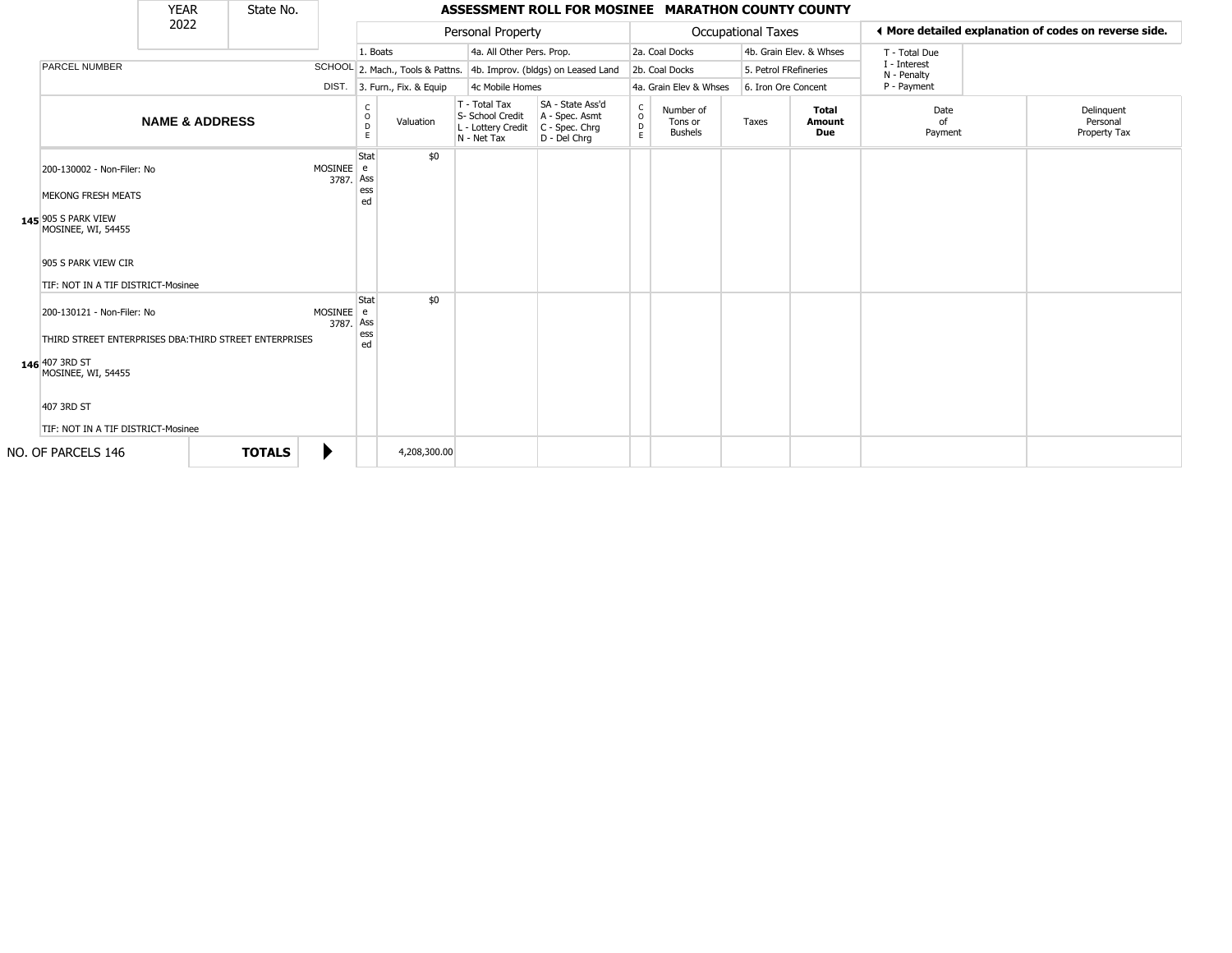|                                                                                                                                                                                  | <b>YEAR</b>               | State No.     |                             |                                   |                                  |                                                                        | ASSESSMENT ROLL FOR MOSINEE MARATHON COUNTY COUNTY                   |                 |                                        |                           |                     |                               |                             |                                                       |
|----------------------------------------------------------------------------------------------------------------------------------------------------------------------------------|---------------------------|---------------|-----------------------------|-----------------------------------|----------------------------------|------------------------------------------------------------------------|----------------------------------------------------------------------|-----------------|----------------------------------------|---------------------------|---------------------|-------------------------------|-----------------------------|-------------------------------------------------------|
|                                                                                                                                                                                  | 2022                      |               |                             |                                   |                                  | Personal Property                                                      |                                                                      |                 |                                        | <b>Occupational Taxes</b> |                     |                               |                             | ← More detailed explanation of codes on reverse side. |
|                                                                                                                                                                                  |                           |               |                             | 1. Boats                          |                                  | 4a. All Other Pers. Prop.                                              |                                                                      |                 | 2a. Coal Docks                         |                           |                     | 4b. Grain Elev. & Whses       | T - Total Due               |                                                       |
| <b>PARCEL NUMBER</b>                                                                                                                                                             |                           |               |                             |                                   | SCHOOL 2. Mach., Tools & Pattns. |                                                                        | 4b. Improv. (bldgs) on Leased Land                                   |                 | 2b. Coal Docks                         |                           |                     | 5. Petrol FRefineries         | I - Interest<br>N - Penalty |                                                       |
|                                                                                                                                                                                  |                           |               |                             |                                   | DIST. 3. Furn., Fix. & Equip     | 4c Mobile Homes                                                        |                                                                      |                 | 4a. Grain Elev & Whses                 |                           | 6. Iron Ore Concent |                               | P - Payment                 |                                                       |
|                                                                                                                                                                                  | <b>NAME &amp; ADDRESS</b> |               |                             | $\mathsf{C}$<br>$\circ$<br>D<br>E | Valuation                        | T - Total Tax<br>S- School Credit<br>L - Lottery Credit<br>N - Net Tax | SA - State Ass'd<br>A - Spec. Asmt<br>C - Spec. Chrg<br>D - Del Chrq | $\rm _o^C$<br>E | Number of<br>Tons or<br><b>Bushels</b> | Taxes                     |                     | <b>Total</b><br>Amount<br>Due | Date<br>of<br>Payment       | Delinquent<br>Personal<br>Property Tax                |
| 200-130002 - Non-Filer: No<br><b>MEKONG FRESH MEATS</b><br>145 905 S PARK VIEW<br>MOSINEE, WI, 54455<br>905 S PARK VIEW CIR<br>TIF: NOT IN A TIF DISTRICT-Mosinee                |                           |               | <b>MOSINEE</b><br>3787. Ass | Stat<br>e<br>ess<br>ed            | \$0                              |                                                                        |                                                                      |                 |                                        |                           |                     |                               |                             |                                                       |
| 200-130121 - Non-Filer: No<br>THIRD STREET ENTERPRISES DBA: THIRD STREET ENTERPRISES<br>146 407 3RD ST<br>MOSINEE, WI, 54455<br>407 3RD ST<br>TIF: NOT IN A TIF DISTRICT-Mosinee |                           |               | MOSINEE e<br>3787. Ass      | Stat<br>ess<br>ed                 | \$0                              |                                                                        |                                                                      |                 |                                        |                           |                     |                               |                             |                                                       |
| NO. OF PARCELS 146                                                                                                                                                               |                           | <b>TOTALS</b> |                             |                                   | 4,208,300.00                     |                                                                        |                                                                      |                 |                                        |                           |                     |                               |                             |                                                       |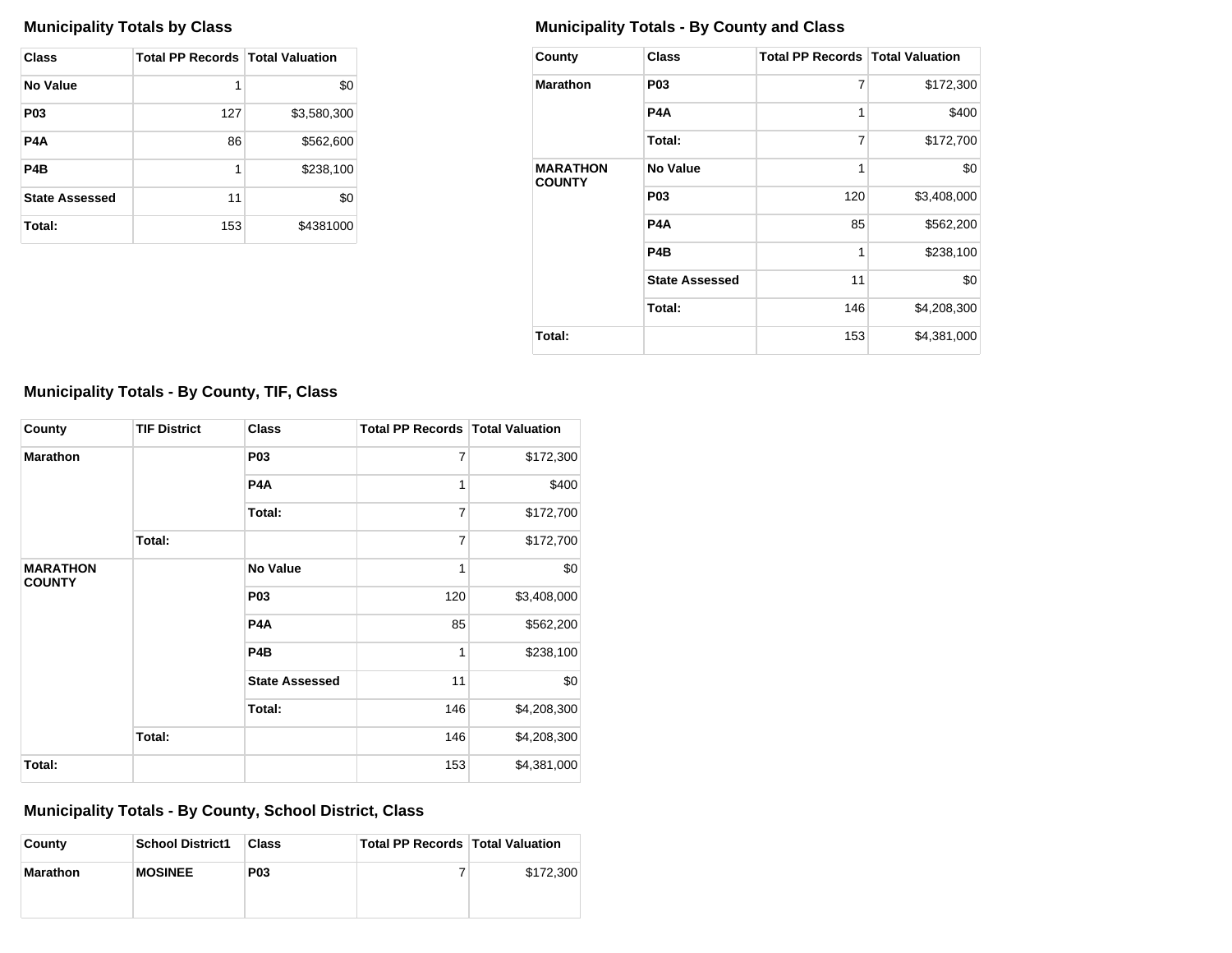| Class                 | <b>Total PP Records   Total Valuation</b> |             |
|-----------------------|-------------------------------------------|-------------|
| <b>No Value</b>       | 1                                         | \$0         |
| <b>P03</b>            | 127                                       | \$3,580,300 |
| P4A                   | 86                                        | \$562,600   |
| P4B                   | 1                                         | \$238,100   |
| <b>State Assessed</b> | 11                                        | \$0         |
| Total:                | 153                                       | \$4381000   |

## **Municipality Totals by Class Municipality Totals - By County and Class**

| County                           | <b>Class</b>          | <b>Total PP Records   Total Valuation</b> |             |
|----------------------------------|-----------------------|-------------------------------------------|-------------|
| <b>Marathon</b>                  | P <sub>0</sub> 3      | 7                                         | \$172,300   |
|                                  | P4A                   | $\mathbf{1}$                              | \$400       |
|                                  | Total:                | 7                                         | \$172,700   |
| <b>MARATHON</b><br><b>COUNTY</b> | No Value              | 1                                         | \$0         |
|                                  | <b>P03</b>            | 120                                       | \$3,408,000 |
|                                  | P4A                   | 85                                        | \$562,200   |
|                                  | P <sub>4</sub> B      | 1                                         | \$238,100   |
|                                  | <b>State Assessed</b> | 11                                        | \$0         |
|                                  | Total:                | 146                                       | \$4,208,300 |
| Total:                           |                       | 153                                       | \$4,381,000 |

# **Municipality Totals - By County, TIF, Class**

| County                           | <b>TIF District</b> | <b>Class</b>          | <b>Total PP Records   Total Valuation</b> |             |
|----------------------------------|---------------------|-----------------------|-------------------------------------------|-------------|
| <b>Marathon</b>                  |                     | P <sub>0</sub> 3      | $\overline{7}$                            | \$172,300   |
|                                  |                     | P4A                   | 1                                         | \$400       |
|                                  |                     | Total:                | $\overline{7}$                            | \$172,700   |
|                                  | Total:              |                       | $\overline{7}$                            | \$172,700   |
| <b>MARATHON</b><br><b>COUNTY</b> |                     | <b>No Value</b>       | 1                                         | \$0         |
|                                  |                     | P <sub>0</sub> 3      | 120                                       | \$3,408,000 |
|                                  |                     | P <sub>4</sub> A      | 85                                        | \$562,200   |
|                                  |                     | P <sub>4</sub> B      | 1                                         | \$238,100   |
|                                  |                     | <b>State Assessed</b> | 11                                        | \$0         |
|                                  |                     | Total:                | 146                                       | \$4,208,300 |
|                                  | Total:              |                       | 146                                       | \$4,208,300 |
| Total:                           |                     |                       | 153                                       | \$4,381,000 |

## **Municipality Totals - By County, School District, Class**

| County          | <b>School District1</b> | Class      | <b>Total PP Records   Total Valuation</b> |           |
|-----------------|-------------------------|------------|-------------------------------------------|-----------|
| <b>Marathon</b> | <b>MOSINEE</b>          | <b>P03</b> |                                           | \$172,300 |
|                 |                         |            |                                           |           |